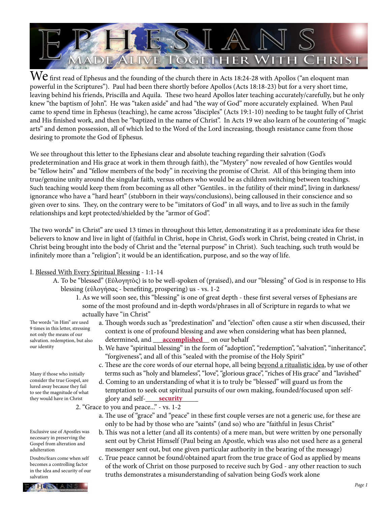

 ${\rm We}$  first read of Ephesus and the founding of the church there in Acts 18:24-28 with Apollos ("an eloquent man powerful in the Scriptures"). Paul had been there shortly before Apollos (Acts 18:18-23) but for a very short time, leaving behind his friends, Priscilla and Aquila. These two heard Apollos later teaching accurately/carefully, but he only knew "the baptism of John". He was "taken aside" and had "the way of God" more accurately explained. When Paul came to spend time in Ephesus (teaching), he came across "disciples" (Acts 19:1-10) needing to be taught fully of Christ and His finished work, and then be "baptized in the name of Christ". In Acts 19 we also learn of he countering of "magic arts" and demon possession, all of which led to the Word of the Lord increasing, though resistance came from those desiring to promote the God of Ephesus.

We see throughout this letter to the Ephesians clear and absolute teaching regarding their salvation (God's predetermination and His grace at work in them through faith), the "Mystery" now revealed of how Gentiles would be "fellow heirs" and "fellow members of the body" in receiving the promise of Christ. All of this bringing them into true/genuine unity around the singular faith, versus others who would be as children switching between teachings. Such teaching would keep them from becoming as all other "Gentiles.. in the futility of their mind", living in darkness/ ignorance who have a "hard heart" (stubborn in their ways/conclusions), being calloused in their conscience and so given over to sins. They, on the contrary were to be "imitators of God" in all ways, and to live as such in the family relationships and kept protected/shielded by the "armor of God".

The two words" in Christ" are used 13 times in throughout this letter, demonstrating it as a predominate idea for these believers to know and live in light of (faithful in Christ, hope in Christ, God's work in Christ, being created in Christ, in Christ being brought into the body of Christ and the "eternal purpose" in Christ). Such teaching, such truth would be infinitely more than a "religion"; it would be an identification, purpose, and so the way of life.

## I. Blessed With Every Spiritual Blessing - 1:1-14

- A. To be "blessed" (Εὐλογητὸς) is to be well-spoken of (praised), and our "blessing" of God is in response to His blessing (εὐλογήσας - benefiting, prospering) us - vs. 1-2
	- 1. As we will soon see, this "blessing" is one of great depth these first several verses of Ephesians are some of the most profound and in-depth words/phrases in all of Scripture in regards to what we actually have "in Christ"

The words "in Him" are used 9 times in this letter, stressing not only the means of our salvation. redemption, but also our identity

Many if those who initially consider the true Gospel, are lured away because they fail to see the magnitude of what they would have in Christ

Exclusive use of Apostles was necessary in preserving the Gospel from alteration and adulteration

Doubts/fears come when self becomes a controlling factor in the idea and security of our salvation

- a. Though words such as "predestination" and "election" often cause a stir when discussed, their context is one of profound blessing and awe when considering what has been planned, salvation. redemption, but also determined, and <u>accomplished</u> on our behalf
	- b. We have "spiritual blessing" in the form of "adoption", "redemption", "salvation", "inheritance", "forgiveness", and all of this "sealed with the promise of the Holy Spirit"
	- c. These are the core words of our eternal hope, all being beyond a ritualistic idea, by use of other terms such as "holy and blameless", "love", "glorious grace", "riches of His grace" and "lavished"
- d. Coming to an understanding of what it is to truly be "blessed" will guard us from the temptation to seek out spiritual pursuits of our own making, founded/focused upon self they would have in Christ **glory and self-<u>security</u>** 
	- 2. "Grace to you and peace..." vs. 1-2
		- a. The use of "grace" and "peace" in these first couple verses are not a generic use, for these are only to be had by those who are "saints" (and so) who are "faithful in Jesus Christ"
		- b. This was not a letter (and all its contents) of a mere man, but were written by one personally sent out by Christ Himself (Paul being an Apostle, which was also not used here as a general messenger sent out, but one given particular authority in the bearing of the message)
		- c. True peace cannot be found/obtained apart from the true grace of God as applied by means of the work of Christ on those purposed to receive such by God - any other reaction to such truths demonstrates a misunderstanding of salvation being God's work alone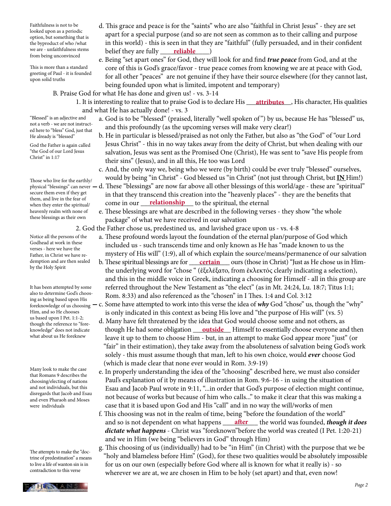we are - unfaithfulness stems belief they are fully <u>reliable</u> (and ) Faithfulness is not to be looked upon as a periodic option, but something that is the byproduct of who /what we are - unfaithfulness stems from being unconvinced

upon solid truths

This is more than a standard greeting of Paul - it is founded

being founded upon what is limited, impotent and temporary)

B. Praise God for what He has done and given us! - vs. 3-14

1. It is interesting to realize that to praise God is to declare His <u>\_\_\_\_att**ributes**\_\_</u>, His character, His qualities and what He has actually done! - vs. 3

 d. This grace and peace is for the "saints" who are also "faithful in Christ Jesus" - they are set apart for a special purpose (and so are not seen as common as to their calling and purpose in this world) - this is seen in that they are "faithful" (fully persuaded, and in their confident

 e. Being "set apart ones" for God, they will look for and find *true peace* from God, and at the core of this is God's grace/favor - true peace comes from knowing we are at peace with God, for all other "peaces" are not genuine if they have their source elsewhere (for they cannot last,

- a. God is to be "blessed" (praised, literally "well spoken of ") by us, because He has "blessed" us, and this profoundly (as the upcoming verses will make very clear!)
	- b. He in particular is blessed/praised as not only the Father, but also as "the God" of "our Lord Jesus Christ" - this in no way takes away from the deity of Christ, but when dealing with our salvation, Jesus was sent as the Promised One (Christ), He was sent to "save His people from their sins" (Jesus), and in all this, He too was Lord
	- c. And, the only way we, being who we were (by birth) could be ever truly "blessed" ourselves, would by being "in Christ" - God blessed us "in Christ" (not just through Christ, but **IN** Him!)
- physical "blessings" can never d. These "blessings" are now far above all other blessings of this world/age these are "spiritual" in that they transcend this creation into the "heavenly places" - they are the benefits that when they enter the spiritual/ come in our <u>relationship</u> to the spiritual, the eternal
	- e. These blessings are what are described in the following verses they show "the whole package" of what we have received in our salvation

2. God the Father chose us, predestined us, and lavished grace upon us - vs. 4-8

- a. These profound words layout the foundation of the eternal plan/purpose of God which included us - such transcends time and only known as He has "made known to us the mystery of His will" (1:9), all of which explain the source/means/permanence of our salvation
- demption and are then sealed b. These spiritual blessings are for <u>certain</u> ours (those in Christ) "Just as He chose us in Him the underlying word for "chose " (ἐξελέξατο, from ἐκλεκτός clearly indicating a selection), and this in the middle voice in Greek, indicating a choosing for Himself - all in this group are referred throughout the New Testament as "the elect" (as in Mt. 24:24, Lu. 18:7; Titus 1:1; Rom. 8:33) and also referenced as the "chosen" in I Thes. 1:4 and Col. 3:12
- foreknowledge of us choosing  $-$  c. Some have attempted to work into this verse the idea of  $why$  God "chose" us, though the "why" is only indicated in this context as being His love and "the purpose of His will" (vs. 5)
- d. Many have felt threatened by the idea that God would choose some and not others, as knowledge" does not indicate **hough He had some obligation** and then build a Himself to essentially choose everyone and then leave it up to them to choose Him - but, in an attempt to make God appear more "just" (or "fair" in their estimation), they take away from the absoluteness of salvation being God's work solely - this must assume though that man, left to his own choice, would *ever* choose God (which is made clear that none ever would in Rom. 3:9-19)
	- e. In properly understanding the idea of the "choosing" described here, we must also consider Paul's explanation of it by means of illustration in Rom. 9:6-16 - in using the situation of Esau and Jacob Paul wrote in 9:11, "...in order that God's purpose of election might continue, not because of works but because of him who calls..." to make it clear that this was making a case that it is based upon God and His "call" and in no way the will/works of men
- f. This choosing was not in the realm of time, being "before the foundation of the world" and so is not dependent on what happens <u>after</u> the world was founded, *though it does dictate what happens* - Christ was "foreknown"before the world was created (I Pet. 1:20-21) and we in Him (we being "believers in God" through Him)
	- g. This choosing of us (individually) had to be "in Him" (in Christ) with the purpose that we be "holy and blameless before Him" (God), for these two qualities would be absolutely impossible for us on our own (especially before God where all is known for what it really is) - so wherever we are at, we are chosen in Him to be holy (set apart) and that, even now!

"Blessed" is an adjective and not a verb - we are not instructed here to "bless" God, just that He already is "blessed"

God the Father is again called "the God of our Lord Jesus Christ" in 1:17

Those who live for the earthly/ secure them even if they get them, and live in the fear of when they enter the spiritual/ heavenly realm with none of these blessings as their own

Notice all the persons of the Godhead at work in these verses - here we have the Father, in Christ we have redemption and are then sealed by the Holy Spirit

It has been attempted by some also to determine God's choosing as being based upon His Him, and so He chooses us based upon I Pet. 1:1-2; though the reference to "foreknowledge" does not indicate what about us He foreknew

Many look to make the case that Romans 9 describes the choosing/electing of nations and not individuals, but this disregards that Jacob and Esau and even Pharaoh and Moses were individuals

The attempts to make the "doctrine of predestination" a means to live a life of wanton sin is in contradiction to this verse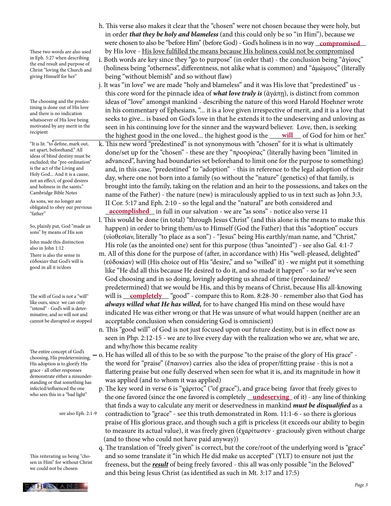These two words are also used in Eph. 5:27 when describing the end result and purpose of Christ "loving the Church and giving Himself for her"

The choosing and the predestining is done out of His love and there is no indication whatsoever of His love being motivated by any merit in the recipient

"It is lit. "to define, mark out, set apart, beforehand." All ideas of blind destiny must be excluded; the "pre-ordination" is the act of the Living and Holy God... And it is a cause, not an effect, of good desires and holiness in the saints." Cambridge Bible Notes

As sons, we no longer are obligated to obey our previous "father"

So, plainly put, God "made us sons" by means of His son

There is also the sense in εὐδοκίαν that God's will is good in all it is/does John made this distinction also in John 1:12

The will of God is not a "will" like ours, since we can only "intend" - God's will is determinative, and so will not and cannot be disrupted or stopped

The entire concept of God's choosing, His predetermining, His adoption is to glorify His grace - all other responses demonstrate either a misunderstanding or that something has infected/influenced the one who sees this in a "bad light"

see also Eph. 2:1-9

This reiterating us being "chosen in Him" for without Christ we could not be chosen

 h. This verse also makes it clear that the "chosen" were not chosen because they were holy, but in order *that they be holy and blameless* (and this could only be so "in Him"), because we were chosen to also be "before Him" (before God) - God's holiness is in no way <u>\_compromised</u>\_ by His love - His love fulfilled the means because His holiness could not be compromised

 i. Both words are key since they "go to purpose" (in order that) - the conclusion being "ἁγίους" (holiness being "otherness", differentness, not alike what is common) and "ἀμώμους" (literally being "without blemish" and so without flaw)

 j. It was "in love" we are made "holy and blameless" and it was His love that "predestined" us this core word for the pinnacle idea of *what love truly is* (ἀγάπῃ), is distinct from common ideas of "love" amongst mankind - describing the nature of this word Harold Hoehner wrote in his commentary of Ephesians, "... it is a love given irrespective of merit, and it is a love that seeks to give... is based on God's love in that he extends it to the undeserving and unloving as seen in his continuing love for the sinner and the wayward believer. Love, then, is seeking the highest good in the one loved... the highest good is the <u>will</u> of God for him or her."

 k. This new word "predestined" is not synonymous with "chosen" for it is what is ultimately done/set up for the "chosen" - these are they "προορίσας" (literally having been "limited in advanced", having had boundaries set beforehand to limit one for the purpose to something) and, in this case, "predestined" to "adoption" - this in reference to the legal adoption of their day, where one not born into a family (so without the "nature" (genetics) of that family, is brought into the family, taking on the relation and an heir to the possessions, and takes on the name of the Father) - the nature (new) is miraculously applied to us in text such as John 3:3, II Cor. 5:17 and Eph. 2:10 - so the legal and the "natural" are both considered and

<sup>organce</sup> to obey our previous **accomplished** in full in our salvation - we are "as sons" - notice also verse 11 l. This would be done (in total) "through Jesus Christ" (and this alone is the means to make this happen) in order to bring them/us to Himself (God the Father) that this "adoption" occurs (υἱοθεσίαν, literally "to place as a son") - "Jesus" being His earthly/man name, and "Christ," His role (as the anointed one) sent for this purpose (thus "anointed") - see also Gal. 4:1-7

 m. All of this done for the purpose of (after, in accordance with) His "well-pleased, delighted" (εὐδοκίαν) will (His choice out of His "desire," and so "willed" it) - we might put it something like "He did all this because He desired to do it, and so made it happen" - so far we've seen God choosing and in so doing, lovingly adopting us ahead of time (preordained/ predetermined) that we would be His, and this by means of Christ, because His all-knowing The will of God is not a "will" will is <u>completely</u> "good" - compare this to Rom. 8:28-30 - remember also that God has *always willed what He has willed,* for to have changed His mind on these would have indicated He was either wrong or that He was unsure of what would happen (neither are an acceptable conclusion when considering God is omniscient)

> n. This "good will" of God is not just focused upon our future destiny, but is in effect now as seen in Php. 2:12-15 - we are to live every day with the realization who we are, what we are, and why/how this became reality

- o. He has willed all of this to be so with the purpose "to the praise of the glory of His grace" the word for "praise" (ἔπαινον) carries also the idea of proper/fitting praise - this is not a flattering praise but one fully deserved when seen for what it is, and its magnitude in how it was applied (and to whom it was applied)
- p. The key word in verse 6 is "χάριτος" ("of grace"), and grace being favor that freely gives to who sees this in a bad light the one favored (since the one favored is completely <u>undeserving</u> of it) - any line of thinking that finds a way to calculate any merit or deservedness in mankind *must be disqualified* as a contradiction to "grace" - see this truth demonstrated in Rom. 11:1-6 - so there is glorious praise of His glorious grace, and though such a gift is priceless (it exceeds our ability to begin to measure its actual value), it was freely given (ἐχαρίτωσεν - graciously given without charge (and to those who could not have paid anyway))
	- q. The translation of "freely given" is correct, but the core/root of the underlying word is "grace" and so some translate it "in which He did make us accepted" (YLT) to ensure not just the freeness, but the *result* of being freely favored - this all was only possible "in the Beloved" and this being Jesus Christ (as identified as such in Mt. 3:17 and 17:5)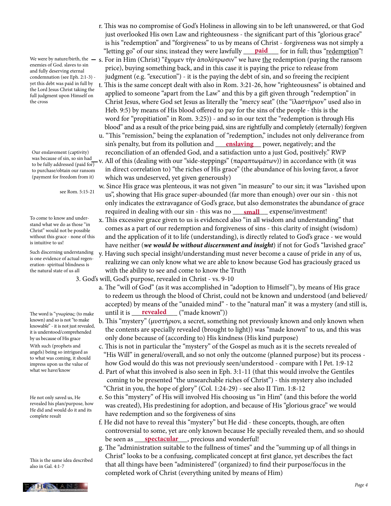enemies of God. slaves to sin and fully deserving eternal condemnation (see Eph. 2:1-3) yet this debt was paid in full by the Lord Jesus Christ taking the full judgment upon Himself on the cross

Our enslavement (captivity) was because of sin, so sin had to be fully addressed (paid for) to purchase/obtain our ransom (payment for freedom from it)

see Rom. 5:15-21

To come to know and understand what we do as those "in Christ" would not be possible without this grace - none of this is intuitive to us!

Such discerning understanding is one evidence of actual regeneration- spiritual blindness is the natural state of us all

The word is "γνωρίσας: (to make known) and so is not "to make knowable" - it is not just revealed, it is understood/comprehended by us because of His grace With such (prophets and angels) being so intrigued as to what was coming, it should impress upon us the value of what we have/know

He not only saved us, He revealed his plan/purpose, how He did and would do it and its complete result

This is the same idea described also in Gal. 4:1-7

 r. This was no compromise of God's Holiness in allowing sin to be left unanswered, or that God just overlooked His own Law and righteousness - the significant part of this "glorious grace" is his "redemption" and "forgiveness" to us by means of Christ - forgiveness was not simply a "letting go" of our sins; instead they were lawfully <u>paid f</u>or in full; thus "<u>redemption</u>"!

We were by nature/birth, the — s. For in Him (Christ) "ἔχομεν τὴν ἀπολύτρωσιν" we have <u>the</u> redemption (paying the ransom price), buying something back, and in this case it is paying the price to release from judgment (e.g. "execution") - it is the paying the debt of sin, and so freeing the recipient

 t. This is the same concept dealt with also in Rom. 3:21-26, how "righteousness" is obtained and applied to someone "apart from the Law" and this by a gift given through "redemption" in Christ Jesus, where God set Jesus as literally the "mercy seat" (the "ἱλαστήριον" used also in Heb. 9:5) by means of His blood offered to pay for the sins of the people - this is the word for "propitiation" in Rom. 3:25)) - and so in our text the "redemption is through His blood" and as a result of the price being paid, sins are rightfully and completely (eternally) forgiven

 u. "This "remission," being the explanation of "redemption," includes not only deliverance from sin's penalty, but from its pollution and <u>canalaving</u> power, negatively; and the reconciliation of an offended God, and a satisfaction unto a just God, positively." RWP v. All of this (dealing with our "side-steppings" (παραπτωμάτων)) in accordance with (it was in direct correlation to) "the riches of His grace" (the abundance of his loving favor, a favor which was undeserved, yet given generously)

 w. Since His grace was plenteous, it was not given "in measure" to our sin; it was "lavished upon us", showing that His grace super-abounded (far more than enough) over our sin - this not only indicates the extravagance of God's grace, but also demonstrates the abundance of grace required in dealing with our sin - this was no **\_\_\_\_\_<u>small</u>\_\_\_\_** expense/investment!

- x. This excessive grace given to us is evidenced also "in all wisdom and understanding" that comes as a part of our redemption and forgiveness of sins - this clarity of insight (wisdom) and the application of it to life (understanding), is directly related to God's grace - we would have neither (*we would be without discernment and insight*) if not for God's "lavished grace"
- y. Having such special insight/understanding must never become a cause of pride in any of us, realizing we can only know what we are able to know because God has graciously graced us with the ability to see and come to know the Truth

3. God's will, God's purpose, revealed in Christ - vs. 9-10

- a. The "will of God" (as it was accomplished in "adoption to Himself "), by means of His grace to redeem us through the blood of Christ, could not be known and understood (and believed/ accepted) by means of the "unaided mind" - to the "natural man" it was a mystery (and still is, The word is "γνωρίσας: (to make **until it is <u>revealed</u> ("made known")**)
	- b. This "mystery" (μυστήριον, a secret, something not previously known and only known when the contents are specially revealed (brought to light)) was "made known" to us, and this was only done because of (according to) His kindness (His kind purpose)
	- c. This is not in particular the "mystery" of the Gospel as much as it is the secrets revealed of "His Will" in general/overall, and so not only the outcome (planned purpose) but its process how God would do this was not previously seen/understood - compare with I Pet. 1:9-12
	- d. Part of what this involved is also seen in Eph. 3:1-11 (that this would involve the Gentiles coming to be presented "the unsearchable riches of Christ") - this mystery also included "Christ in you, the hope of glory" (Col. 1:24-29) - see also II Tim. 1:8-12
	- e. So this "mystery" of His will involved His choosing us "in Him" (and this before the world was created), His predestining for adoption, and because of His "glorious grace" we would have redemption and so the forgiveness of sins
- f. He did not have to reveal this "mystery" but He did these concepts, though, are often controversial to some, yet are only known because He specially revealed them, and so should be seen as <u>spectacular</u>, precious and wonderful!
	- g. The "administration suitable to the fullness of times" and the "summing up of all things in Christ" looks to be a confusing, complicated concept at first glance, yet describes the fact that all things have been "administered" (organized) to find their purpose/focus in the completed work of Christ (everything united by means of Him)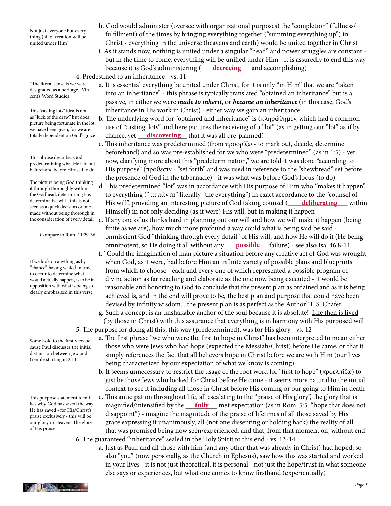Not just everyone but everything (all of creation will be united under Him)

"The literal sense is we were designated as a heritage." Vincent's Word Studies

This "casting lots" idea is not picture being fortunate in the lot we have been given, for we are totally dependent on God's grace

This phrase describes God predetermining what He laid out beforehand before Himself to do

The picture being God thinking it through thoroughly within the Godhead, determining His determinative will - this is not seen as a quick decision or one made without being thorough in the consideration of every detail

Compare to Rom. 11:29-36

If we look on anything as by "chance", having waited in time to occur to determine what would actually happen, is to be in opposition with what is being so clearly emphasized in this verse

Some hold to the first view because Paul discusses the initial distinction between Jew and Gentile starting in 2:11

This purpose statement identifies why God has saved the way He has saved - for His/Christ's praise exclusively - this will be our glory in Heaven.. the glory of His praise!

- h. God would administer (oversee with organizational purposes) the "completion" (fullness/ fulfillment) of the times by bringing everything together ("summing everything up") in Christ - everything in the universe (heavens and earth) would be united together in Christ
- i. As it stands now, nothing is united under a singular "head" and power struggles are constant but in the time to come, everything will be unified under Him - it is assuredly to end this way because it is God's administering (<u>Calecreeing Ca</u>nd accomplishing) 4. Predestined to an inheritance - vs. 11
	- a. It is essential everything be united under Christ, for it is only "in Him" that we are "taken into an inheritance" - this phrase is typically translated "obtained an inheritance" but is a passive, in either we were *made to inherit*, or *became an inheritance* (in this case, God's inheritance in His work in Christ) - either way we gain an inheritance
- as "luck of the draw," but does \_\_b. The underlying word for "obtained and inheritance" is ἐκληρώθημεν, which had a common use of "casting lots" and here pictures the receiving of a "lot" (as in getting our "lot" as if by totally dependent on God's grace chance, yet **discovering** that it was all pre-planned)
	- c. This inheritance was predetermined (from προορίζω to mark out, decide, determine beforehand) and so was pre-established for we who were "predetermined" (as in 1:5) - yet now, clarifying more about this "predetermination," we are told it was done "according to His purpose" (πρόθεσιν - "set forth" and was used in reference to the "shewbread" set before the presence of God in the tabernacle) - it was what was before God's focus (to do)
- d. This predetermined "lot" was in accordance with His purpose of Him who "makes it happen" to everything ("τὰ πάντα" literally "the everything") in exact accordance to the "counsel of determinative will - this is not **His will**", providing an interesting picture of God taking counsel (**<u>deliberating</u>** within Himself) in not only deciding (as it were) His will, but in making it happen
	- e. If any one of us thinks hard in planning out our will and how we will make it happen (being finite as we are), how much more profound a way could what is being said be said omniscient God "thinking through every detail" of His will, and how He will do it (He being
- omnipotent, so He doing it all without any <u>possible f</u>ailure) see also Isa. 46:8-11
	- f. "Could the imagination of man picture a situation before any creative act of God was wrought, when God, as it were, had before Him an infinite variety of possible plans and blueprints from which to choose - each and every one of which represented a possible program of divine action as far reaching and elaborate as the one now being executed - it would be reasonable and honoring to God to conclude that the present plan as ordained and as it is being achieved is, and in the end will prove to be, the best plan and purpose that could have been devised by infinity wisdom... the present plan is as perfect as the Author." L.S. Chafer
	- g. Such a concept is an unshakable anchor of the soul because it is absolute! Life then is lived (by those in Christ) with this assurance that everything is in harmony with His purposed will 5. The purpose for doing all this, this way (predetermined), was for His glory - vs. 12
		- a. The first phrase "we who were the first to hope in Christ" has been interpreted to mean either those who were Jews who had hope (expected the Messiah/Christ) before He came, or that it simply references the fact that all believers hope in Christ before we are with Him (our lives being characterized by our expectation of what we know is coming)
		- b. It seems unnecessary to restrict the usage of the root word for "first to hope" (προελπίζω) to just be those Jews who looked for Christ before He came - it seems more natural to the initial context to see it including all those in Christ before His coming or our going to Him in death
- c. This anticipation throughout life, all escalating to the "praise of His glory", the glory that is fies why God has saved the way magnified/intensified by the <u>fully</u> met expectation (as in Rom. 5:5 "hope that does not disappoint") - imagine the magnitude of the praise of lifetimes of all those saved by His grace expressing it unanimously, all (not one dissenting or holding back) the reality of all that was promised being now seen/experienced, and that, from that moment on, without end! 6. The guaranteed "inheritance" sealed in the Holy Spirit to this end - vs. 13-14
	- a. Just as Paul, and all those with him (and any other that was already in Christ) had hoped, so also "you" (now personally, as the Church in Ephesus), saw how this was started and worked in your lives - it is not just theoretical, it is personal - not just the hope/trust in what someone else says or experiences, but what one comes to know firsthand (experientially)

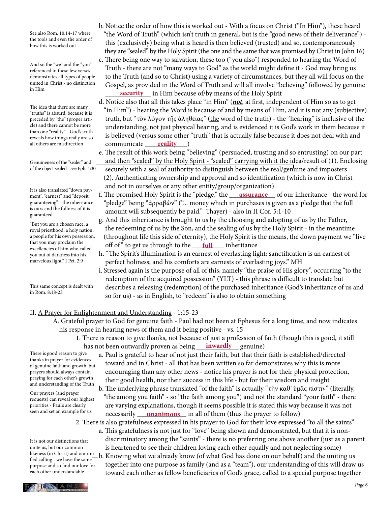See also Rom. 10:14-17 where the tools and even the order of how this is worked out

And so the "we" and the "you" referenced in these few verses demonstrates all types of people united in Christ - no distinction in Him

The idea that there are many "truths" is absurd, because it is preceded by "the" (proper article) and there cannot be more than one "reality" - God's truth reveals how things really are so

Genuineness of the "sealer" and of the object sealed - see Eph. 4:30

It is also translated "down payment", "earnest" and "deposit guaranteeing" - the inheritance is ours and the fullness of it is guaranteed

"But you are a chosen race, a royal priesthood, a holy nation, a people for his own possession, that you may proclaim the excellencies of him who called you out of darkness into his marvelous light." I Pet. 2:9

This same concept is dealt with in Rom. 8:18-23

- b. Notice the order of how this is worked out With a focus on Christ ("In Him"), these heard "the Word of Truth" (which isn't truth in general, but is the "good news of their deliverance") this (exclusively) being what is heard is then believed (trusted) and so, contemporaneously they are "sealed" by the Holy Spirit (the one and the same that was promised by Christ in John 16)
- c. There being one way to salvation, these too ("you also") responded to hearing the Word of Truth - there are not "many ways to God" as the world might define it - God may bring us to the Truth (and so to Christ) using a variety of circumstances, but they all will focus on the Gospel, as provided in the Word of Truth and will all involve "believing" followed by genuine **<u>security</u>** in Him because of/by means of the Holy Spirit
- d. Notice also that all this takes place "in Him" (*not*, at first, independent of Him so as to get "in Him") - hearing the Word is because of and by means of Him, and it is not any (subjective) truth, but "τὸν λόγον τῆς ἀληθείας" (the word of the truth) - the "hearing" is inclusive of the understanding, not just physical hearing, and is evidenced it is God's work in them because it is believed (versus some other "truth" that is actually false because it does not deal with and all others are misdirection communicate <u>reality</u> **reality**
	- e. The result of this work being "believing" (persuaded, trusting and so entrusting) on our part and then "sealed" by the Holy Spirit - "sealed" carrying with it the idea/result of (1). Enclosing securely with a seal of authority to distinguish between the real/genuine and imposters (2). Authenticating ownership and approval and so identification (which is now in Christ and not in ourselves or any other entity/group/organization)
- ment", "earnest" and "deposit<sup>1</sup> f. The promised Holy Spirit is the "pledge," the <u>assurance</u> of our inheritance the word for "pledge" being "ἀρραβὼν" ("... money which in purchases is given as a pledge that the full amount will subsequently be paid." Thayer) - also in II Cor. 5:1-10
- g. And this inheritance is brought to us by the choosing and adopting of us by the Father, the redeeming of us by the Son, and the sealing of us by the Holy Spirit - in the meantime (throughout life this side of eternity), the Holy Spirit is the means, the down payment we "live and you may proclaim the the set of of " to get us through to the <u>full</u> inheritance
	- h. "The Spirit's illumination is an earnest of everlasting light; sanctification is an earnest of perfect holiness; and his comforts are earnests of everlasting joys." MH
	- i. Stressed again is the purpose of all of this, namely "the praise of His glory", occurring "to the redemption of the acquired possession" (YLT) - this phrase is difficult to translate but describes a releasing (redemption) of the purchased inheritance (God's inheritance of us and so for us) - as in English, to "redeem" is also to obtain something

### II. A Prayer for Enlightenment and Understanding - 1:15-23

- A. Grateful prayer to God for genuine faith Paul had not been at Ephesus for a long time, and now indicates his response in hearing news of them and it being positive - vs. 15
- 1. There is reason to give thanks, not because of just a profession of faith (though this is good, it still has not been outwardly proven as being <u>inwardly</u> genuine)
	- a. Paul is grateful to hear of not just their faith, but that their faith is established/directed toward and in Christ - all that has been written so far demonstrates why this is more encouraging than any other news - notice his prayer is not for their physical protection, their good health, nor their success in this life - but for their wisdom and insight
- b. The underlying phrase translated "of the faith" is actually "τὴν καθ' ὑμᾶς πίστιν" (literally, "the among you faith" - so "the faith among you") and not the standard "your faith" - there are varying explanations, though it seems possible it is stated this way because it was not seen and set an example for us hecessarily <u>hanimous</u> in all of them (thus the prayer to follow)
- 2. There is also gratefulness expressed in his prayer to God for their love expressed "to all the saints" a. This gratefulness is not just for "love" being shown and demonstrated, but that it is non discriminatory among the "saints" - there is no preferring one above another (just as a parent is heartened to see their children loving each other equally and not neglecting some) likeness (in Christ) and our uni-<br>fied calling - we have the same—b. Knowing what we already know (of what God has done on our behalf) and the uniting us together into one purpose as family (and as a "team"), our understanding of this will draw us It is not our distinctions that

 toward each other as fellow beneficiaries of God's grace, called to a special purpose together fied calling - we have the same purpose and so find our love for each other understandable

There is good reason to give thanks in prayer for evidences of genuine faith and growth, but prayers should always contain praying for each other's growth and understanding of the Truth

Our prayers (and prayer requests) can reveal our highest priorities - Paul's are clearly seen and set an example for us

PHESIANS

unite us, but our common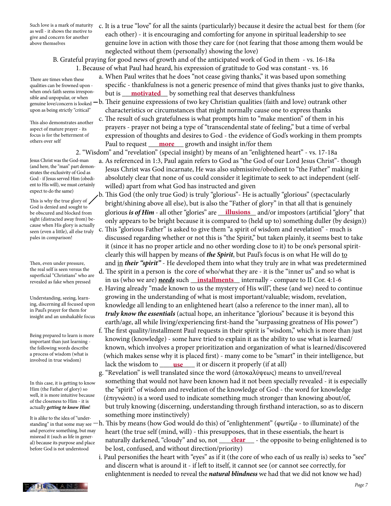Such love is a mark of maturity as well - it shows the motive to give and concern for another above themselves

 c. It is a true "love" for all the saints (particularly) because it desire the actual best for them (for each other) - it is encouraging and comforting for anyone in spiritual leadership to see genuine love in action with those they care for (not fearing that those among them would be neglected without them (personally) showing the love)

B. Grateful praying for good news of growth and of the anticipated work of God in them - vs. 16-18a 1. Because of what Paul had heard, his expression of gratitude to God was constant - vs. 16

There are times when these qualities can be frowned upon when one's faith seems irresponsible and unpopular, or when upon as being strictly "critical"

This also demonstrates another aspect of mature prayer - its focus is for the betterment of others over self

Jesus Christ was the God-man (and here, the "man" part demonstrates the exclusivity of God as God - if Jesus served Him (obedient to His will), we must certainly expect to do the same)

This is why the true glory of God is denied and sought to be obscured and blocked from sight (distracted away from) because when His glory is actually seen (even a little), all else truly pales in comparison!

Then, even under pressure, the real self is seen versus the superficial "Christians" who are revealed as fake when pressed

Understanding, seeing, learning, discerning all focused upon in Paul's prayer for them for insight and an unshakable focus

Being prepared to learn is more important than just learning the following words describe a process of wisdom (what is involved in true wisdom)

In this case, it is getting to know Him (the Father of glory) so well, it is more intuitive because of the closeness to Him - it is actually *getting to know Him*!

It is alike to the idea of "underand perceive something, but may misread it (such as life in general) because its purpose and place before God is not understood

 a. When Paul writes that he does "not cease giving thanks," it was based upon something specific - thankfulness is not a generic presence of mind that gives thanks just to give thanks, when one's taith seems irrespon-<br>when one's taith seems irrespon-<br>

genuine love/concern is looked —b. Their genuine expressions of two key Christian qualities (faith and love) outrank other characteristics or circumstances that might normally cause one to express thanks

 c. The result of such gratefulness is what prompts him to "make mention" of them in his prayers - prayer not being a type of "transcendental state of feeling," but a time of verbal expression of thoughts and desires to God - the evidence of God's working in them prompts omers over sen **Figure 2 Paul to request <u>more</u>** growth and insight in/for them

2. "Wisdom" and "revelation" (special insight) by means of an "enlightened heart" - vs. 17-18a

 a. As referenced in 1:3, Paul again refers to God as "the God of our Lord Jesus Christ"- though Jesus Christ was God incarnate, He was also submissive/obedient to "the Father" making it absolutely clear that none of us could consider it legitimate to seek to act independent (self willed) apart from what God has instructed and given

 b. This God (the only true God) is truly "glorious"- He is actually "glorious" (spectacularly bright/shining above all else), but is also the "Father of glory" in that all that is genuinely be obscured and blocked from glorious *is of Him* - all other "glories" are <u>\_\_\_illusions\_\_</u> and/or impostors (artificial "glory" that only appears to be bright because it is compared to (held up to) something duller (by design)) c. This "glorious Father" is asked to give them "a spirit of wisdom and revelation" - much is discussed regarding whether or not this is "the Spirit," but taken plainly, it seems best to take it (since it has no proper article and no other wording close to it) to be one's personal spirit clearly this will happen by means of *the Spirit*, but Paul's focus is on what He will do to and in *their "spirit"* - He developed them into what they truly are in what was predetermined

 d. The spirit in a person is the core of who/what they are - it is the "inner us" and so what is in us (who we are) *needs* such \_\_\_\_\_\_\_\_\_\_\_\_\_\_ internally - compare to II Cor. 4:1-6 **installments** e. Having already "made known to us the mystery of His will", these (and we) need to continue

- growing in the understanding of what is most important/valuable; wisdom, revelation, knowledge all lending to an enlightened heart (also a reference to the inner man), all to *truly know the essentials* (actual hope, an inheritance "glorious" because it is beyond this earth/age, all while living/experiencing first-hand the "surpassing greatness of His power")
- f. The first quality/installment Paul requests in their spirit is "wisdom," which is more than just knowing (knowledge) - some have tried to explain it as the ability to use what is learned/ known, which involves a proper prioritization and organization of what is learned/discovered (which makes sense why it is placed first) - many come to be "smart" in their intelligence, but **lack the wisdom to <u>luse</u>** it or discern it properly (if at all)
	- g. "Revelation" is well translated since the word (ἀποκαλύψεως) means to unveil/reveal something that would not have been known had it not been specially revealed - it is especially the "spirit" of wisdom and revelation of the knowledge of God - the word for knowledge (ἐπιγνώσει) is a word used to indicate something much stronger than knowing about/of, but truly knowing (discerning, understanding through firsthand interaction, so as to discern something more instinctively)
- standing" in that some may see  $-\rm h.$  This by means (how God would do this) of "enlightenment" (φωτίζω to illuminate) of the heart (the true self (mind, will) - this presupposes, that in these essentials, the heart is al) because its purpose and place and place **that is used in all plants of the opposite** to being enlightened is to be lost, confused, and without direction/priority)
	- i. Paul personifies the heart with "eyes" as if it (the core of who each of us really is) seeks to "see" and discern what is around it - if left to itself, it cannot see (or cannot see correctly, for enlightenment is needed to reveal the *natural blindness* we had that we did not know we had)

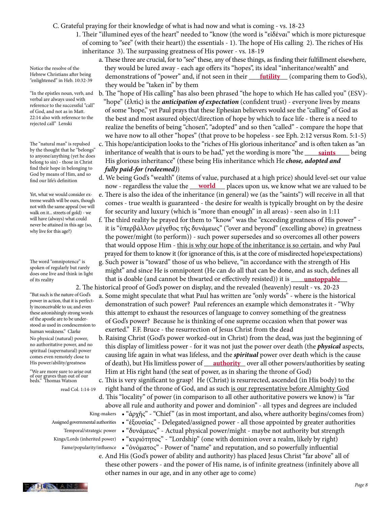C. Grateful praying for their knowledge of what is had now and what is coming - vs. 18-23

 1. Their "illumined eyes of the heart" needed to "know (the word is "εἰδέναι" which is more picturesque of coming to "see" (with their heart)) the essentials - 1). The hope of His calling 2). The riches of His inheritance 3). The surpassing greatness of His power - vs. 18-19

 a. These three are crucial, for to "see" these, any of these things, as finding their fulfillment elsewhere, they would be lured away - each age offers its "hopes", its ideal "inheritance/wealth" and Hebrew Christians after being demonstrations of "power" and, if not seen in their <u>futility</u> (comparing them to God's), they would be "taken in" by them

> b. The "hope of His calling" has also been phrased "the hope to which He has called you" (ESV)- "hope" (ἐλπὶς) is the *anticipation of expectation* (confident trust) - everyone lives by means of some "hope," yet Paul prays that these Ephesian believers would see the "calling" of God as the best and most assured object/direction of hope by which to face life - there is a need to realize the benefits of being "chosen", "adopted" and so then "called" - compare the hope that we have now to all other "hopes" (that prove to be hopeless - see Eph. 2:12 versus Rom. 5:1-5) c. This hope/anticipation looks to the "riches of His glorious inheritance" and is often taken as "an inheritance of wealth that is ours to be had," yet the wording is more "the saints being His glorious inheritance" (these being His inheritance which He *chose, adopted and fully paid-for (redeemed)*) **saints**

 d. We being God's "wealth" (items of value, purchased at a high price) should level-set our value now - regardless the value the <u>world self acces</u> upon us, we know what we are valued to be

- e. There is also the idea of the inheritance (in general) we (as the "saints") will receive in all that comes - true wealth is guaranteed - the desire for wealth is typically brought on by the desire for security and luxury (which is "more than enough" in all areas) - seen also in 1:11
- f. The third reality he prayed for them to "know" was the "exceeding greatness of His power" it is "ὑπερβάλλον μέγεθος τῆς δυνάμεως" ("over and beyond" (excelling above) in greatness the power/might (to perform)) - such power supersedes and so overcomes all other powers that would oppose Him - this is why our hope of the inheritance is so certain, and why Paul prayed for them to know it (for ignorance of this, is at the core of misdirected hope\expectations)
- g. Such power is "toward" those of us who believe, "in accordance with the strength of His might" and since He is omnipotent (He can do all that can be done, and as such, defines all of its reality **that is doable (and cannot be thwarted or effectively resisted)) it is <u>mstoppable</u>**  2. The historical proof of God's power on display, and the revealed (heavenly) result - vs. 20-23
	- a. Some might speculate that what Paul has written are "only words" where is the historical demonstration of such power? Paul references an example which demonstrates it - "Why this attempt to exhaust the resources of language to convey something of the greatness of God's power? Because he is thinking of one supreme occasion when that power was exerted." F.F. Bruce - the resurrection of Jesus Christ from the dead
- b. Raising Christ (God's power worked-out in Christ) from the dead, was just the beginning of this display of limitless power - for it was not just the power over death (the *physical* aspects, causing life again in what was lifeless, and the *spiritual* power over death which is the cause His power/ability/greatness of death), but His limitless power of <u>authority</u> over all other powers/authorities by seating Him at His right hand (the seat of power, as in sharing the throne of God)

 c. This is very significant to grasp! He (Christ) is resurrected, ascended (in His body) to the right hand of the throne of God, and as such is our representative before Almighty God

- d. This "locality" of power (in comparison to all other authoritative powers we know) is "far above all rule and authority and power and dominion" - all types and degrees are included
- "ἀρχῆς" "Chief" (as in most important, and also, where authority begins/comes from) King-makers • "ἐξουσίας" - Delegated/assigned power - all those appointed by greater authorities Assigned governmental authorities

• "δυνάμεως" - Actual physical power/might - maybe not authority but strength Temporal/strategic power

- "κυριότητος" "Lordship" (one with dominion over a realm, likely by right) Kings/Lords (inherited power)
	- "ὀνόματος" Power of "name" and reputation, and so powerfully influential Fame/popularity/influence
		- e. And His (God's power of ability and authority) has placed Jesus Christ "far above" all of these other powers - and the power of His name, is of infinite greatness (infinitely above all other names in our age, and in any other age to come)

Notice the resolve of the Hebrew Christians after being "enlightened" in Heb. 10:32-39

"In the epistles noun, verb, and verbal are always used with reference to the successful "call" of God, and not as in Matt. 22:14 also with reference to the rejected call" Lenski

The "natural man" is repulsed by the thought that he "belongs" to anyone/anything (yet he does belong to sin) - those in Christ find their hope in belonging to God by means of Him, and so find our life's definition

Yet, what we would consider extreme wealth will be ours, though not with the same appeal (we will walk on it... streets of gold) - we will have (always) what could never be attained in this age (so, why live for this age?)

The word "omnipotence" is spoken of regularly but rarely does one live and think in light of its reality

"But such is the nature of God's power in action, that it is perfectly inconceivable to us; and even these astonishingly strong words of the apostle are to be understood as used in condescension to human weakness." Clarke No physical (natural) power, no authoritative power, and no spiritual (supernatural) power comes even remotely close to His power/ability/greatness

"We are more sure to arise out of our graves than out of our beds." Thomas Watson

read Col. 1:14-19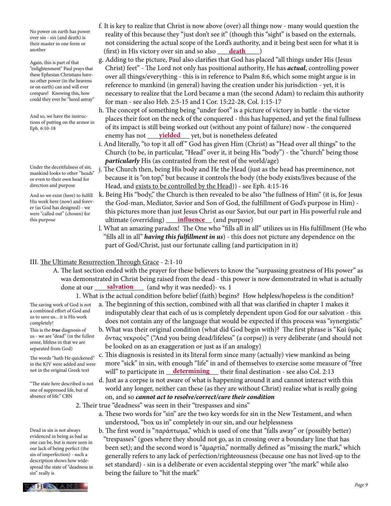No power on earth has power over sin - sin (and death) is their master in one form or another

Again, this is part of that "enlightenment" Paul prays that these Ephesian Christians haveno other power (in the heavens or on earth) can and will ever compare! Knowing this, how could they ever be "lured astray"

And so, we have the instructions of putting on the armor in Eph. 6:10-18

Under the deceitfulness of sin, mankind looks to other "heads" or even to their own head for direction and purpose

And so we exist (here) to fulfill His work here (now) and forever (as God has designed) - we were "called out" (chosen) for this purpose

- f. It is key to realize that Christ is now above (over) all things now many would question the reality of this because they "just don't see it" (though this "sight" is based on the externals, not considering the actual scope of the Lord's authority, and it being best seen for what it is another **death** (first) in His victory over sin and so also <u>death</u> )
	- g. Adding to the picture, Paul also clarifies that God has placed "all things under His (Jesus Christ) feet" - The Lord not only has positional authority, He has *actual*, controlling power over all things/everything - this is in reference to Psalm 8:6, which some might argue is in reference to mankind (in general) having the creation under his jurisdiction - yet, it is necessary to realize that the Lord became a man (the second Adam) to reclaim this authority for man - see also Heb. 2:5-15 and I Cor. 15:22-28, Col. 1:15-17
- h. The concept of something being "under foot" is a picture of victory in battle the victor places their foot on the neck of the conquered - this has happened, and yet the final fullness of its impact is still being worked out (without any point of failure) now - the conquered enemy has not <u>\_\_\_\_\_**yielded**\_\_\_\_</u> yet, but is nonetheless defeated
	- i. And literally, "to top it all off" God has given Him (Christ) as "Head over all things" to the Church (to be, in particular, "Head" over it, it being His "body") - the "church" being those *particularly* His (as contrasted from the rest of the world/age)
	- j. The Church then, being His body and He the Head (just as the head has preeminence, not because it is "on top," but because it controls the body (the body exists/lives because of the Head, and exists to be controlled by the Head)) - see Eph. 4:15-16
- k. Being His "body," the Church is then revealed to be also "the fullness of Him" (it is, for Jesus the God-man, Mediator, Savior and Son of God, the fulfillment of God's purpose in Him) this pictures more than just Jesus Christ as our Savior, but our part in His powerful rule and this purpose **influence** (and purpose) **influence** (and purpose)
	- l. What an amazing paradox! The One who "fills all in all" utilizes us in His fulfillment (He who "fills all in all" *having this fulfillment in us*) - this does not picture any dependence on the part of God/Christ, just our fortunate calling (and participation in it)

### III. The Ultimate Resurrection Through Grace - 2:1-10

- A. The last section ended with the prayer for these believers to know the "surpassing greatness of His power" as was demonstrated in Christ being raised from the dead - this power is now demonstrated in what is actually done at our <u>salvation</u> (and why it was needed)- vs. 1
	- 1. What is the actual condition before belief (faith) begins? How helpless/hopeless is the condition?

The saving work of God is not a combined effort of God and us to save us... it is His work completely!

This is the *true* diagnosis of us - we are "dead" (in the fullest sense, lifeless in that we are separated from God)

The words "hath He quickened" in the KJV were added and were not in the original Greek text

"The state here described is not one of suppressed life, but of absence of life." CBN

Dead in sin is not always evidenced in being as bad as one can be, but is more seen in our lack of being perfect (the sin of imperfection) - such a description shows how widespread the state of "deadness in sin" really is

- a. The beginning of this section, combined with all that was clarified in chapter 1 makes it indisputably clear that each of us is completely dependent upon God for our salvation - this does not contain any of the language that would be expected if this process was "synergistic"
- b. What was their original condition (what did God begin with)? The first phrase is "Καὶ ὑμᾶς ὄντας νεκροὺς" ("And you being dead/lifeless" (a corpse)) is very deliberate (and should not be looked on as an exaggeration or just as if an analogy)
- c. This diagnosis is resisted in its literal form since many (actually) view mankind as being more "sick" in sin, with enough "life" in and of themselves to exercise some measure of "free not in the original Greek text will" to participate in <u>determining</u> their final destination - see also Col. 2:13
	- d. Just as a corpse is not aware of what is happening around it and cannot interact with this world any longer, neither can these (as they are without Christ) realize what is really going on, and so *cannot act to resolve/correct/cure their condition*
	- 2. Their true "deadness" was seen in their "trespasses and sins"
		- a. These two words for "sin" are the two key words for sin in the New Testament, and when understood, "box us in" completely in our sin, and our helplessness
		- b. The first word is "παράπτωμα," which is used of one that "falls away" or (possibly better) "trespasses" (goes where they should not go, as in crossing over a boundary line that has been set); and the second word is "ἁμαρτία," normally defined as "missing the mark," which generally refers to any lack of perfection/righteousness (because one has not lived-up to the set standard) - sin is a deliberate or even accidental stepping over "the mark" while also being the failure to "hit the mark"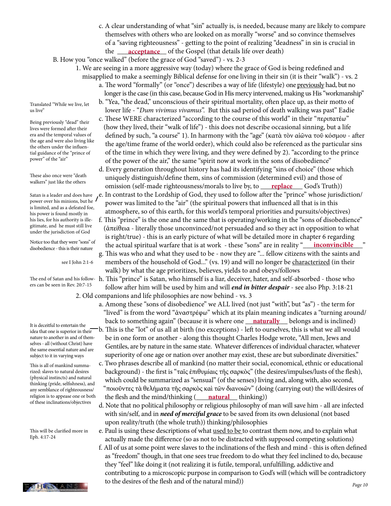c. A clear understanding of what "sin" actually is, is needed, because many are likely to compare themselves with others who are looked on as morally "worse" and so convince themselves of a "saving righteousness" - getting to the point of realizing "deadness" in sin is crucial in the <u>acceptance</u> of the Gospel (that details life over death)

B. How you "once walked" (before the grace of God "saved") - vs. 2-3

- 1. We are seeing in a more aggressive way (today) where the grace of God is being redefined and misapplied to make a seemingly Biblical defense for one living in their sin (it is their "walk") - vs. 2
	- a. The word "formally" (or "once") describes a way of life (lifestyle) one previously had, but no longer is the case (in this case, because God in His mercy intervened, making us His "workmanship"
	- b. "Yea, "the dead," unconscious of their spiritual mortality, often place up, as their motto of lower life - "*Dum vivimus vivamus*". But this sad period of death walking was past" Eadie
	- c. These WERE characterized "according to the course of this world" in their "περιπατέω" (how they lived, their "walk of life") - this does not describe occasional sinning, but a life defined by such, "a course" 1). In harmony with the "age" (κατὰ τὸν αἰῶνα τοῦ κόσμου - after the age/time frame of the world order), which could also be referenced as the particular sins of the time in which they were living, and they were defined by 2). "according to the prince of the power of the air," the same "spirit now at work in the sons of disobedience"

 d. Every generation throughout history has had its identifying "sins of choice" (those which uniquely distinguish/define them, sins of commission (determined evil) and those of omission (self-made righteousness/morals to live by, to <u>replace</u> God's Truth)) **replace**

- Satan is a leader and does have  $\,$  ,e. In contrast to the Lordship of God, they used to follow after the "prince" whose jurisdiction/ power over his minions, but he 'power was limited to the "air" (the spiritual powers that influenced all that is in this atmosphere, so of this earth, for this world's temporal priorities and pursuits/objectives)
- f. This "prince" is the one and the same that is operating/working in the "sons of disobedience" (ἀπείθεια - literally those unconvinced/not persuaded and so they act in opposition to what is right/true) - this is an early picture of what will be detailed more in chapter 6 regarding Notice too that they were sons or the actual spiritual warfare that is at work - these "sons" are in reality "<u>noonvincible "</u> g. This was who and what they used to be - now they are "... fellow citizens with the saints and members of the household of God..." (vs. 19) and will no longer be characterized (in their
	- walk) by what the age prioritizes, believes, yields to and obeys/follows

The end of Satan and his follow-  $\,$  h. This "prince" is Satan, who himself is a liar, deceiver, hater, and self-absorbed - those who follow after him will be used by him and will *end in bitter despair* - see also Php. 3:18-21 2. Old companions and life philosophies are now behind - vs. 3

- a. Among these "sons of disobedience" we ALL lived (not just "with", but "as") the term for "lived" is from the word "ἀναστρέφω" which at its plain meaning indicates a "turning around/ back to something again" (because it is where one \_\_\_\_\_\_\_\_\_\_\_\_ belongs and is inclined) **naturally**
	- b. This is the "lot" of us all at birth (no exceptions) left to ourselves, this is what we all would be in one form or another - along this thought Charles Hodge wrote, "All men, Jews and Gentiles, are by nature in the same state. Whatever differences of individual character, whatever superiority of one age or nation over another may exist, these are but subordinate diversities."
- c. Two phrases describe all of mankind (no matter their social, economical, ethnic or educational background) - the first is "ταῖς ἐπιθυμίαις τῆς σαρκὸς" (the desires/impulses/lusts of the flesh), which could be summarized as "sensual" (of the senses) living and, along with, also second, "ποιοῦντες τὰ θελήματα τῆς σαρκὸς καὶ τῶν διανοιῶν" (doing (carrying out) the will/desires of religion is to appease one or both the flesh and the mind/thinking (**\_\_\_\_\_natural\_\_\_\_**thinking))
	- d. Note that no political philosophy or religious philosophy of man will save him all are infected with sin/self, and in *need of merciful grace* to be saved from its own delusional (not based upon reality/truth (the whole truth)) thinking/philosophies

e. Paul is using these descriptions of what used to be to contrast them now, and to explain what actually made the difference (so as not to be distracted with supposed competing solutions)

 f. All of us at some point were slaves to the inclinations of the flesh and mind - this is often defined as "freedom" though, in that one sees true freedom to do what they feel inclined to do, because they "feel" like doing it (not realizing it is futile, temporal, unfulfilling, addictive and contributing to a microscopic purpose in comparison to God's will (which will be contradictory to the desires of the flesh and of the natural mind))  $\mathbf{F}$ 

Translated "While we live, let us live"

Being previously "dead" their lives were formed after their era and the temporal values of the age and were also living like the others under the influential guidance of the "prince of power" of the "air"

These also once were "death walkers" just like the others

Satan is a leader and does have power over his minions, but he is limited, and as a defeated foe, his power is found mostly in his lies, for his authority is illegitimate, and he must still live under the jurisdiction of God

Notice too that they were "sons" of disobedience - this is their nature

see I John 2:1-6

ers can be seen in Rev. 20:7-15

It is deceitful to entertain the idea that one is superior in their nature to another in and of themselves - all (without Christ) have the same essential nature and are subject to it in varying ways

This is all of mankind summarized: slaves to natural desires (physical instincts) and natural thinking (pride, selfishness), and any semblance of righteousness/ religion is to appease one or both of these inclinations/objectives

This will be clarified more in Eph. 4:17-24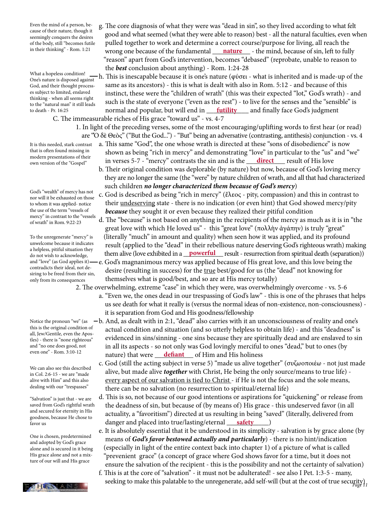Even the mind of a person, because of their nature, though it seemingly conquers the desires of the body, still "becomes futile in their thinking" - Rom. 1:21

What a hopeless condition! One's nature is disposed against God, and their thought processes subject to limited, enslaved thinking - when all seems right to the "natural man" it still leads to death - Pr. 16:25

It is this needed, stark contrast that is often found missing in modern presentations of their own version of the "Gospel"

God's "wealth" of mercy has not nor will it be exhausted on those to whom it was applied- notice the use of the term "vessels of mercy" in contrast to the "vessels of wrath" in Rom. 9:22-23

To the unregenerate "mercy" is unwelcome because it indicates a helpless, pitiful situation they do not wish to acknowledge, and "love" (as God applies it) contradicts their ideal, not desiring to be freed from their sin, only from its consequences

this is the original condition of all, Jew/Gentile, even the Apostles) - there is "none righteous" and "no one does good, not even one" - Rom. 3:10-12

We can also see this described in Col. 2:6-15 - we are "made alive with Him" and this also dealing with our "trespasses"

"Salvation" is just that - we are saved from God's rightful wrath and secured for eternity in His goodness, because He chose to favor us

One is chosen, predetermined and adopted by God's grace alone and is secured in it being His grace alone and not a mixture of our will and His grace

 g. The core diagnosis of what they were was "dead in sin", so they lived according to what felt good and what seemed (what they were able to reason) best - all the natural faculties, even when pulled together to work and determine a correct course/purpose for living, all reach the in their thinking" - Rom. 1:21 **wrong one because of the fundamental <u>nature</u>** - the mind, because of sin, left to fully "reason" apart from God's intervention, becomes "debased" (reprobate, unable to reason to the *best* conclusion about anything) - Rom. 1:24-28

 h. This is inescapable because it is one's nature (φύσει - what is inherited and is made-up of the same as its ancestors) - this is what is dealt with also in Rom. 5:12 - and because of this instinct, these were the "children of wrath" (this was their expected "lot," God's wrath) - and such is the state of everyone ("even as the rest") - to live for the senses and the "sensible" is normal and popular, but will end in \_\_\_\_\_\_\_\_\_\_\_\_ and finally face God's judgment **futility** C. The immeasurable riches of His grace "toward us" - vs. 4-7

> 1. In light of the preceding verses, some of the most encouraging/uplifting words to first hear (or read) are "Ὁ δὲ Θεὸς" ("But the God...") - "But" being an adversative (contrasting, antithesis) conjunction - vs. 4

- a. This same "God", the one whose wrath is directed at these "sons of disobedience" is now shown as being "rich in mercy" and demonstrating "love" in particular to the "us" and "we" own version of the "Gospel" in verses 5-7 - "mercy" contrasts the sin and is the <u>direct</u> result of His love
	- b. Their original condition was deplorable (by nature) but now, because of God's loving mercy they are no longer the same (the "were" by nature children of wrath, and all that had characterized such children *no longer characterized them because of God's mercy*)
	- c. God is described as being "rich in mercy" (ἔλεος pity, compassion) and this in contrast to their undeserving state - there is no indication (or even hint) that God showed mercy/pity *because* they sought it or even because they realized their pitiful condition
- d. The "because" is not based on anything in the recipients of the mercy as much as it is in "the great love with which He loved us" - this "great love" (πολλὴν ἀγάπην) is truly "great" (literally "much" in amount and quality) when seen how it was applied, and its profound result (applied to the "dead" in their rebellious nature deserving God's righteous wrath) making do not wish to acknowledge, them alive (love exhibited in a **powerful** result - resurrection from spiritual death (separation)) e. God's magnanimous mercy was applied because of His great love, and this love being the desire (resulting in success) for the true best/good for us (the "dead" not knowing for
	- themselves what is good/best, and so are at His mercy totally)

2. The overwhelming, extreme "case" in which they were, was overwhelmingly overcome - vs. 5-6

- a. "Even we, the ones dead in our trespassing of God's law" this is one of the phrases that helps us see death for what it really is (versus the normal ideas of non-existence, non-consciousness) it is separation from God and His goodness/fellowship
- Notice the pronoun "we" (as  $\,$   $-$  b. And, as dealt with in 2:1, "dead" also carries with it an unconsciousness of reality and one's  $\,$  actual condition and situation (and so utterly helpless to obtain life) - and this "deadness" is evidenced in sins/sinning - one sins because they are spiritually dead and are enslaved to sin in all its aspects - so not only was God lovingly merciful to ones "dead," but to ones (by even one  $\cdot$  Rom. 3:10-12 **hat were <u>defiant</u>** of Him and His holiness
	- c. God (still the acting subject in verse 5) "made us alive together" (συζωοποιέω not just made alive, but made alive *together* with Christ, He being the only source/means to true life) every aspect of our salvation is tied to Christ - if He is not the focus and the sole means, there can be no salvation (no resurrection to spiritual/eternal life)
- d. This is so, not because of our good intentions or aspirations for "quickening" or release from the deadness of sin, but because of (by means of) His grace - this undeserved favor (in all actuality, a "favoritism") directed at us resulting in being "saved" (literally, delivered from favor us **state of the contract of the danger and placed into true/lasting/eternal safety** 
	- e. It is absolutely essential that it be understood in its simplicity salvation is by grace alone (by means of *God's favor bestowed actually and particularly*) - there is no hint/indication (especially in light of the entire context back into chapter 1) of a picture of what is called "prevenient grace" (a concept of grace where God shows favor for a time, but it does not ensure the salvation of the recipient - this is the possibility and not the certainty of salvation)
- **PART STANS** seeking to make this palatable to the unregenerate, add self-will (but at the cost of true security) f. This is at the core of "salvation" - it must not be adulterated! - see also I Pet. 1:3-5 - many,

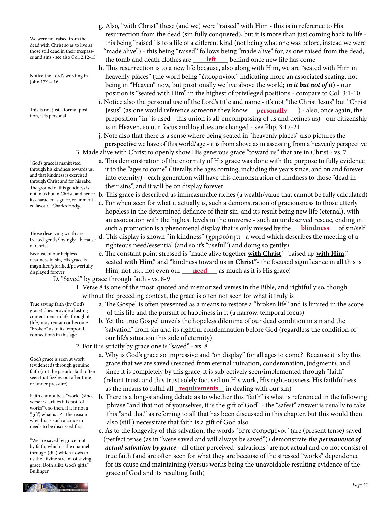We were not raised from the dead with Christ so as to live as those still dead in their trespasses and sins - see also Col. 2:12-15

Notice the Lord's wording in John 17:14-16

This is not just a formal position, it is personal

"God's grace is manifested through his kindness towards us, and that kindness is exercised through Christ and for his sake. The ground of this goodness is not in us but in Christ, and hence its character as grace, or unmerited favour." Charles Hodge

Those deserving wrath are treated gently/lovingly - because of Christ

Because of our helpless deadness in sin, His grace is magnified/glorified/powerfully displayed forever

# D. "Saved" by grace through faith - vs. 8-9

### 1. Verse 8 is one of the most quoted and memorized verses in the Bible, and rightfully so, though without the preceding context, the grace is often not seen for what it truly is

- a. The Gospel is often presented as a means to restore a "broken life" and is limited in the scope of this life and the pursuit of happiness in it (a narrow, temporal focus)
- b. Yet the true Gospel unveils the hopeless dilemma of our dead condition in sin and the "salvation" from sin and its rightful condemnation before God (regardless the condition of our life's situation this side of eternity)
- 2. For it is strictly by grace one is "saved" vs. 8
- a. Why is God's grace so impressive and "on display" for all ages to come? Because it is by this grace that we are saved (rescued from eternal ruination, condemnation, judgment), and since it is completely by this grace, it is subjectively seen/implemented through "faith" (reliant trust, and this trust solely focused on His work, His righteousness, His faithfulness as the means to fulfill all **requirements** in dealing with our sin)
	- b. There is a long-standing debate as to whether this "faith" is what is referenced in the following phrase "and that not of yourselves, it is the gift of God" - the "safest" answer is usually to take this "and that" as referring to all that has been discussed in this chapter, but this would then also (still) necessitate that faith is a gift of God also
	- c. As to the longevity of this salvation, the words "ἐστε σεσῳσμένοι" (are (present tense) saved (perfect tense (as in "were saved and will always be saved")) demonstrate *the permanence of actual salvation by grace* - all other perceived "salvations" are not actual and do not consist of true faith (and are often seen for what they are because of the stressed "works" dependence for its cause and maintaining (versus works being the unavoidable resulting evidence of the grace of God and its resulting faith)
- h. This resurrection is to a new life because, also along with Him, we are "seated with Him in heavenly places" (the word being "ἐπουρανίοις" indicating more an associated seating, not being in "Heaven" now, but positionally we live above the world; *in it but not of it*) - our position is "seated with Him" in the highest of privileged positions - compare to Col. 3:1-10
- i. Notice also the personal use of the Lord's title and name it's not "the Christ Jesus" but "Christ This is not just a formal posi-**come is a conerm of the souties of the conercy** of they know <u>personally</u> and so, once again, the preposition "in" is used - this union is all-encompassing of us and defines us) - our citizenship is in Heaven, so our focus and loyalties are changed - see Php. 3:17-21

 j. Note also that there is a sense where being seated in "heavenly places" also pictures the **perspective** we have of this world/age - it is from above as in assessing from a heavenly perspective 3. Made alive with Christ to openly show His generous grace "toward us" that are in Christ - vs. 7

 a. This demonstration of the enormity of His grace was done with the purpose to fully evidence it to the "ages to come" (literally, the ages coming, including the years since, and on and forever into eternity) - each generation will have this demonstration of kindness to those "dead in their sins", and it will be on display forever

b. This grace is described as immeasurable riches (a wealth/value that cannot be fully calculated)

- c. For when seen for what it actually is, such a demonstration of graciousness to those utterly hopeless in the determined defiance of their sin, and its result being new life (eternal), with an association with the highest levels in the universe - such an undeserved rescue, ending in such a promotion is a phenomenal display that is only missed by the **blindness** of sin/self
	- d. This display is shown "in kindness" (χρηστότητι a word which describes the meeting of a righteous need/essential (and so it's "useful") and doing so gently)
- e. The constant point stressed is "made alive together **with Christ**," "raised up **with Him**," seated **with Him**," and "kindness toward us **in Christ**"- the focused significance in all this is displayed forever **holds** Farming Partistic Pilim, not us... not even our <u>need</u> as much as it is His grace!

**PHLESTAN** :

True saving faith (by God's grace) does provide a lasting contentment in life, though it (life) may remain or become "broken" as to its temporal connections in this age

God's grace is seen at work (evidenced) through genuine faith (not the pseudo-faith often seen that fizzles-out after time or under pressure)

Faith cannot be a "work" (since verse 9 clarifies it is not "of works"), so then, if it is not a "gift", what is it? - the reason why this is such a concern needs to be discussed first

"We are saved by grace, not by faith, which is the channel through (dia) which flows to us the Divine stream of saving grace. Both alike God's gifts." Bullinger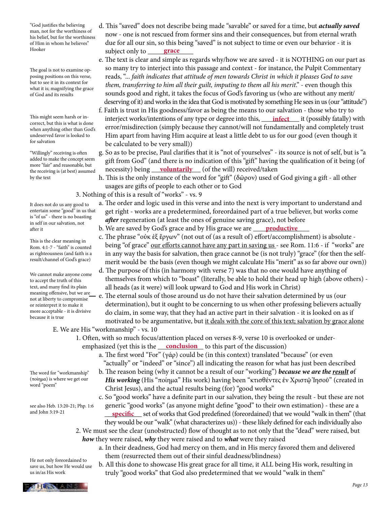"God justifies the believing man, not for the worthiness of his belief, but for the worthiness of Him in whom he believes" Hooker

The goal is not to examine opposing positions on this verse, but to see it in its context for what it is; magnifying the grace of God and its results

This might seem harsh or incorrect, but this is what is done when anything other than God's undeserved favor is looked to for salvation

"Willingly" receiving is often added to make the concept seem more "fair" and reasonable, but the receiving is (at best) assumed by the text

It does not do us any good to entertain some "good" in us that is "of us" - there is no boasting in self in our salvation, not after it

This is the clear meaning in Rom. 4:1-7 - "faith" is counted as righteousness (and faith is a result/channel of God's grace)

We cannot make anyone come to accept the truth of this text, and many find its plain meaning offensive, but we are not at liberty to compromise or reinterpret it to make it more acceptable - it is divisive because it is true

The word for "workmanship" (ποίημα) is where we get our word "poem"

see also Heb. 13:20-21; Php. 1:6 and John 3:19-21

He not only foreordained to save us, but how He would use us in/as His work

- d. This "saved" does not describe being made "savable" or saved for a time, but *actually saved* now - one is not rescued from former sins and their consequences, but from eternal wrath due for all our sin, so this being "saved" is not subject to time or even our behavior - it is Hooker subject only to <u>grace</u>
	- e. The text is clear and simple as regards why/how we are saved it is NOTHING on our part as so many try to interject into this passage and context - for instance, the Pulpit Commentary reads, "... *faith indicates that attitude of men towards Christ in which it pleases God to save them, transferring to him all their guilt, imputing to them all his merit*." - even though this sounds good and right, it takes the focus of God's favoring us (who are without any merit/ deserving of it) and works in the idea that God is motivated by something He sees in us (our "attitude")
- f. Faith is trust in His goodness/favor as being the means to our salvation those who try to This might seem harsh or in-<br>correct but this is what is done. Interject works/intentions of any type or degree into this, <u>infect</u> it (possibly fatally) with error/misdirection (simply because they cannot/will not fundamentally and completely trust Him apart from having Him acquire at least a little debt to us for our good (even though it be calculated to be very small))
- g. So as to be precise, Paul clarifies that it is "not of yourselves" its source is not of self, but is "a gift from God" (and there is no indication of this "gift" having the qualification of it being (of the receiving is (at best) assumed necessity) being <u>voluntarily</u> (of the will) received/taken
	- h. This is the only instance of the word for "gift" (δῶρον) used of God giving a gift all other usages are gifts of people to each other or to God

3. Nothing of this is a result of "works" - vs. 9

- a. The order and logic used in this verse and into the next is very important to understand and get right - works are a predetermined, foreordained part of a true believer, but works come *after* regeneration (at least the ones of genuine saving grace), not before
- b. We are saved by God's grace and by His grace we are \_\_\_\_\_\_\_\_\_\_\_\_\_\_\_\_ **productive**
	- c. The phrase "οὐκ ἐξ ἔργων" (not out of (as a result of) effort/accomplishment) is absolute being "of grace" our efforts cannot have any part in saving us - see Rom. 11:6 - if "works" are in any way the basis for salvation, then grace cannot be (is not truly) "grace" (for then the self merit would be the basis (even though we might calculate His "merit" as so far above our own))
	- d. The purpose of this (in harmony with verse 7) was that no one would have anything of themselves from which to "boast" (literally, be able to hold their head up high (above others) all heads (as it were) will look upward to God and His work in Christ)
	- e. The eternal souls of those around us do not have their salvation determined by us (our determination), but it ought to be concerning to us when other professing believers actually do claim, in some way, that they had an active part in their salvation - it is looked on as if motivated to be argumentative, but it deals with the core of this text; salvation by grace alone
	- E. We are His "workmanship" vs. 10
- 1. Often, with so much focus/attention placed on verses 8-9, verse 10 is overlooked or under emphasized (yet this is the <u>conclusion</u> to this part of the discussion)
	- a. The first word "For" (γάρ) could be (in this context) translated "because" (or even "actually" or "indeed" or "since") all indicating the reason for what has just been described
	- b. The reason being (why it cannot be a result of our "working") *because we are the result o*f *His working* (His "ποίημα" His work) having been "κτισθέντες ἐν Χριστῷ Ἰησοῦ" (created in Christ Jesus), and the actual results being (for) "good works"
	- c. So "good works" have a definite part in our salvation, they being the result but these are not generic "good works" (as anyone might define "good" to their own estimation) - these are a
- and John 3:19-21 **specific** set of works that God predefined (foreordained) that we would "walk in them" (that they would be our "walk" (what characterizes us)) - these likely defined for each individually also 2. We must see the clear (unobstructed) flow of thought as to not only that the "dead" were raised, but
	- *how* they were raised, *why* they were raised and to *what* were they raised
		- a. In their deadness, God had mercy on them, and in His mercy favored them and delivered them (resurrected them out of their sinful deadness/blindness)
		- b. All this done to showcase His great grace for all time, it ALL being His work, resulting in truly "good works" that God also predetermined that we would "walk in them"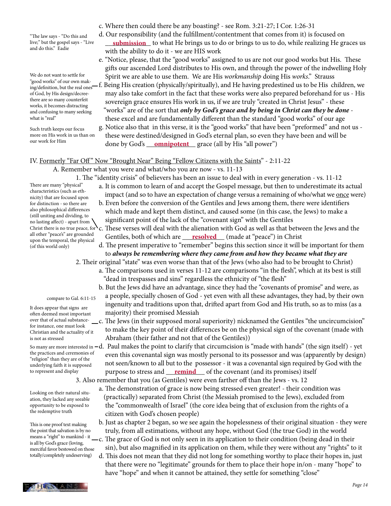"The law says - "Do this and live;" but the gospel says - "Live and do this." Eadie

We do not want to settle for ing/definition, but the real ones of God, by His design/decreethere are so many counterfeit works, it becomes distracting and confusing to many seeking what is "real"

Such truth keeps our focus more on His work in us than on our work for Him

c. Where then could there be any boasting? - see Rom. 3:21-27; I Cor. 1:26-31

- d. Our responsibility (and the fulfillment/contentment that comes from it) is focused on live;" but the gospel says - "Live **come <u>submission</u>** to what He brings us to do or brings to us to do, while realizing He graces us with the ability to do it - we are HIS work
- e. "Notice, please, that the "good works" assigned to us are not our good works but His. These gifts our ascended Lord distributes to His own, and through the power of the indwelling Holy We do not want to settle for Spirit we are able to use them. We are His *workmanship* doing His *works*." Strauss "good works" of our own mak-
- "good works" of our own mak-<br>ing/definition, but the real ones—f. Being His creation (physically/spiritually), and He having predestined us to be His children, we may also take comfort in the fact that these works were also prepared beforehand for us - His sovereign grace ensures His work in us, if we are truly "created in Christ Jesus" - these "works" are of the sort that *only by God's grace and by being in Christ can they be done* these excel and are fundamentally different than the standard "good works" of our age
- g. Notice also that in this verse, it is the "good works" that have been "preformed" and not us these were destined/designed in God's eternal plan, so even they have been and will be <sup>our work for Him</sup> done by God's <u>\_\_\_**omnipotent** \_\_\_</u> grace (all by His "all power")

### IV. Formerly "Far Off " Now "Brought Near" Being "Fellow Citizens with the Saints" - 2:11-22

#### A. Remember what you were and what/who you are now - vs. 11-13

1. The "identity crisis" of believers has been an issue to deal with in every generation - vs. 11-12

- There are many "physical" characteristics (such as ethnicity) that are focused upon for distinction - so there are also philosophical differences (still uniting and dividing, to no lasting affect) - apart from Christ there is no true peace, for all other "peace's" are grounded upon the temporal, the physical
- a. It is common to learn of and accept the Gospel message, but then to underestimate its actual impact (and so to have an expectation of change versus a remaining of who/what we once were)
	- b. Even before the conversion of the Gentiles and Jews among them, there were identifiers which made and kept them distinct, and caused some (in this case, the Jews) to make a significant point of the lack of the "covenant sign" with the Gentiles
- c. These verses will deal with the alienation with God as well as that between the Jews and the all other peaces are grounded Gentiles, both of which are <u>resolved</u> (made at "peace") in Christ
	- d. The present imperative to "remember" begins this section since it will be important for them to *always be remembering where they came from and how they became what they are*

# 2. Their original "state" was even worse than that of the Jews (who also had to be brought to Christ)

- a. The comparisons used in verses 11-12 are comparisons "in the flesh", which at its best is still "dead in trespasses and sins" regardless the ethnicity of "the flesh"
- b. But the Jews did have an advantage, since they had the "covenants of promise" and were, as a people, specially chosen of God - yet even with all these advantages, they had, by their own ingenuity and traditions upon that, drifted apart from God and His truth, so as to miss (as a majority) their promised Messiah
- c. The Jews (in their supposed moral superiority) nicknamed the Gentiles "the uncircumcision" to make the key point of their differences be on the physical sign of the covenant (made with Abraham (their father and not that of the Gentiles))
- So many are more interested in  $-\rm{d}$ . Paul makes the point to clarify that circumcision is "made with hands" (the sign itself) yet even this covenantal sign was mostly personal to its possessor and was (apparently by design) not seen/known to all but to the possessor - it was a covenantal sign required by God with the to represent and display **purpose to stress and** <u>remind</u> of the covenant (and its promises) itself

3. Also remember that you (as Gentiles) were even farther off than the Jews - vs. 12

- a. The demonstration of grace is now being stressed even greater! their condition was (practically) separated from Christ (the Messiah promised to the Jews), excluded from the "commonwealth of Israel" (the core idea being that of exclusion from the rights of a citizen with God's chosen people)
- b. Just as chapter 2 began, so we see again the hopelessness of their original situation they were truly, from all estimations, without any hope, without God (the true God) in the world
- c. The grace of God is not only seen in its application to their condition (being dead in their sin), but also magnified in its application on them, while they were without any "rights" to it
- d. This does not mean that they did not long for something worthy to place their hopes in, just that there were no "legitimate" grounds for them to place their hope in/on - many "hope" to have "hope" and when it cannot be attained, they settle for something "close"

(of this world only)

#### compare to Gal. 6:11-15

It does appear that signs are often deemed most important over that of actual substancefor instance, one must look Christian and the actuality of it is not as stressed

the practices and ceremonies of "religion" than they are of the underlying faith it is supposed to represent and display

Looking on their natural situation, they lacked any seeable opportunity to be exposed to the redemptive truth

This is one proof text making the point that salvation is by no means a "right" to mankind - it is all by God's grace (loving, merciful favor bestowed on those totally/completely undeserving)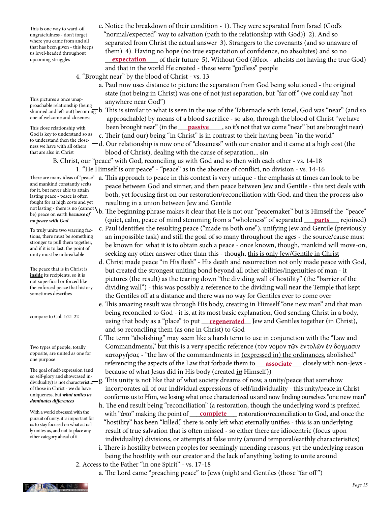This is one way to ward-off ungratefulness - don't forget where you came from and all that has been given - this keeps us level-headed throughout upcoming struggles

This pictures a once unapproachable relationship (being one of welcome and closeness

This close relationship with God is key to understand so as to understand then the closeness we have with all others that are also in Christ

- e. Notice the breakdown of their condition 1). They were separated from Israel (God's "normal/expected" way to salvation (path to the relationship with God)) 2). And so separated from Christ the actual answer 3). Strangers to the covenants (and so unaware of them) 4). Having no hope (no true expectation of confidence, no absolutes) and so no upcoming struggles **expectation** of their future 5). Without God (ἄθεοι - atheists not having the true God) and that in the world He created - these were "godless" people
	- 4. "Brought near" by the blood of Christ vs. 13
		- a. Paul now uses distance to picture the separation from God being solutioned the original state (not being in Christ) was one of not just separation, but "far off " (we could say "not anywhere near God")
- shunned and left-out) becoming b. This is similar to what is seen in the use of the Tabernacle with Israel, God was "near" (and so approachable) by means of a blood sacrifice - so also, through the blood of Christ "we have This close relationship with **been brought near" (in the <u>passive</u> so it's not that we come "near" but are brought near)** This close relationship with
	- c. Their (and our) being "in Christ" is in contrast to their having been "in the world"
	- d. Our relationship is now one of "closeness" with our creator and it came at a high cost (the blood of Christ), dealing with the cause of separation... sin
	- B. Christ, our "peace" with God, reconciling us with God and so then with each other vs. 14-18
		- 1. "He Himself is our peace" "peace" as in the absence of conflict, no division vs. 14-16
- There are many ideas of "peace" a. This approach to peace in this context is very unique the emphasis at times can look to be peace between God and sinner, and then peace between Jew and Gentile - this text deals with both, yet focusing first on our restoration/reconciliation with God, and then the process also resulting in a union between Jew and Gentile
- not lasting there is no (cannot \). The beginning phrase makes it clear that He is not our "peacemaker" but is Himself the "peace" no peace with God **the Content Content Content** (quiet, calm, peace of mind stemming from a "wholeness" of separated <u>parts</u> rejoined)
	- c. Paul identifies the resulting peace ("made us both one"), unifying Jew and Gentile (previously an impossible task) and still the goal of so many throughout the ages - the source/cause must be known for what it is to obtain such a peace - once known, though, mankind will move-on, seeking any other answer other than this - though, this is only Jew/Gentile in Christ
	- d. Christ made peace "in His flesh" His death and resurrection not only made peace with God, but created the strongest uniting bond beyond all other abilities/ingenuities of man - it pictures (the result) as the tearing down "the dividing wall of hostility" (the "barrier of the dividing wall") - this was possibly a reference to the dividing wall near the Temple that kept the Gentiles off at a distance and there was no way for Gentiles ever to come over
- e. This amazing result was through His body, creating in Himself "one new man" and that man being reconciled to God - it is, at its most basic explanation, God sending Christ in a body, using that body as a "place" to put <u>regenerated</u> Jew and Gentiles together (in Christ), and so reconciling them (as one in Christ) to God
- f. The term "abolishing" may seem like a harsh term to use in conjunction with the "Law and Commandments," but this is a very specific reference (τὸν νόμον τῶν ἐντολῶν ἐν δόγμασιν καταργήσας - "the law of the commandments in  $(expressed in)$  the ordinances, abolished" referencing the aspects of the Law that forbade them to <u>associate</u> closely with non-Jews -The goal of self-expression (and because of what Jesus did in His body (created *in* Himself)) so self-glory and showcased in-
- so self-glory and showcased in-<br>dividuality) is not characteristic— g. This unity is not like that of what society dreams of now, a unity/peace that somehow incorporates all of our individual expressions of self/individuality - this unity/peace in Christ conforms us to Him, we losing what once characterized us and now finding ourselves "one new man"
- h. The end result being "reconciliation" (a restoration, though the underlying word is prefixed With a world obsessed with the with "ἀπο" making the point of **complete** restoration/reconciliation to God, and once the "hostility" has been "killed," there is only left what eternally unifies - this is an underlying result of true salvation that is often missed - so either there are idiocentric (focus upon individuality) divisions, or attempts at false unity (around temporal/earthly characteristics)
	- i. There is hostility between peoples for seemingly unending reasons, yet the underlying reason being the hostility with our creator and the lack of anything lasting to unite around
	- 2. Access to the Father "in one Spirit" vs. 17-18
		- a. The Lord came "preaching peace" to Jews (nigh) and Gentiles (those "far off ")

and mankind constantly seeks for it, but never able to attain lasting peace - peace is often fought for at high costs and yet be) peace on earth *because of no peace with God*

To truly unite two warring factions, there must be something stronger to pull them together, and if it is to last, the point of unity must be unbreakable

The peace that is in Christ is **inside** its recipients, so it is not superficial or forced like the enforced peace that history sometimes describes

compare to Col. 1:21-22

Two types of people, totally opposite, are united as one for one purpose

The goal of self-expression (and dividuality) is not characteristic of those in Christ - we do have uniqueness, but *what unites us dominates differences*

With a world obsessed with the pursuit of unity, it is important for us to stay focused on what actually unites us, and not to place any other category ahead of it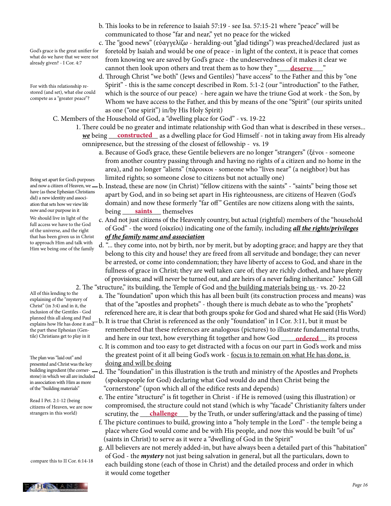- b. This looks to be in reference to Isaiah 57:19 see Isa. 57:15-21 where "peace" will be communicated to those "far and near," yet no peace for the wicked
- c. The "good news" (εὐαγγελίζω heralding-out "glad tidings") was preached/declared just as foretold by Isaiah and would be one of peace - in light of the context, it is peace that comes from knowing we are saved by God's grace - the undeservedness of it makes it clear we cannot then look upon others and treat them as to how they " **deserve**
- d. Through Christ "we both" (Jews and Gentiles) "have access" to the Father and this by "one Spirit" - this is the same concept described in Rom. 5:1-2 (our "introduction" to the Father, which is the source of our peace) - here again we have the triune God at work - the Son, by Whom we have access to the Father, and this by means of the one "Spirit" (our spirits united as one ("one spirit") in/by His Holy Spirit)

C. Members of the Household of God, a "dwelling place for God" - vs. 19-22

- 1. There could be no greater and intimate relationship with God than what is described in these verses... **<u>we</u> being constructed** as a dwelling place for God Himself - not in taking away from His already omnipresence, but the stressing of the closest of fellowship - vs. 19
	- a. Because of God's grace, these Gentile believers are no longer "strangers" (ξένοι someone from another country passing through and having no rights of a citizen and no home in the area), and no longer "aliens" (πάροικοι - someone who "lives near" (a neighbor) but has limited rights; so someone close to citizens but not actually one)
- and now a citizen of Heaven, we  $b$ . Instead, these are now (in Christ) "fellow citizens with the saints" "saints" being those set apart by God, and in so being set apart in His righteousness, are citizens of Heaven (God's domain) and now these formerly "far off" Gentiles are now citizens along with the saints, now and our purpose in it being saints themselves
	- c. And not just citizens of the Heavenly country, but actual (rightful) members of the "household of God" - the word (οἰκεῖοι) indicating one of the family, including *all the rights/privileges of the family name and association*
	- d. "... they come into, not by birth, nor by merit, but by adopting grace; and happy are they that belong to this city and house! they are freed from all servitude and bondage; they can never be arrested, or come into condemnation; they have liberty of access to God, and share in the fullness of grace in Christ; they are well taken care of; they are richly clothed, and have plenty of provisions; and will never be turned out, and are heirs of a never fading inheritance." John Gill 2. The "structure," its building, the Temple of God and the building materials being us - vs. 20-22
		- a. The "foundation" upon which this has all been built (its construction process and means) was that of the "apostles and prophets" - though there is much debate as to who the "prophets" referenced here are, it is clear that both groups spoke for God and shared what He said (His Word)
- planned this all along and Paul<br>explains how He has done it and b. It is true that Christ is referenced as the only "foundation" in I Cor. 3:11, but it must be remembered that these references are analogous (pictures) to illustrate fundamental truths, tile) Christians get to play in it **comparise to play in the contract of the contract of the contract of the contract of the contract of the contract of the contract of the contract of the contract of the contract of the c**  c. It is common and too easy to get distracted with a focus on our part in God's work and miss the greatest point of it all being God's work - focus is to remain on what He has done, is doing and will be doing
	- d. The "foundation" in this illustration is the truth and ministry of the Apostles and Prophets (spokespeople for God) declaring what God would do and then Christ being the "cornerstone" (upon which all of the edifice rests and depends)
- e. The entire "structure" is fit together in Christ if He is removed (using this illustration) or compromised, the structure could not stand (which is why "facade" Christianity falters under strangers in this world) scrutiny, the **challenge** by the Truth, or under suffering/attack and the passing of time)
	- f. The picture continues to build, growing into a "holy temple in the Lord" the temple being a place where God would come and be with His people, and now this would be built "of us" (saints in Christ) to serve as it were a "dwelling of God in the Spirit"
	- g. All believers are not merely added-in, but have always been a detailed part of this "habitation" of God - the *mystery* not just being salvation in general, but all the particulars, down to each building stone (each of those in Christ) and the detailed process and order in which it would come together

God's grace is the great unifier for what do we have that we were not already given? - I Cor. 4:7

For with this relationship restored (and set), what else could compete as a "greater peace"?

Being set apart for God's purposes have (as these Ephesian Christians did) a new identity and association that sets how we view life now and our purpose in it

We should live in light of the full access we have to the God of the universe, and the right that has been given us in Christ to approach Him and talk with Him we being one of the family

All of this lending to the explaining of the "mystery of Christ" (in 3:4) and in it, the inclusion of the Gentiles - God explains how He has done it and the part these Ephesian (Gentile) Christians get to play in it

The plan was "laid out" and presented and Christ was the key building ingredient (the cornerstone) in which we all are included in association with Him as more of the "building materials"

Read I Pet. 2:1-12 (being citizens of Heaven, we are now strangers in this world)

compare this to II Cor. 6:14-18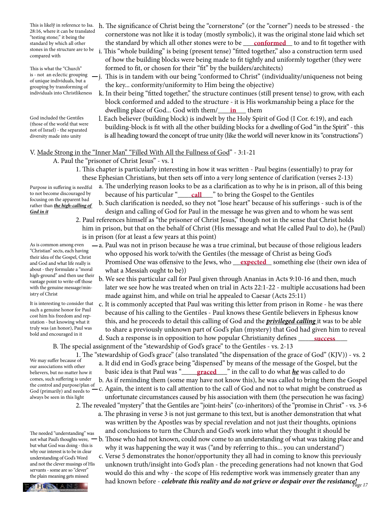28:16, where it can be translated "testing stone;" it being the standard by which all other compared with

This is what the "Church" is - not an eclectic grouping of unique individuals, but a grouping by transforming of individuals into Christlikeness

God included the Gentiles (those of the world that were not of Israel) - the separated diversity made into unity

- This is likely in reference to Isa. h. The significance of Christ being the "cornerstone" (or the "corner") needs to be stressed the cornerstone was not like it is today (mostly symbolic), it was the original stone laid which set standard by which all other **continuum the standard by which all other stones were to be <u>conformed</u> to and to fit together with**
- stones in the structure are to be i. This "whole building" is being (present tense) "fitted together," also a construction term used of how the building blocks were being made to fit tightly and uniformly together (they were formed to fit, or chosen for their "fit" by the builders/architects)
	- j. This is in tandem with our being "conformed to Christ" (individuality/uniqueness not being the key... conformity/uniformity to Him being the objective)
- k. In their being "fitted together," the structure continues (still present tense) to grow, with each block conformed and added to the structure - it is His workmanship being a place for the dwelling place of God... God with them/\_\_\_\_\_\_in\_\_\_\_ them
	- l. Each believer (building block) is indwelt by the Holy Spirit of God (I Cor. 6:19), and each building-block is fit with all the other building blocks for a dwelling of God "in the Spirit" - this is all heading toward the concept of true unity (like the world will never know in its "constructions")

#### V. Made Strong in the "Inner Man" "Filled With All the Fullness of God" - 3:1-21

- A. Paul the "prisoner of Christ Jesus" vs. 1
	- 1. This chapter is particularly interesting in how it was written Paul begins (essentially) to pray for these Ephesian Christians, but then sets off into a very long sentence of clarification (verses 2-13)
- a. The underlying reason looks to be as a clarification as to why he is in prison, all of this being to not become discouraged by because of his particular "<u>\_\_\_\_\_\_\_\_\_\_\_\_\_\_\_</u>" to bring the Gospel to the Gentiles
	- b. Such clarification is needed, so they not "lose heart" because of his sufferings such is of the design and calling of God for Paul in the message he was given and to whom he was sent
	- 2. Paul references himself as "the prisoner of Christ Jesus," though not in the sense that Christ holds him in prison, but that on the behalf of Christ (His message and what He called Paul to do), he (Paul) is in prison (for at least a few years at this point)
- a. Paul was not in prison because he was a true criminal, but because of those religious leaders who opposed his work to/with the Gentiles (the message of Christ as being God's and God and what life really is Promised One was offensive to the Jews, who <u>expected</u> something else (their own idea of what a Messiah ought to be))
	- b. We see this particular call for Paul given through Ananias in Acts 9:10-16 and then, much later we see how he was treated when on trial in Acts 22:1-22 - multiple accusations had been made against him, and while on trial he appealed to Caesar (Acts 25:11)
- c. It is commonly accepted that Paul was writing this letter from prison in Rome he was there because of his calling to the Gentiles - Paul knows these Gentile believers in Ephesus know this, and he proceeds to detail this calling of God and the *privileged calling* it was to be able to share a previously unknown part of God's plan (mystery) that God had given him to reveal d. Such a response is in opposition to how popular Christianity defines **Success** 
	- B. The special assignment of the "stewardship of God's grace" to the Gentiles vs. 2-13
- 1. The "stewardship of God's grace" (also translated "the dispensation of the grace of God" (KJV)) vs. 2 a. It did end in God's grace being "dispensed" by means of the message of the Gospel, but the believers, but no matter how it basic idea is that Paul was "\_\_\_\_<mark>graced</mark>\_\_\_" in the call to do what <u>he</u> was called to do b. As if reminding them (some may have not know this), he was called to bring them the Gospel c. Again, the intent is to call attention to the call of God and not to what might be construed as unfortunate circumstances caused by his association with them (the persecution he was facing) 2. The revealed "mystery" that the Gentiles are "joint-heirs" (co-inheritors) of the "promise in Christ" - vs. 3-6
- a. The phrasing in verse 3 is not just germane to this text, but is another demonstration that what was written by the Apostles was by special revelation and not just their thoughts, opinions and conclusions to turn the Church and God's work into what they thought it should be not what Paul's thoughts were,  $-$  b. Those who had not known, could now come to an understanding of what was taking place and why it was happening the way it was ("and by referring to this... you can understand")

had known before - *celebrate this reality and do not grieve or despair over the resistance!*<br>PHIS LANS c. Verse 5 demonstrates the honor/opportunity they all had in coming to know this previously unknown truth/insight into God's plan - the preceding generations had not known that God would do this and why - the scope of His redemptive work was immensely greater than any

Purpose in suffering is needful to not become discouraged by focusing on the apparent bad rather than *the high-calling of God in it*

As is common among even "Christian" sects, each having their idea of the Gospel, Christ and God and what life really is about - they formulate a "moral high-ground" and then use their vantage point to write-off those with the genuine message/ministry of Christ

It is interesting to consider that such a genuine honor for Paul cost him his freedom and reputation - but knowing what it truly was (an honor), Paul was bold and encouraged in it

We may suffer because of our associations with other believers, but no matter how it comes, such suffering is under the control and purpose/plan of God (primarily) and needs to

always be seen in this light

The needed "understanding" was but what God was doing - this is why our interest is to be in clear understanding of God's Word and not the clever musings of His servants - some are so "clever" the plain meaning gets missed

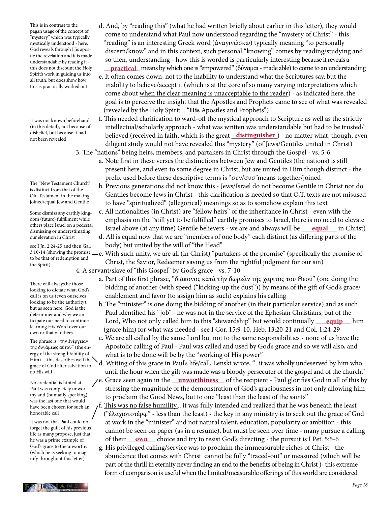This is in contrast to the pagan usage of the concept of "mystery" which was typically mystically understood - here, God reveals through His apostle the revelation and it is made understandable by reading it this does not discount the Holy Spirit's work in guiding us into all truth, but does show how this is practically worked out

It was not known beforehand (in this detail), not because of disbelief, but because it had not been revealed

The "New Testament Church" is distinct from that of the Old Testament in the making joined/equal Jew and Gentile

Some dismiss any earthly kingdom (future) fulfillment while others place Israel on a pedestal dismissing or underestimating our elevation in Christ

see I Jn. 2:24-25 and then Gal. to be that of redemption and the Spirit)

There will always be those looking to dictate what God's call is on us (even ourselves looking to be the authority), but as seen here, God is the determiner and why we anticipate our need to continue learning His Word over our own or that of others

The phrase is "τὴν ἐνέργειαν τῆς δυνάμεως αὐτοῦ" (the energy of the strength/ability of Him)- - this describes well the grace of God after salvation to do His will

No credential is hinted at-Paul was completely unworthy and (humanly speaking) was the last one that would have been chosen for such an honorable call

It was not that Paul could not forget the guilt of his previous life as many propose, just that he was a prime example of God's grace to the unworthy (which he is seeking to magnify throughout this letter)

- d. And, by "reading this" (what he had written briefly about earlier in this letter), they would come to understand what Paul now understood regarding the "mystery of Christ" - this "reading" is an interesting Greek word (ἀναγινώσκω) typically meaning "to personally discern/know" and in this context, such personal "knowing" comes by reading/studying and so then, understanding - how this is worded is particularly interesting because it reveals a this does not discount the Holy **practical** means by which one is "empowered" (δύναμαι - made able) to come to an understanding
	- e. It often comes down, not to the inability to understand what the Scriptures say, but the inability to believe/accept it (which is at the core of so many varying interpretations which come about when the clear meaning is unacceptable to the reader) - as indicated here, the goal is to perceive the insight that the Apostles and Prophets came to see of what was revealed (revealed by the Holy Spirit... "**His** Apostles and Prophets")
- f. This needed clarification to ward-off the mystical approach to Scripture as well as the strictly intellectual/scholarly approach - what was written was understandable but had to be trusted/ disbeliet, but because it had believed (received in faith, which is the great <u>distinguisher</u>) - no matter what, though, even diligent study would not have revealed this "mystery" (of Jews/Gentiles united in Christ) 3. The "nations" being heirs, members, and partakers in Christ through the Gospel - vs. 5-6
	- a. Note first in these verses the distinctions between Jew and Gentiles (the nations) is still present here, and even to some degree in Christ, but are united in Him though distinct - the prefix used before these descriptive terms is "συν/συσ"means together/joined
	- b. Previous generations did not know this Jews/Israel do not become Gentile in Christ nor do Gentiles become Jews in Christ - this clarification is needed so that O.T. texts are not misused to have "spiritualized" (allegorical) meanings so as to somehow explain this text
- c. All nationalities (in Christ) are "fellow heirs" of the inheritance in Christ even with the emphasis on the "still yet to be fulfilled" earthly promises to Israel, there is no need to elevate others place israel on a pedestal the strael above (at any time) Gentile believers - we are and always will be <u>equal</u> in Christ)
	- d. All is equal now that we are "members of one body" each distinct (as differing parts of the body) but united by the will of "the Head"
- $^{3:10-14}$  (showing the promise e. With such unity, we are all (in Christ) "partakers of the promise" (specifically the promise of Christ, the Savior, Redeemer saving us from the rightful judgment for our sin)
	- 4. A servant/slave of "this Gospel" by God's grace vs. 7-10
		- a. Part of this first phrase, "διάκονος κατὰ τὴν δωρεὰν τῆς χάριτος τοῦ Θεοῦ" (one doing the bidding of another (with speed ("kicking-up the dust")) by means of the gift of God's grace/ enablement and favor (to assign him as such) explains his calling
- $-b$ . The "minister" is one doing the bidding of another (in their particular service) and as such Paul identified his "job" - he was not in the service of the Ephesian Christians, but of the ticipate our need to continue Lord, Who not only called him to this "stewardship" but would continually <u>equip</u> him (grace him) for what was needed - see I Cor. 15:9-10, Heb. 13:20-21 and Col. 1:24-29
	- c. We are all called by the same Lord but not to the same responsibilities none of us have the Apostolic calling of Paul - Paul was called and used by God's grace and so we will also, and what is to be done will be by the "working of His power"
	- d. Writing of this grace in Paul's life/call, Lenski wrote, "...it was wholly undeserved by him who until the hour when the gift was made was a bloody persecuter of the gospel and of the church."
- No credential is hinted at-<br>No credential is hinted at-<br> **/c.** Grace seen again in the <u>unworthiness</u> of the recipient Paul glorifies God in all of this by stressing the magnitude of the demonstration of God's graciousness in not only allowing him to proclaim the Good News, but to one "least than the least of the saints"
- f. This was no false humility... it was fully intended and realized that he was beneath the least ("ἐλαχιστοτέρῳ" - less than the least) - the key in any ministry is to seek out the grace of God at work in the "minister" and not natural talent, education, popularity or ambition - this cannot be seen on paper (as in a resume), but must be seen over time - many pursue a calling he was a prime example of of their <u>own</u> choice and try to resist God's directing - the pursuit is I Pet. 5:5-6
	- g. His privileged calling/service was to proclaim the immeasurable riches of Christ the abundance that comes with Christ cannot be fully "traced-out" or measured (which will be part of the thrill in eternity never finding an end to the benefits of being in Christ )- this extreme form of comparison is useful when the limited/measurable offerings of this world are considered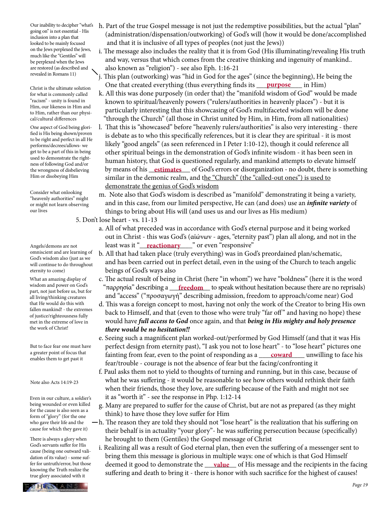Our inability to decipher "what's going on" is not essential - His inclusion into a plan that looked to be mainly focused on the Jews perplexed the Jews, much like the "Gentiles" will be perplexed when the Jews are restored (as described and revealed in Romans 11)

Christ is the ultimate solution for what is commonly called "racism" - unity is found in Him, our likeness in Him and to Him, rather than our physical/cultural differences

One aspect of God being glorified is His being shown/proven to be right and perfect in all He performs/decrees/allows- we get to be a part of this in being used to demonstrate the rightness of following God and/or the wrongness of disbelieving Him or disobeying Him

Consider what onlooking "heavenly authorities" might or might not learn observing our lives

Angels/demons are not omniscient and are learning of God's wisdom also (just as we will continue to do throughout eternity to come)

What an amazing display of wisdom and power on God's part, not just before us, but for all living/thinking creatures that He would do this with fallen mankind! - the extremes of justice/righteousness fully met in the extreme of love in the work of Christ!

But to face fear one must have a greater point of focus that enables them to get past it

#### Note also Acts 14:19-23

Even in our culture, a soldier's being wounded or even killed for the cause is also seen as a form of "glory" (for the one who gave their life and the cause for which they gave it)

There is always a glory when God's servants suffer for His cause (being one outward validation of its value) - some suffer for untruth/error, but those knowing the Truth realize the true glory associated with it

- h. Part of the true Gospel message is not just the redemptive possibilities, but the actual "plan" (administration/dispensation/outworking) of God's will (how it would be done/accomplished and that it is inclusive of all types of peoples (not just the Jews))
- i. The message also includes the reality that it is from God (His illuminating/revealing His truth and way, versus that which comes from the creative thinking and ingenuity of mankind.. also known as "religion") - see also Eph. 1:16-21
- j. This plan (outworking) was "hid in God for the ages" (since the beginning), He being the  $\frac{C}{\text{Direct is the ultimate solution}}$  One that created everything (thus everything finds its <u>purpose</u> in Him)
	- k. All this was done purposely (in order that) the "manifold wisdom of God" would be made known to spiritual/heavenly powers ("rulers/authorities in heavenly places") - but it is particularly interesting that this showcasing of God's multifaceted wisdom will be done "through the Church" (all those in Christ united by Him, in Him, from all nationalities)
- l. That this is "showcased" before "heavenly rulers/authorities" is also very interesting there is debate as to who this specifically references, but it is clear they are spiritual - it is most likely "good angels" (as seen referenced in I Peter 1:10-12), though it could reference all other spiritual beings in the demonstration of God's infinite wisdom - it has been seen in human history, that God is questioned regularly, and mankind attempts to elevate himself the wrongness of disbelieving by means of his **estimates** of God's errors or disorganization - no doubt, there is something similar in the demonic realm, and the "Church" (the "called-out ones") is used to demonstrate the genius of God's wisdom
	- m. Note also that God's wisdom is described as "manifold" demonstrating it being a variety, and in this case, from our limited perspective, He can (and does) use an *infinite variety* of things to bring about His will (and uses us and our lives as His medium)

5. Don't lose heart - vs. 11-13

- a. All of what preceded was in accordance with God's eternal purpose and it being worked out in Christ - this was God's (αἰώνων - ages, "eternity past") plan all along, and not in the Angels/demons are not **least was it "<u>reactionary</u>** " or even "responsive"
	- b. All that had taken place (truly everything) was in God's preordained plan/schematic, and has been carried out in perfect detail, even in the using of the Church to teach angelic beings of God's ways also
- c. The actual result of being in Christ (here "in whom") we have "boldness" (here it is the word wisdom and power on Gods "παρρησία" describing a <u>freedom</u> to speak without hesitation because there are no reprisals) and "access" ("προσαγωγή" describing admission, freedom to approach/come near) God
	- d. This was a foreign concept to most, having not only the work of the Creator to bring His own back to Himself, and that (even to those who were truly "far off " and having no hope) these would have *full access to God* once again, and that *being in His mighty and holy presence there would be no hesitation!!*
- e. Seeing such a magnificent plan worked-out/performed by God Himself (and that it was His perfect design from eternity past), "I ask you not to lose heart" - to "lose heart" pictures one a greater point of focus that fainting from fear, even to the point of responding as a <u>coward</u> unwilling to face his fear/trouble - courage is not the absence of fear but the facing/confronting it
	- f. Paul asks them not to yield to thoughts of turning and running, but in this case, because of what he was suffering - it would be reasonable to see how others would rethink their faith when their friends, those they love, are suffering because of the Faith and might not see it as "worth it" - see the response in Php. 1:12-14
	- g. Many are prepared to suffer for the cause of Christ, but are not as prepared (as they might think) to have those they love suffer for Him
	- h. The reason they are told they should not "lose heart" is the realization that his suffering on their behalf is in actuality "your glory"- he was suffering persecution because (specifically) he brought to them (Gentiles) the Gospel message of Christ
- i. Realizing all was a result of God eternal plan, then even the suffering of a messenger sent to bring them this message is glorious in multiple ways: one of which is that God Himself fer for untruth/error, but those deemed it good to demonstrate the <u>value</u> of His message and the recipients in the facing suffering and death to bring it - there is honor with such sacrifice for the highest of causes!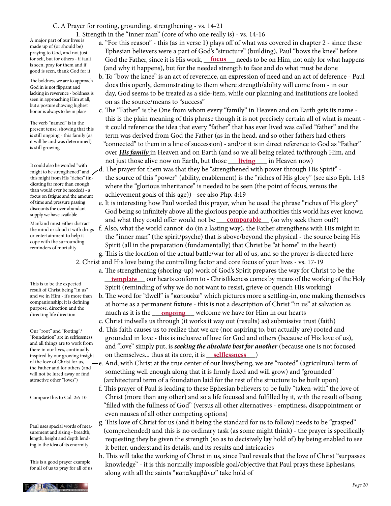#### C. A Prayer for rooting, grounding, strengthening - vs. 14-21

1. Strength in the "inner man" (core of who one really is) - vs. 14-16

A major part of our lives is made up of (or should be) praying to God, and not just for self, but for others - if fault is seen, pray for them and if good is seen, thank God for it

The boldness we are to approach God in is not flippant and lacking in reverence - boldness is seen in approaching Him at all, but a posture showing highest honor is always to be in place

The verb "named" is in the present tense, showing that this is still ongoing - this family (as it will be and was determined) is still growing

might to be strengthened" and this might from His "riches" (indicating far more than enough than would ever be needed) - a focus on fatigue and the amount of time and pressure passing discounts the over-abundant supply we have available

Mankind must either distract the mind or cloud it with drugs or entertainment to help it cope with the surrounding reminders of mortality

This is to be the expected result of Christ being "in us" and we in Him - it's more than companionship; it is defining purpose, direction and the directing life direction

Our "root" and "footing"/ "foundation" are in selflessness and all things are to work from there in our lives, continually inspired by our growing insight of the love of Christ for us, the Father and for others (and will not be lured away or find attractive other "loves")

Compare this to Col. 2:6-10

Paul uses spacial words of measurement and sizing - breadth, length, height and depth lending to the idea of its enormity

This is a good prayer example for all of us to pray for all of us

- a. "For this reason" this (as in verse 1) plays off of what was covered in chapter 2 since these Ephesian believers were a part of God's "structure" (building), Paul "bows the knee" before for self, but for others - if fault God the Father, since it is His work, <u>focus</u> needs to be on Him, not only for what happens (and why it happens), but for the needed strength to face and do what must be done
	- b. To "bow the knee" is an act of reverence, an expression of need and an act of deference Paul does this openly, demonstrating to them where strength/ability will come from - in our day, God seems to be treated as a side-item, while our planning and institutions are looked on as the source/means to "success"
- c. The "Father" is the One from whom every "family" in Heaven and on Earth gets its name this is the plain meaning of this phrase though it is not precisely certain all of what is meant it could reference the idea that every "father" that has ever lived was called "father" and the term was derived from God the Father (as in the head, and so other fathers had others "connected" to them in a line of succession) - and/or it is in direct reference to God as "Father" over *His family* in Heaven and on Earth (and so we all being related to/through Him, and If we have those alive now on Earth, but those <u>living</u> in Heaven now)
- It could also be worded "with <br>might to be strengthened" and <br>and  $\sim$  d. The prayer for them was that they be "strengthened with power through His Spirit" the source of this "power" (ability, enablement) is the "riches of His glory" (see also Eph. 1:18 where the "glorious inheritance" is needed to be seen (the point of focus, versus the achievement goals of this age)) - see also Php. 4:19
- e. It is interesting how Paul worded this prayer, when he used the phrase "riches of His glory" God being so infinitely above all the glorious people and authorities this world has ever known and what they could offer would not be  $\_\_complement$  (so why seek them out?)
	- f. Also, what the world cannot do (in a lasting way), the Father strengthens with His might in the "inner man" (the spirit/psyche) that is above/beyond the physical - the source being His Spirit (all in the preparation (fundamentally) that Christ be "at home" in the heart) g. This is the location of the actual battle/war for all of us, and so the prayer is directed here
- 2. Christ and His love being the controlling factor and core focus of your lives vs. 17-19 a. The strengthening (shoring-up) work of God's Spirit prepares the way for Christ to be the **template** our hearts conform to - Christlikeness comes by means of the working of the Holy Spirit (reminding of why we do not want to resist, grieve or quench His working)
- b. The word for "dwell" is "κατοικέω" which pictures more a settling-in, one making themselves at home as a permanent fixture - this is not a description of Christ "in us" at salvation as directing life direction **and the much as it is the <u>ongoing</u>** welcome we have for Him in our hearts
	- c. Christ indwells us through (it works it way out (results) as) submissive trust (faith)
- d. This faith causes us to realize that we are (nor aspiring to, but actually are) rooted and grounded in love - this is inclusive of love for God and others (because of His love of us), and "love" simply put, is *seeking the absolute best for another* (because one is not focused inspired by our growing insight on themselves... thus at its core, it is <u>selflessness</u>
	- e. And, with Christ at the true center of our lives/being, we are "rooted" (agricultural term of something well enough along that it is firmly fixed and will grow) and "grounded" (architectural term of a foundation laid for the rest of the structure to be built upon)
	- f. This prayer of Paul is leading to these Ephesian believers to be fully "taken-with" the love of Christ (more than any other) and so a life focused and fulfilled by it, with the result of being "filled with the fullness of God" (versus all other alternatives - emptiness, disappointment or even nausea of all other competing options)
	- g. This love of Christ for us (and it being the standard for us to follow) needs to be "grasped" (comprehended) and this is no ordinary task (as some might think) - the prayer is specifically requesting they be given the strength (so as to decisively lay hold of) by being enabled to see it better, understand its details, and its results and intricacies
	- h. This will take the working of Christ in us, since Paul reveals that the love of Christ "surpasses knowledge" - it is this normally impossible goal/objective that Paul prays these Ephesians, along with all the saints "καταλαμβάνω" take hold of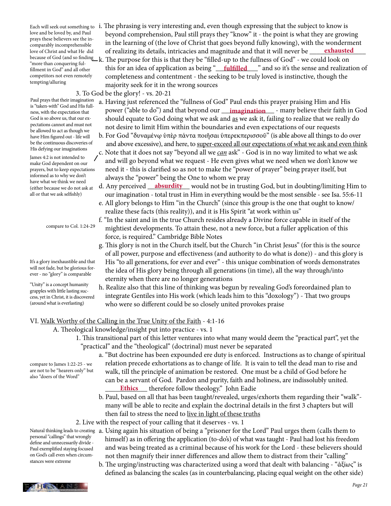love and be loved by, and Paul prays these believers see the incomparably incomprehensible love of Christ and what He did "more than conquering fulfillment in God" and all other competitors not even remotely tempting/alluring

Paul prays that their imagination is "taken-with" God and His fullness, with the expectation that God is so above us, that our expectations cannot and must not be allowed to act as though we have Him figured out - life will be the continuous discoveries of His defying our imaginations

James 4:2 is not intended to make God dependent on our prayers, but to keep expectations informed as to why we don't have what we think we need (either because we do not ask at all or that we ask selfishly)

compare to Col. 1:24-29

It's a glory inexhaustible and that will not fade, but be glorious forever - no "glory" is comparable

"Unity" is a concept humanity grapples with little lasting success, yet in Christ, it is discovered (around what is everlasting)

Each will seek out something to  $\,$  i. The phrasing is very interesting and, even though expressing that the subject to know is beyond comprehension, Paul still prays they "know" it - the point is what they are growing in the learning of (the love of Christ that goes beyond fully knowing), with the wonderment of realizing its details, intricacies and magnitude and that it will never be because of God (and so finding \_ k. The purpose for this is that they be "filled-up to the fullness of God" - we could look on fillment in God" and all other this for an idea of application as being "**\_\_\_\_\_\_\_\_\_\_\_\_\_\_\_\_**" and so it's the sense and realization of completeness and contentment - the seeking to be truly loved is instinctive, though the majority seek for it in the wrong sources **exhausted**

3. To God be the glory! - vs. 20-21

- a. Having just referenced the "fullness of God" Paul ends this prayer praising Him and His be dicent which does direct from that power ("able to do") and that beyond our <u>imagination</u> - many believe their faith in God ness, with the expectation that should equate to God doing what we ask and as we ask it, failing to realize that we really do not desire to limit Him within the boundaries and even expectations of our requests
	- b. For God "δυναμένῳ ὑπὲρ πάντα ποιῆσαι ὑπερεκπερισσοῦ" (is able above all things to do over and above excessive), and here, to super-exceed all our expectations of what we ask and even think
	- c. Note that it does not say "beyond all we *can* ask" God is in no way limited to what we ask and will go beyond what we request - He even gives what we need when we don't know we need it - this is clarified so as not to make the "power of prayer" being prayer itself, but always the "power" being the One to whom we pray
- leither because we do not ask at **d. Any perceived <u>absurdity</u> would not be in trusting God, but in doubting/limiting Him to**  our imagination - total trust in Him in everything would be the most sensible - see Isa. 55:6-11
	- e. All glory belongs to Him "in the Church" (since this group is the one that ought to know/ realize these facts (this reality)), and it is His Spirit "at work within us"
	- f. "In the saint and in the true Church resides already a Divine force capable in itself of the mightiest developments. To attain these, not a new force, but a fuller application of this force, is required." Cambridge Bible Notes
	- g. This glory is not in the Church itself, but the Church "in Christ Jesus" (for this is the source of all power, purpose and effectiveness (and authority to do what is done)) - and this glory is His "to all generations, for ever and ever" - this unique combination of words demonstrates the idea of His glory being through all generations (in time), all the way through/into eternity when there are no longer generations
	- h. Realize also that this line of thinking was begun by revealing God's foreordained plan to integrate Gentiles into His work (which leads him to this "doxology") - That two groups who were so different could be so closely united provokes praise

## VI. Walk Worthy of the Calling in the True Unity of the Faith - 4:1-16

- A. Theological knowledge/insight put into practice vs. 1
	- 1. This transitional part of this letter ventures into what many would deem the "practical part", yet the "practical" and the "theological" (doctrinal) must never be separated
- a. "But doctrine has been expounded ere duty is enforced. Instructions as to change of spiritual relation precede exhortations as to change of life. It is vain to tell the dead man to rise and walk, till the principle of animation be restored. One must be a child of God before he can be a servant of God. Pardon and purity, faith and holiness, are indissolubly united. **Ethics** therefore follow theology." John Eadie
	- b. Paul, based on all that has been taught/revealed, urges/exhorts them regarding their "walk" many will be able to recite and explain the doctrinal details in the first 3 chapters but will then fail to stress the need to live in light of these truths
	- 2. Live with the respect of your calling that it deserves vs. 1
- Natural thinking leads to creating  $\,$  a. Using again his situation of being a "prisoner for the Lord" Paul urges them (calls them to himself) as in offering the application (to-do's) of what was taught - Paul had lost his freedom and was being treated as a criminal because of his work for the Lord - these believers should not then magnify their inner differences and allow them to distract from their "calling" Paul exemplified staying focused
	- b. The urging/instructing was characterized using a word that dealt with balancing "ἀξίως" is defined as balancing the scales (as in counterbalancing, placing equal weight on the other side)

compare to James 1:22-25 - we are not to be "hearers only" but also "doers of the Word"

personal "callings" that wrongly define and unnecessarily divide -

on God's call even when circumstances were extreme

*Page 21*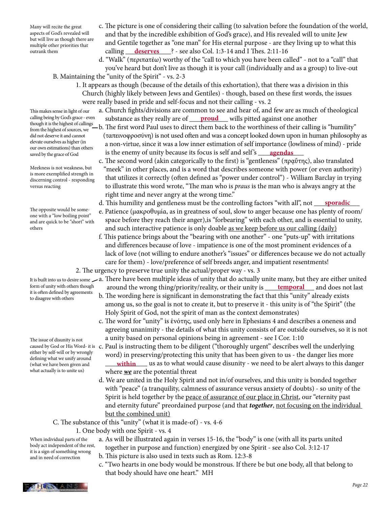Many will recite the great aspects of God's revealed will but will live as though there are multiple other priorities that outrank them

- c. The picture is one of considering their calling (to salvation before the foundation of the world, and that by the incredible exhibition of God's grace), and His revealed will to unite Jew and Gentile together as "one man" for His eternal purpose - are they living up to what this calling \_\_\_\_\_\_\_\_\_\_\_\_\_? - see also Col. 1:3-14 and I Thes. 2:11-16 **deserves**
	- d. "Walk" (περιπατέω) worthy of the "call to which you have been called" not to a "call" that you've heard but don't live as though it is your call (individually and as a group) to live-out B. Maintaining the "unity of the Spirit" - vs. 2-3
		- 1. It appears as though (because of the details of this exhortation), that there was a division in this Church (highly likely between Jews and Gentiles) - though, based on these first words, the issues were really based in pride and self-focus and not their calling - vs. 2
- a. Church fights/divisions are common to see and hear of, and few are as much of theological calling being by God's grace - even substance as they really are of <u>proud</u> wills pitted against one another
- though it is the highest of callings b. The first word Paul uses to direct them back to the worthiness of their calling is "humility" (ταπεινοφροσύνη) is not used often and was a concept looked down upon in human philosophy as a non-virtue, since it was a low inner estimation of self importance (lowliness of mind) - pride saved by the grace of God is the enemy of unity because its focus is self and self's **quarity and self** and selft in the saved by the grace of God
	- c. The second word (akin categorically to the first) is "gentleness" (πραΰτης), also translated "meek" in other places, and is a word that describes someone with power (or even authority) that utilizes it correctly (often defined as "power under control") - William Barclay in trying to illustrate this word wrote, "The man who is *praus* is the man who is always angry at the right time and never angry at the wrong time."
- d. This humility and gentleness must be the controlling factors "with all", not <u>sporadic</u>
	- e. Patience (μακροθυμία, as in greatness of soul, slow to anger because one has plenty of room/ space before they reach their anger),is "forbearing" with each other, and is essential to unity, and such interactive patience is only doable as we keep before us our calling (daily)
	- f. This patience brings about the "bearing with one another" one "puts-up" with irritations and differences because of love - impatience is one of the most prominent evidences of a lack of love (not willing to endure another's "issues" or differences because we do not actually care for them) - love/preference of self breeds anger, and impatient resentments!
	- 2. The urgency to preserve true unity the actual/proper way vs. 3
- a. There have been multiple ideas of unity that do actually unite many, but they are either united It is built into us to desire some form of unity with others though around the wrong thing/priority/reality, or their unity is <u>temporal</u> and does not last
	- b. The wording here is significant in demonstrating the fact that this "unity" already exists among us, so the goal is not to create it, but to preserve it - this unity is of "the Spirit" (the Holy Spirit of God, not the spirit of man as the context demonstrates)
	- c. The word for "unity" is ἑνότης, used only here in Ephesians 4 and describes a oneness and agreeing unanimity - the details of what this unity consists of are outside ourselves, so it is not a unity based on personal opinions being in agreement - see I Cor. 1:10
- caused by God or His Word- it is c. Paul is instructing them to be diligent ("thoroughly urgent" describes well the underlying word) in preserving/protecting this unity that has been given to us - the danger lies more (what we have been given and **within** us as to what would cause disunity - we need to be alert always to this danger where *we* are the potential threat
	- d. We are united in the Holy Spirit and not in/of ourselves, and this unity is bonded together with "peace" (a tranquility, calmness of assurance versus anxiety of doubts) - so unity of the Spirit is held together by the peace of assurance of our place in Christ, our "eternity past and eternity future" preordained purpose (and that *together*, not focusing on the individual but the combined unit)
	- C. The substance of this "unity" (what it is made-of) vs. 4-6

### 1. One body with one Spirit - vs. 4

When individual parts of the body act independent of the rest, it is a sign of something wrong and in need of correction

**THESIANS** 

- a. As will be illustrated again in verses 15-16, the "body" is one (with all its parts united together in purpose and function) energized by one Spirit - see also Col. 3:12-17
	- b. This picture is also used in texts such as Rom. 12:3-8
	- c. "Two hearts in one body would be monstrous. If there be but one body, all that belong to that body should have one heart." MH

This makes sense in light of our calling being by God's grace - even from the highest of sources, we did not deserve it and cannot elevate ourselves as higher (in our own estimations) than others saved by the grace of God

Meekness is not weakness, but is more exemplified strength in discerning control - responding versus reacting

The opposite would be someone with a "low boiling point" and are quick to be "short" with others

form of unity with others though it is often defined by agreements to disagree with others

The issue of disunity is not either by self-will or by wrongly defining what we unify around (what we have been given and what actually is to unite us)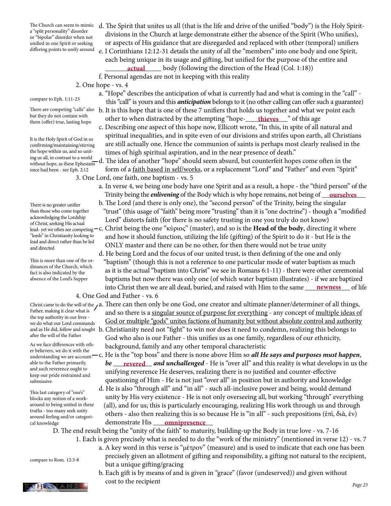The Church can seem to mimic a "split personality" disorder or "bipolar" disorder when not unified in one Spirit or seeking

compare to Eph. 1:11-23

but they do not contain with them (offer) true, lasting hope

It is the Holy Spirit of God in us confirming/maintaining/stirring the hope within us, and so unitwithout hope, as these Ephesians once had been - see Eph. 2:12

There is no greater unifier than those who come together acknowledging the Lordship of Christ, seeking His actual lead- yet we often see competing "lords" in Christianity looking to lead and direct rather than be led and directed

This is more than one of the ordinances of the Church, which fact is also indicated by the absence of the Lord's Supper

Father, making it clear what is the top authority in our lives we do what our Lord commands after the will of the Father

As we face differences with othunderstanding we are accountable to the Father primarily, and such reverence ought to keep our pride restrained and submissive

This last category of "one's" blocks any notion of a workaround to being united in these truths - too many seek unity around feeling and/or categorical knowledge

- 
- compare to Rom. 12:3-8
- d. The Spirit that unites us all (that is the life and drive of the unified "body") is the Holy Spirit divisions in the Church at large demonstrate either the absence of the Spirit (Who unifies), or aspects of His guidance that are disregarded and replaced with other (temporal) unifiers differing points to unify around e. I Corinthians 12:12-31 details the unity of all the "members" into one body and one Spirit, each being unique in its usage and gifting, but unified for the purpose of the entire and
	- \_\_\_\_\_\_\_\_\_\_\_\_\_\_\_\_ body (following the direction of the Head (Col. 1:18)) **actual**
	- f. Personal agendas are not in keeping with this reality
	- 2. One hope vs. 4
		- a. "Hope" describes the anticipation of what is currently had and what is coming in the "call" this "call" is yours and this *anticipation* belongs to it (no other calling can offer such a guarantee)
- There are competing "calls" also b. It is this hope that is one of these 7 unifiers that holds us together and what we point each but they do not contain with the other to when distracted by the attempting "hope-<u>\_\_\_\_\_thieves\_\_\_</u>" of this age
- c. Describing one aspect of this hope now, Ellicott wrote, "In this, in spite of all natural and spiritual inequalities, and in spite even of our divisions and strifes upon earth, all Christians are still actually one. Hence the communion of saints is perhaps most clearly realised in the the hope within us, and so unit-<br>ing us all, in contrast to a world<br> $\frac{1}{1}$  The interaction of the spiritual aspiration, and in the near presence of death."
- ing us all, in contrast to a world<br>without hope, as these Ephesians d. The idea of another "hope" should seem absurd, but counterfeit hopes come often in the form of a faith based in self/works, or a replacement "Lord" and "Father" and even "Spirit" 3. One Lord, one faith, one baptism - vs. 5
- a. In verse 4, we being one body have one Spirit and as a result, a hope the "third person" of the Trinity being the *enlivening* of the Body which is why hope remains, not being of <u>courselves</u>
	- b. The Lord (and there is only one), the "second person" of the Trinity, being the singular "trust" (this usage of "faith" being more "trusting" than it is "one doctrine") - though a "modified Lord" distorts faith (for there is no safety trusting in one you truly do not know)
	- c. Christ being the one "κύριος" (master), and so is the **Head of the body**, directing it where and how it should function, utilizing the life (gifting) of the Spirit to do it - but He is the ONLY master and there can be no other, for then there would not be true unity
- d. He being Lord and the focus of our united trust, is then defining of the one and only "baptism" (though this is not a reference to one particular mode of water baptism as much as it is the actual "baptism into Christ" we see in Romans 6:1-11) - there were other ceremonial baptisms but now there was only one (of which water baptism illustrates) - if we are baptized into Christ then we are all dead, buried, and raised with Him to the same **\_\_\_\_\_\_\_\_\_\_\_\_\_\_\_**\_\_\_\_ of life 4. One God and Father - vs. 6
- Christ came to do the will of the  $\lambda$ a. There can then only be one God, one creator and ultimate planner/determiner of all things, and so there is a singular source of purpose for everything - any concept of multiple ideas of God or multiple "gods" unites factions of humanity but without absolute control and authority and as He did, follow and sought b. Christianity need not "fight" to win nor does it need to condemn, realizing this belongs to
- God who also is our Father this unifies us as one family, regardless of our ethnicity, As we face differences with oth-<br>  $\frac{1}{2}$  background, family and any other temporal characteristic<br>  $\frac{1}{2}$
- er believers, we do it with the *the general called with*, and there is none above Him so *all He says and purposes must happen*, able to the Father primarily, *be* **revered and unchallenged** - He is "over all" and this reality is what develops in us the unifying reverence He deserves, realizing there is no justified and counter-effective questioning of Him - He is not just "over all" in position but in authority and knowledge
	- d. He is also "through all" and "in all" such all-inclusive power and being, would demand unity by His very existence - He is not only overseeing all, but working "through" everything (all), and for us; this is particularly encouraging, realizing His work through us and through others - also then realizing this is so because He is "in all" - such prepositions (ἐπὶ, διὰ, ἐν) demonstrate His \_\_\_\_\_\_\_\_\_\_\_\_\_\_\_\_\_ **omnipresence**

D. The end result being the "unity of the faith" to maturity, building-up the Body in true love - vs. 7-16

- 1. Each is given precisely what is needed to do the "work of the ministry" (mentioned in verse 12) vs. 7 a. A key word in this verse is "μέτρον" (measure) and is used to indicate that each one has been precisely given an allotment of gifting and responsibility, a gifting not natural to the recipient, but a unique gifting/gracing
- b. Each gift is by means of and is given in "grace" (favor (undeserved)) and given without **2 HESSIANS** cost to the recipient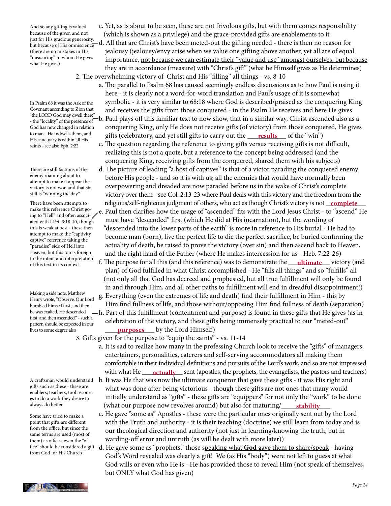And so any gifting is valued because of the giver, and not but because of His omniscience (there are no mistakes in His "measuring" to whom He gives what He gives)

In Psalm 68 it was the Ark of the Covenant ascending to Zion that "the LORD God may dwell there" - the "locality" of the presence of God has now changed in relation to man - He indwells them, and His sanctuary is within all His saints - see also Eph. 2:22

There are still factions of the enemy roaming about to attempt to make it appear the victory is not won and that sin still is "winning the day"

There have been attempts to make this reference Christ going to "Hell" and often associated with I Pet. 3:18-10, though this is weak at best - these then attempt to make the "captivity captive" reference taking the "paradise" side of Hell into Heaven, but this too is foreign to the intent and interpretation of this text in its context

Making a side note, Matthew Henry wrote, "Observe, Our Lord humbled himself first, and then he was exalted. He descended first, and then ascended." - such a pattern should be expected in our lives to some degree also

A craftsman would understand gifts such as these - these are enablers, teachers, tool resources to do a work they desire to always do better

Some have tried to make a point that gifts are different from the office, but since the same terms are used (most of them) as offices, even the "offrom God for His Church

- c. Yet, as is about to be seen, these are not frivolous gifts, but with them comes responsibility because of the giver, and not (which is shown as a privilege) and the grace-provided gifts are enablements to it just for His gracious generosity, and  $\Lambda$  let the second below  $\Lambda$  and  $\Lambda$  let the second below the secon
- just for His gracious generosity, and it hat are Christ's have been meted-out the gifting needed there is then no reason for jealousy (jealousy/envy arise when we value one gifting above another, yet all are of equal importance, not because we can estimate their "value and use" amongst ourselves, but because they are in accordance (measure) with "Christ's gift" (what he Himself gives as He determines) 2. The overwhelming victory of Christ and His "filling" all things - vs. 8-10
- a. The parallel to Psalm 68 has caused seemingly endless discussions as to how Paul is using it here - it is clearly not a word-for-word translation and Paul's usage of it is somewhat symbolic - it is very similar to 68:18 where God is described/praised as the conquering King and receives the gifts from those conquered - in the Psalm He receives and here He gives b. Paul plays off this familiar text to now show, that in a similar way, Christ ascended also as a conquering King, only He does not receive gifts (of victory) from those conquered, He gives to man - He indwells them, and gifts (celebratory, and yet still gifts to carry out the <u>results</u> of the "win")
	- c. The question regarding the reference to giving gifts versus receiving gifts is not difficult, realizing this is not a quote, but a reference to the concept being addressed (and the conquering King, receiving gifts from the conquered, shared them with his subjects)
- d. The picture of leading "a host of captives" is that of a victor parading the conquered enemy before His people - and so it is with us; all the enemies that would have normally been overpowering and dreaded are now paraded before us in the wake of Christ's complete victory over them - see Col. 2:13-23 where Paul deals with this victory and the freedom from the There have been attempts to religious/self-righteous judgment of others, who act as though Christ's victory is not <u>complete</u> e. Paul then clarifies how the usage of "ascended" fits with the Lord Jesus Christ - to "ascend" He must have "descended" first (which He did at His incarnation), but the wording of "descended into the lower parts of the earth" is more in reference to His burial - He had to become man (born), live the perfect life to die the perfect sacrifice, be buried confirming the actuality of death, be raised to prove the victory (over sin) and then ascend back to Heaven, and the right hand of the Father (where He makes intercession for us - Heb. 7:22-26)
- of this text in its context **f**. The purpose for all this (and this reference) was to demonstrate the **ultimate** victory (and of this text in its context plan) of God fulfilled in what Christ accomplished - He "fills all things" and so "fulfills" all (not only all that God has decreed and prophesied, but all true fulfillment will only be found in and through Him, and all other paths to fulfillment will end in dreadful disappointment!)
- g. Everything (even the extremes of life and death) find their fulfillment in Him this by Him find fullness of life, and those without/opposing Him find fullness of death (separation) h. Part of this fulfillment (contentment and purpose) is found in these gifts that He gives (as in celebration of the victory, and these gifts being immensely practical to our "meted-out" lives to some degree also **purposes** by the Lord Himself)

3. Gifts given for the purpose to "equip the saints" - vs. 11-14

- a. It is sad to realize how many in the professing Church look to receive the "gifts" of managers, entertainers, personalities, caterers and self-serving accommodators all making them comfortable in their individual definitions and pursuits of the Lord's work, and so are not impressed with what He <u>exactually</u> sent (apostles, the prophets, the evangelists, the pastors and teachers)
	- b. It was He that was now the ultimate conqueror that gave these gifts it was His right and what was done after being victorious - though these gifts are not ones that many would initially understand as "gifts" - these gifts are "equippers" for not only the "work" to be done (what our purpose now revolves around) but also for maturing/ **stability**
	- c. He gave "some as" Apostles these were the particular ones originally sent out by the Lord with the Truth and authority - it is their teaching (doctrine) we still learn from today and is our theological direction and authority (not just in learning/knowing the truth, but in warding-off error and untruth (as will be dealt with more later))
- fice" should be considered a gift d. He gave some as "prophets," those speaking what God gave them to share/speak having God's Word revealed was clearly a gift! We (as His "body") were not left to guess at what God wills or even who He is - He has provided those to reveal Him (not speak of themselves, but ONLY what God has given)

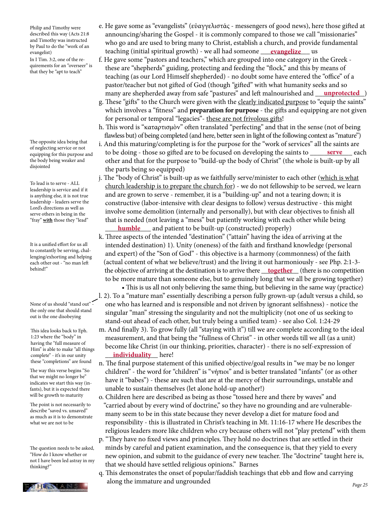Philip and Timothy were described this way (Acts 21:8 and Timothy was instructed by Paul to do the "work of an evangelist)

In I Tim. 3:2, one of the requirements for an "overseer" is that they be "apt to teach"

The opposite idea being that of neglecting service or not equipping for this purpose and the body being weaker and disjointed

To lead is to serve - ALL leadership is service and if it is anything else, it is not true leadership - leaders serve the Lord's directions as well as serve others in being in the "fray" **with** those they "lead"

It is a unified effort for us all to constantly be serving, challenging/exhorting and helping each other out - "no man left behind!"

None of us should "stand out" the only one that should stand out is the one disobeying

This idea looks back to Eph. 1:23 where the "body" in having the "full measure of Him" is able to make "all things complete" - it's in our unity these "completions" are found

The way this verse begins "So that we might no longer be" indicates we start this way (infants), but it is expected there will be growth to maturity

The point is not necessarily to describe "saved vs. unsaved" as much as it is to demonstrate what we are not to be

The question needs to be asked, "How do I know whether or not I have been led astray in my thinking?"



- e. He gave some as "evangelists" (εὐαγγελιστάς messengers of good news), here those gifted at announcing/sharing the Gospel - it is commonly compared to those we call "missionaries" who go and are used to bring many to Christ, establish a church, and provide fundamental evangelist) teaching (initial spiritual growth) - we all had someone <u>\_\_\_\_**evangelize** \_\_\_</u>\_ us
- f. He gave some "pastors and teachers," which are grouped into one category in the Greek these are "shepherds" guiding, protecting and feeding the "flock," and this by means of teaching (as our Lord Himself shepherded) - no doubt some have entered the "office" of a pastor/teacher but not gifted of God (though "gifted" with what humanity seeks and so many are shepherded away from safe "pastures" and left malnourished and <u>gamprotected</u> ( )
	- g. These "gifts" to the Church were given with the clearly indicated purpose to "equip the saints" which involves a "fitness" and **preparation for purpose** - the gifts and equipping are not given for personal or temporal "legacies"- these are not frivolous gifts!

 h. This word is "καταρτισμὸν" often translated "perfecting" and that in the sense (not of being flawless but) of being completed (and here, better seen in light of the following context as "mature")

- i. And this maturing/completing is for the purpose for the "work of services" all the saints are to be doing - those so gifted are to be focused on developing the saints to other and that for the purpose to "build-up the body of Christ" (the whole is built-up by all the parts being so equipped) serve each
- j. The "body of Christ" is built-up as we faithfully serve/minister to each other (which is what church leadership is to prepare the church for) - we do not fellowship to be served, we learn and are grown to serve - remember, it is a "building-up" and not a tearing down; it is constructive (labor-intensive with clear designs to follow) versus destructive - this might involve some demolition (internally and personally), but with clear objectives to finish all that is needed (not leaving a "mess" but patiently working with each other while being \_\_\_\_\_\_\_\_\_\_\_\_\_ and patient to be built-up (constructed) properly) **humble**
- k. Three aspects of the intended "destination" ("attain" having the idea of arriving at the intended destination) 1). Unity (oneness) of the faith and firsthand knowledge (personal and expert) of the "Son of God" - this objective is a harmony (commonness) of the faith (actual content of what we believe/trust) and the living it out harmoniously - see Php. 2:1-3- <sup>behind!"</sup> the objective of arriving at the destination is to arrive there <u>\_\_t**ogether**\_\_(</u>there is no competition to be more mature than someone else, but to genuinely long that we all be growing together)

 • This is us all not only believing the same thing, but believing in the same way (practice) l. 2). To a "mature man" essentially describing a person fully grown-up (adult versus a child, so one who has learned and is responsible and not driven by ignorant selfishness) - notice the singular "man" stressing the singularity and not the multiplicity (not one of us seeking to stand-out ahead of each other, but truly being a unified team) - see also Col. 1:24-29

- m. And finally 3). To grow fully (all "staying with it") till we are complete according to the ideal measurement, and that being the "fullness of Christ" - in other words till we all (as a unit) become like Christ (in our thinking, priorities, character) - there is no self-expression of complete" - it's in our unity **individuality** here!
	- n. The final purpose statement of this unified objective/goal results in "we may be no longer children" - the word for "children" is "νήπιοι" and is better translated "infants" (or as other have it "babes") - these are such that are at the mercy of their surroundings, unstable and unable to sustain themselves (let alone hold-up another!)
	- o. Children here are described as being as those "tossed here and there by waves" and "carried about by every wind of doctrine," so they have no grounding and are vulnerable many seem to be in this state because they never develop a diet for mature food and responsibility - this is illustrated in Christ's teaching in Mt. 11:16-17 where He describes the religious leaders more like children who cry because others will not "play pretend" with them
	- p. "They have no fixed views and principles. They hold no doctrines that are settled in their minds by careful and patient examination, and the consequence is, that they yield to every new opinion, and submit to the guidance of every new teacher. The "doctrine" taught here is, that we should have settled religious opinions." Barnes
	- q. This demonstrates the onset of popular/faddish teachings that ebb and flow and carrying **LITES LANS** along the immature and ungrounded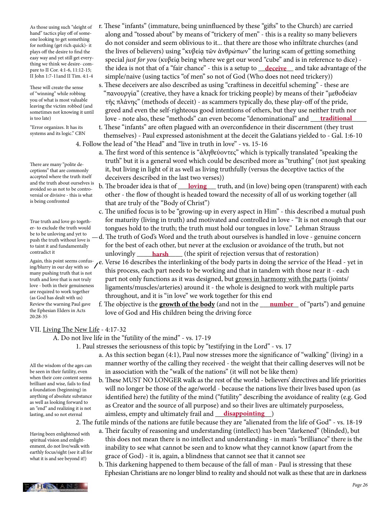As those using such "sleight of hand" tactics play off of someone looking to get something for nothing (get rich quick)- it plays off the desire to find the easy way and yet still get everything we think we desire- compare to II Cor. 4:1-6, 11:12-15; II John 1:7-11and II Tim. 4:1-4

These will create the sense of "winning" while robbing you of what is most valuable leaving the victim robbed (and sometimes not knowing it until is too late)

"Error organizes. It has its systems and its logic." CBN

There are many "polite deceptions" that are commonly accepted where the truth itself and the truth about ourselves is avoided so as not to be controversial or divisive - this is what is being confronted

True truth and love go together- to exclude the truth would push the truth without love is to taint it and fundamentally contradict it

Again, this point seems confusing/blurry in our day with so many pushing truth that is not truth and love that is not truly love - both in their genuineness are required to work together (as God has dealt with us) Review the warning Paul gave the Ephesian Elders in Acts 20:28-35

- r. These "infants" (immature, being uninfluenced by these "gifts" to the Church) are carried along and "tossed about" by means of "trickery of men" - this is a reality so many believers do not consider and seem oblivious to it... that there are those who infiltrate churches (and the lives of believers) using "κυβείᾳ τῶν ἀνθρώπων" the luring scam of getting something special *just for you* (κυβείᾳ being where we get our word "cube" and is in reference to dice) hare to II Cor. 4:1-6, 11:12-15; the idea is not that of a "fair chance" - this is a setup to <u>deceive</u> and take advantage of the simple/naive (using tactics "of men" so not of God (Who does not need trickery))
- s. These deceivers are also described as using "craftiness in deceitful scheming" these are "πανουργία" (creative, they have a knack for tricking people) by means of their "μεθοδείαν τῆς πλάνης" (methods of deceit) - as scammers typically do, these play-off of the pride, greed and even the self-righteous good intentions of others, but they use neither truth nor is too late) love - note also, these "methods" can even become "denominational" and <u>\_\_\_\_\_\_\_\_\_\_\_\_\_\_\_\_\_\_\_\_\_\_\_\_\_\_\_</u>

 t. These "infants" are often plagued with an overconfidence in their discernment (they trust themselves) - Paul expressed astonishment at the deceit the Galatians yielded to - Gal. 1:6-10

- 4. Follow the lead of "the Head" and "live in truth in love" vs. 15-16
	- a. The first word of this sentence is "ἀληθεύοντες" which is typically translated "speaking the truth" but it is a general word which could be described more as "truthing" (not just speaking it, but living in light of it as well as living truthfully (versus the deceptive tactics of the deceivers described in the last two verses))
- and the truth about burselves is b. The broader idea is that of <u>loving</u> truth, and (in love) being open (transparent) with each avoided so as not to be contro other - the flow of thought is headed toward the necessity of all of us working together (all that are truly of the "Body of Christ")
	- c. The unified focus is to be "growing-up in every aspect in Him" this described a mutual push for maturity (living in truth) and motivated and controlled in love - "It is not enough that our tongues hold to the truth; the truth must hold our tongues in love." Lehman Strauss
- be to be unloving and yet to  $-d$ . The truth of God's Word and the truth about ourselves is handled in love genuine concern for the best of each other, but never at the exclusion or avoidance of the truth, but not contradict it **harsh** (the spirit of rejection versus that of restoration)
	- e. Verse 16 describes the interlinking of the body parts in doing the service of the Head yet in this process, each part needs to be working and that in tandem with those near it - each part not only functions as it was designed, but grows in harmony with the parts (joints/ ligaments/muscles/arteries) around it - the whole is designed to work with multiple parts throughout, and it is "in love" we work together for this end
- Review the warning Paul gave f. The objective is the **g<u>rowth of the body</u> (and not in the \_\_\_\_<u>number\_</u>\_ of "parts") and genuine** love of God and His children being the driving force

## VII. Living The New Life - 4:17-32

### A. Do not live life in the "futility of the mind" - vs. 17-19

- 1. Paul stresses the seriousness of this topic by "testifying in the Lord" vs. 17
	- a. As this section began (4:1), Paul now stresses more the significance of "walking" (living) in a manner worthy of the calling they received - the weight that their calling deserves will not be in association with the "walk of the nations" (it will not be like them)
- b. These MUST NO LONGER walk as the rest of the world believers' directives and life priorities will no longer be those of the age/world - because the nations live their lives based upon (as identified here) the futility of the mind ("futility" describing the avoidance of reality (e.g. God as Creator and the source of all purpose) and so their lives are ultimately purposeless, lasting, and so not eternal aimless, empty and ultimately frail and <u>disappointing</u>

2. The futile minds of the nations are futile because they are "alienated from the life of God" - vs. 18-19

- a. Their faculty of reasoning and understanding (intellect) has been "darkened" (blinded), but this does not mean there is no intellect and understanding - in man's "brilliance" there is the inability to see what cannot be seen and to know what they cannot know (apart from the grace of God) - it is, again, a blindness that cannot see that it cannot see
	- b. This darkening happened to them because of the fall of man Paul is stressing that these Ephesian Christians are no longer blind to reality and should not walk as these that are in darkness

All the wisdom of the ages can be seen in their futility, even when their core content seems brilliant and wise, fails to find a foundation (beginning) in anything of absolute substance as well as looking forward to an "end" and realizing it is not lasting, and so not eternal

Having been enlightened with spiritual vision and enlightenment, do not live/walk with earthly focus/sight (see it all for what it is and see beyond it!)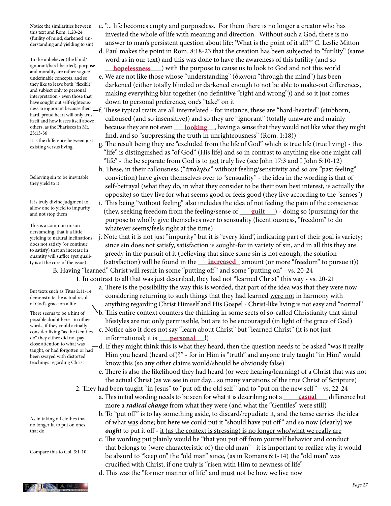Notice the similarities between this text and Rom. 1:20-24 (futility of mind, darkened understanding and yielding to sin)

To the unbeliever (the blind/ ignorant/hard-hearted), purpose and morality are rather vague/ undefinable concepts, and so they like to leave both "flexible" and subject only to personal interpretation - even those that have sought out self-righteoushard, proud heart will only trust itself and how it sees itself above others, as the Pharisees in Mt. 23:13-36

It is the difference between just existing versus living

Believing sin to be inevitable, they yield to it

It is truly divine judgment to allow one to yield to impurity and not stop them

This is a common misunderstanding, that if a little yielding to natural inclinations does not satisfy (or continue to satisfy) that an increase in quantity will suffice (yet quality is at the core of the issue)

But texts such as Titus 2:11-14 demonstrate the actual result of God's grace on a life

There seems to be a hint of possible doubt here - in other words, if they could actually consider living "as the Gentiles do" they either did not pay close attention to what was taught, or had forgotten or had been swayed with distorted teachings regarding Christ

As in taking off clothes that no longer fit to put on ones that do

Compare this to Col. 3:1-10

 c. "... life becomes empty and purposeless. For them there is no longer a creator who has invested the whole of life with meaning and direction. Without such a God, there is no answer to man's persistent question about life: 'What is the point of it all?'" C. Leslie Mitton

 d. Paul makes the point in Rom. 8:18-23 that the creation has been subjected to "futility" (same word as in our text) and this was done to have the awareness of this futility (and so <sup>1gnorant/hard-hearted), purpose</sup> **hopelessness** with the purpose to cause us to look to God and not this world

- e. We are not like those whose "understanding" (διάνοια "through the mind") has been darkened (either totally blinded or darkened enough to not be able to make-out differences, making everything blur together (no definitive "right and wrong")) and so it just comes down to personal preference, one's "take" on it
- ness are ignorant because their —f. These typical traits are all interrelated for instance, these are "hard-hearted" (stubborn, calloused (and so insensitive)) and so they are "ignorant" (totally unaware and mainly others, as the Pharisees in Mt. **because they are not even looking**, having a sense that they would not like what they might find, and so "suppressing the truth in unrighteousness" (Rom. 1:18))
	- g. The result being they are "excluded from the life of God" which is true life (true living) this "life" is distinguished as "of God" (His life) and so in contrast to anything else one might call "life" - the be separate from God is to not truly live (see John 17:3 and I John  $5:10-12$ )
	- h. These, in their callousness ("ἀπαλγέω" without feeling/sensitivity and so are "past feeling" conviction) have given themselves over to "sensuality" - the idea in the wording is that of self-betrayal (what they do, in what they consider to be their own best interest, is actually the opposite) so they live for what seems good or feels good (they live according to the "senses")
- i. This being "without feeling" also includes the idea of not feeling the pain of the conscience and not stop them (they, seeking freedom from the feeling/sense of <u>guilt</u>) - doing so (pursuing) for the purpose to wholly give themselves over to sensuality (licentiousness, "freedom" to do whatever seems/feels right at the time)
- j. Note that it is not just "impurity" but it is "every kind", indicating part of their goal is variety; since sin does not satisfy, satisfaction is sought-for in variety of sin, and in all this they are greedy in the pursuit of it (believing that since some sin is not enough, the solution (satisfaction) will be found in the \_\_\_\_\_\_\_\_\_\_\_\_ amount (or more "freedom" to pursue it)) **increased**

B. Having "learned" Christ will result in some "putting off " and some "putting on" - vs. 20-24 1. In contrast to all that was just described, they had not "learned Christ" this way - vs. 20-21

- a. There is the possibility the way this is worded, that part of the idea was that they were now considering returning to such things that they had learned were not in harmony with
- anything regarding Christ Himself and His Gospel Christ-like living is not easy and "normal" b. This entire context counters the thinking in some sects of so-called Christianity that sinful lifestyles are not only permissible, but are to be encouraged (in light of the grace of God)
- c. Notice also it does not say "learn about Christ" but "learned Christ" (it is not just do" they either did not pay **informational**; it is **personal** [1]
	- -d. If they might think this is what they heard, then the question needs to be asked "was it really Him you heard (heard of)?" - for in Him is "truth" and anyone truly taught "in Him" would know this (so any other claims would/should be obviously false)
	- e. There is also the likelihood they had heard (or were hearing/learning) of a Christ that was not the actual Christ (as we see in our day... so many variations of the true Christ of Scripture)
	- 2. They had been taught "in Jesus" to "put off the old self" and to "put on the new self" vs. 22-24 a. This initial wording needs to be seen for what it is describing; not a **casual**
		- more a *radical change* from what they were (and what the "Gentiles" were still)
		- b. To "put off" is to lay something aside, to discard/repudiate it, and the tense carries the idea of what was done; but here we could put it "should have put off " and so now (clearly) we *ought* to put it off - it (as the context is stressing) is no longer who/what we really are
		- c. The wording put plainly would be "that you put off from yourself behavior and conduct that belongs to (were characteristic of) the old man" - it is important to realize why it would be absurd to "keep on" the "old man" since, (as in Romans 6:1-14) the "old man" was crucified with Christ, if one truly is "risen with Him to newness of life"

d. This was the "former manner of life" and must not be how we live now

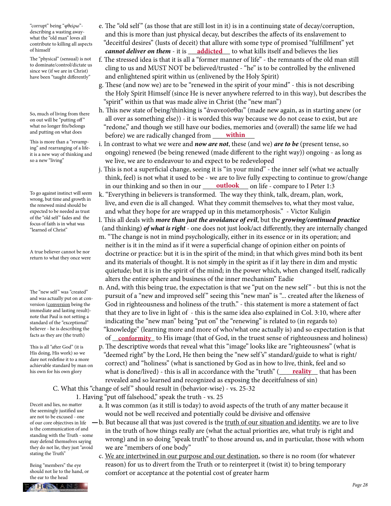"corrupt" being "φθείρω" describing a wasting awaywhat the "old man" loves all contribute to killing all aspects of himself

The "physical" (sensual) is not to dominate/control/dictate us since we (if we are in Christ) have been "taught differently"

So, much of living from there on out will be "putting off" what no longer fits/belongs and putting on what does

This is more than a "revamping" and rearranging of a lifeit is a new way of thinking and so a new "living"

To go against instinct will seem wrong, but time and growth in the renewed mind should be expected to be needed as trust of the "old self" fades and the focus of faith is in what was "learned of Christ"

A true believer cannot be nor return to what they once were

The "new self" was "created" and was actually put on at conversion (conversion being the immediate and lasting result) note that Paul is not setting a standard of the "exceptional" believer - he is describing the facts as they are (the truth)

This is all "after God" (it is His doing, His work) so we dare not redefine it to a more achievable standard by man on his own for his own glory

- e. The "old self " (as those that are still lost in it) is in a continuing state of decay/corruption, and this is more than just physical decay, but describes the affects of its enslavement to "deceitful desires" (lusts of deceit) that allure with some type of promised "fulfillment" yet *cannot deliver on them* - it is \_\_\_\_\_\_\_\_\_\_\_\_ to what kills itself and believes the lies **addicted**
	- f. The stressed idea is that it is all a "former manner of life" the remnants of the old man still cling to us and MUST NOT be believed/trusted - "he" is to be controlled by the enlivened and enlightened spirit within us (enlivened by the Holy Spirit)
	- g. These (and now we) are to be "renewed in the spirit of your mind" this is not describing the Holy Spirit Himself (since He is never anywhere referred to in this way), but describes the "spirit" within us that was made alive in Christ (the "new man")
- h. This new state of being/thinking is "ἀνανεοῦσθαι" (made new again, as in starting anew (or all over as something else)) - it is worded this way because we do not cease to exist, but are "redone," and though we still have our bodies, memories and (overall) the same life we had and putting on what does before) we are radically changed from <u>within</u>
	- i. In contrast to what we were and *now are not*, these (and we) *are to be* (present tense, so ongoing) renewed (be being renewed (made different to the right way)) ongoing - as long as we live, we are to endeavour to and expect to be redeveloped
- j. This is not a superficial change, seeing it is "in your mind" the inner self (what we actually think, feel) is not what it used to be - we are to live fully expecting to continue to grow/change in our thinking and so then in our <u>\_\_\_\_\_**outlook** \_\_</u>\_ on life - compare to I Peter 1:3
	- k. "Everything in believers is transformed. The way they think, talk, dream, plan, work, live, and even die is all changed. What they commit themselves to, what they most value, and what they hope for are wrapped up in this metamorphosis." - Victor Kuligin
	- l. This all deals with *more than just the avoidance of evil*, but the *growing/continued practice* (and thinking) *of what is right* - one does not just look/act differently, they are internally changed
	- m. "The change is not in mind psychologically, either in its essence or in its operation; and neither is it in the mind as if it were a superficial change of opinion either on points of doctrine or practice: but it is in the spirit of the mind; in that which gives mind both its bent and its materials of thought. It is not simply in the spirit as if it lay there in dim and mystic quietude; but it is in the spirit of the mind; in the power which, when changed itself, radically alters the entire sphere and business of the inner mechanism" Eadie
	- n. And, with this being true, the expectation is that we "put on the new self" but this is not the pursuit of a "new and improved self " seeing this "new man" is "... created after the likeness of God in righteousness and holiness of the truth." - this statement is more a statement of fact that they are to live in light of - this is the same idea also explained in Col. 3:10, where after indicating the "new man" being "put on" the "renewing" is related to (in regards to) "knowledge" (learning more and more of who/what one actually is) and so expectation is that
- racts as they are (the truth) of **conformity** to His image (that of God, in the truest sense of righteousness and holiness) p. The descriptive words that reveal what this "image" looks like are "righteousness" (what is "deemed right" by the Lord, He then being the "new self 's" standard/guide to what is right/ correct) and "holiness" (what is sanctioned by God as in how to live, think, feel and so his own for his own glory **what is done/lived**) - this is all in accordance with the "truth" (**\_\_\_\_\_<u>reality\_\_\_</u>\_\_</mark> that has been** revealed and so learned and recognized as exposing the deceitfulness of sin)

C. What this "change of self" should result in (behavior-wise) - vs. 25-32

1. Having "put off falsehood," speak the truth - vs. 25

- a. It was common (as it still is today) to avoid aspects of the truth of any matter because it would not be well received and potentially could be divisive and offensive
- b. But because all that was just covered is the truth of our situation and identity, we are to live in the truth of how things really are (what the actual priorities are, what truly is right and wrong) and in so doing "speak truth" to those around us, and in particular, those with whom we are "members of one body"
	- c. We are intertwined in our purpose and our destination, so there is no room (for whatever reason) for us to divert from the Truth or to reinterpret it (twist it) to bring temporary comfort or acceptance at the potential cost of greater harm

Deceit and lies, no matter the seemingly justified use are not to be excused - one of our core objectives in life is the communication of and standing with the Truth - some may defend themselves saying they do not lie, they just "avoid stating the Truth"

Being "members" the eye should not lie to the hand, or the ear to the head

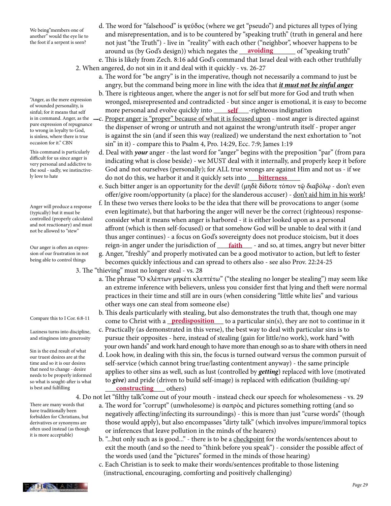We being"members one of another" would the eye lie to the foot if a serpent is seen?

"Anger, as the mere expression of wounded personality, is sinful; for it means that self pure expression of repugnance to wrong in loyalty to God, is sinless, where there is true occasion for it." CBN

This command is particularly difficult for us since anger is very personal and addictive to the soul - sadly, we instinctively love to hate

Anger will produce a response (typically) but it must be controlled (properly calculated and not reactionary) and must not be allowed to "stew"

Our anger is often an expression of our frustration in not being able to control things

Compare this to I Cor. 6:8-11

Laziness turns into discipline, and stinginess into generosity

Sin is the end result of what our truest desires are at the time and so it is our desires that need to change - desire needs to be properly informed so what is sought-after is what is best and fulfilling

There are many words that have traditionally been forbidden for Christians, but derivatives or synonyms are often used instead (as though it is more acceptable)

- d. The word for "falsehood" is ψεῦδος (where we get "pseudo") and pictures all types of lying and misrepresentation, and is to be countered by "speaking truth" (truth in general and here not just "the Truth") - live in "reality" with each other ("neighbor", whoever happens to be around us (by God's design)) which negates the <u>\_\_**\_\_avoiding**\_\_\_\_\_\_\_</u>\_ of "speaking truth" e. This is likely from Zech. 8:16 add God's command that Israel deal with each other truthfully
	- 2. When angered, do not sin in it and deal with it quickly vs. 26-27
		- a. The word for "be angry" is in the imperative, though not necessarily a command to just be angry, but the command being more in line with the idea that *it must not be sinful anger*
- b. There is righteous anger, where the anger is not for self but more for God and truth when wronged, misrepresented and contradicted - but since anger is emotional, it is easy to become sin to all a be becominary, to more personal and evolve quickly into <u>self</u> \_\_\_-righteous indignation
- is in command. Anger, as the <sub>-</sub>c. Proper anger is "proper" because of what it is focused upon most anger is directed against the dispenser of wrong or untruth and not against the wrong/untruth itself - proper anger is against the sin (and if seen this way (realized) we understand the next exhortation to "not sin" in it) - compare this to Psalm 4, Pro. 14:29, Ecc. 7:9; James 1:19
- d. Deal with *your* anger the last word for "anger" begins with the preposition "par" (from para indicating what is close beside) - we MUST deal with it internally, and properly keep it before God and not ourselves (personally); for ALL true wrongs are against Him and not us - if we <sup>ly love to hate</sup> do not do this, we harbor it and it quickly sets into <u>bitterness</u>
	- e. Such bitter anger is an opportunity for the devil! (μηδὲ δίδοτε τόπον τῷ διαβόλῳ don't even offer/give room/opportunity (a place) for the slanderous accuser) - don't aid him in his work!
- f. In these two verses there looks to be the idea that there will be provocations to anger (some even legitimate), but that harboring the anger will never be the correct (righteous) response consider what it means when anger is harbored - it is either looked upon as a personal affront (which is then self-focused) or that somehow God will be unable to deal with it (and thus anger continues) - a focus on God's sovereignty does not produce stoicism, but it does Our anger is often an expres- reign-in anger under the jurisdiction of <u>faith</u> - and so, at times, angry but never bitter g. Anger, "freshly" and properly motivated can be a good motivator to action, but left to fester
	- becomes quickly infectious and can spread to others also see also Prov. 22:24-25
	- 3. The "thieving" must no longer steal vs. 28
		- a. The phrase "Ὁ κλέπτων μηκέτι κλεπτέτω" ("the stealing no longer be stealing") may seem like an extreme inference with believers, unless you consider first that lying and theft were normal practices in their time and still are in ours (when considering "little white lies" and various other ways one can steal from someone else)
- b. This deals particularly with stealing, but also demonstrates the truth that, though one may Compare this to I Cor. 6:8-11 come to Christ with a **\_predisposition** \_\_\_ to a particular sin(s), they are not to continue in it
	- c. Practically (as demonstrated in this verse), the best way to deal with particular sins is to pursue their opposites - here, instead of stealing (gain for little/no work), work hard "with your own hands" and work hard enough to have more than enough so as to share with others in need
- d. Look how, in dealing with this sin, the focus is turned outward versus the common pursuit of self-service (which cannot bring true/lasting contentment anyway) - the same principle applies to other sins as well, such as lust (controlled by *getting*) replaced with love (motivated to *give*) and pride (driven to build self-image) is replaced with edification (building-up/ is best and fulfilling **constructing** others)

4. Do not let "filthy talk"come out of your mouth - instead check our speech for wholesomeness - vs. 29

- a. The word for "corrupt" (unwholesome) is σαπρὸς and pictures something rotting (and so negatively affecting/infecting its surroundings) - this is more than just "curse words" (though those would apply), but also encompasses "dirty talk" (which involves impure/immoral topics or inferences that leave pollution in the minds of the hearers)
- b. "...but only such as is good..." there is to be a checkpoint for the words/sentences about to exit the mouth (and so the need to "think before you speak") - consider the possible affect of the words used (and the "pictures" formed in the minds of those hearing)
- c. Each Christian is to seek to make their words/sentences profitable to those listening (instructional, encouraging, comforting and positively challenging)

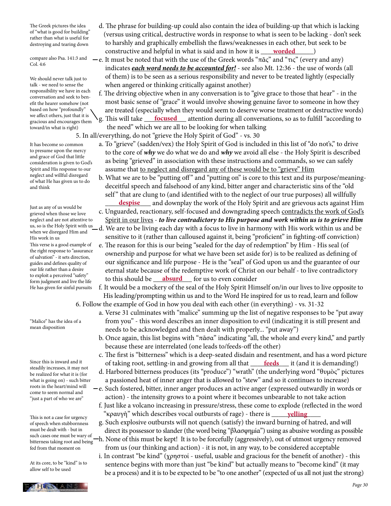The Greek pictures the idea of "what is good for building" rather than what is useful for destroying and tearing down

compare also Psa. 141:3 and Col. 4:6

We should never talk just to talk - we need to sense the responsibility we have in each conversation and seek to benefit the hearer somehow (not based on how "profoundly" we affect others, just that it is gracious and encourages them toward/in what is right)

It has become so common to presume upon the mercy and grace of God that little consideration is given to God's Spirit and His response to our neglect and willful disregard of what He has given us to do and think

Just as any of us would be grieved when those we love neglect and are not attentive to us, so is the Holy Spirit with us when we disregard Him and His work in us This verse is a good example of the right response to "assurance of salvation" - it sets direction, guides and defines quality of our life rather than a desire to exploit a perceived "safety"

form judgment and live the life He has given for sinful pursuits

"Malice" has the idea of a mean disposition

Since this is inward and it steadily increases, it may not be realized for what it is (for what is going on) - such bitter roots in the heart/mind will come to seem normal and "just a part of who we are"

This is not a case for urgency of speech when stubbornness must be dealt with - but in such cases one must be wary of  $\_$ bitterness taking root and being fed from that moment on

At its core, to be "kind" is to allow self to be used



- d. The phrase for building-up could also contain the idea of building-up that which is lacking (versus using critical, destructive words in response to what is seen to be lacking - don't seek to harshly and graphically embellish the flaws/weaknesses in each other, but seek to be constructive and helpful in what is said and in how it is <u>worded</u> \_\_\_\_\_\_)
	- $-e$ . It must be noted that with the use of the Greek words "πᾶς" and "τις" (every and any) indicates *each word needs to be accounted for!* - see also Mt. 12:36 - the use of words (all of them) is to be seen as a serious responsibility and never to be treated lightly (especially when angered or thinking critically against another)

 f. The driving objective when in any conversation is to "give grace to those that hear" - in the most basic sense of "grace" it would involve showing genuine favor to someone in how they are treated (especially when they would seem to deserve worse treatment or destructive words) we allect others, just that it is  $\searrow$  g. This will take <u>focused</u> attention during all conversations, so as to fulfill "according to gracious and encourages them  $\searrow$  g. This will take <u>focused</u> attention during all co the need" which we are all to be looking for when talking

5. In all/everything, do not "grieve the Holy Spirit of God" - vs. 30

- a. To "grieve" (sadden/vex) the Holy Spirit of God is included in this list of "do not's," to drive to the core of *why* we do what we do and *why* we avoid all else - the Holy Spirit is described as being "grieved" in association with these instructions and commands, so we can safely assume that to neglect and disregard any of these would be to "grieve" Him
- b. What we are to be "putting off " and "putting on" is core to this text and its purpose/meaning deceitful speech and falsehood of any kind, bitter anger and characteristic sins of the "old self" that are clung to (and identified with to the neglect of our true purposes) all willfully **despise** and downplay the work of the Holy Spirit and are grievous acts against Him
	- c. Unguarded, reactionary, self-focused and downgrading speech contradicts the work of God's Spirit in our lives - *to live contradictory to His purpose and work within us is to grieve Him*
	- d. We are to be living each day with a focus to live in harmony with His work within us and be sensitive to it (rather than calloused against it, being "proficient" in fighting-off conviction)
- e. The reason for this is our being "sealed for the day of redemption" by Him His seal (of ownership and purpose for what we have been set aside for) is to be realized as defining of our significance and life purpose - He is the "seal" of God upon us and the guarantee of our eternal state because of the redemptive work of Christ on our behalf - to live contradictory form judgment and live the life **the state of this should be** <u>**absurd**</u> for us to even consider

 f. It would be a mockery of the seal of the Holy Spirit Himself on/in our lives to live opposite to His leading/prompting within us and to the Word He inspired for us to read, learn and follow 6. Follow the example of God in how you deal with each other (in everything) - vs. 31-32

- a. Verse 31 culminates with "malice" summing up the list of negative responses to be "put away from you" - this word describes an inner disposition to evil (indicating it is still present and needs to be acknowledged and then dealt with properly... "put away")
- b. Once again, this list begins with " $\pi \tilde{a} \sigma a$ " indicating "all, the whole and every kind," and partly because these are interrelated (one leads to/feeds-off the other)
- c. The first is "bitterness" which is a deep-seated disdain and resentment, and has a word picture Since this is inward and it **following** of taking root, settling-in and growing from all that **feeds** it (and it is demanding!)
	- d. Harbored bitterness produces (its "produce") "wrath" (the underlying word "θυμὸς" pictures a passioned heat of inner anger that is allowed to "stew" and so it continues to increase)
	- e. Such fostered, bitter, inner anger produces an active anger (expressed outwardly in words or action) - the intensity grows to a point where it becomes unbearable to not take action
- f. Just like a volcano increasing in pressure/stress, these come to explode (reflected in the word This is not a case for urgency **start of the contact of the contact of the contact of rage**) - there is <u>start **yelling**</u>
	- g. Such explosive outbursts will not quench (satisfy) the inward burning of hatred, and will direct its possessor to slander (the word being "βλασφημία") using as abusive wording as possible h. None of this must be kept! It is to be forcefully (aggressively), out of utmost urgency removed
	- from us (our thinking and action) it is not, in any way, to be considered acceptable i. In contrast "be kind" (χρηστοί - useful, usable and gracious for the benefit of another) - this sentence begins with more than just "be kind" but actually means to "become kind" (it may be a process) and it is to be expected to be "to one another" (expected of us all not just the strong)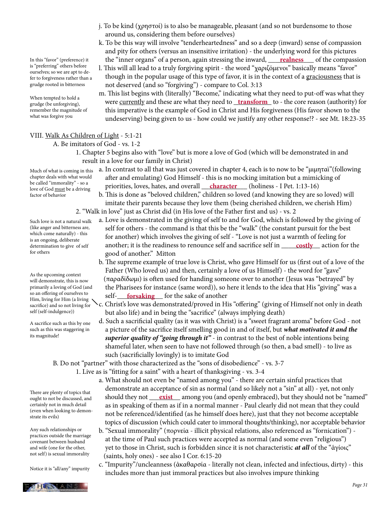In this "favor" (preference) it is "preferring" others before ourselves; so we are apt to defer to forgiveness rather than a grudge rooted in bitterness

When tempted to hold a grudge (be unforgiving), remember the magnitude of what was forgive you

 and pity for others (versus an insensitive irritation) - the underlying word for this pictures In this "favor" (preference) it **compassion the "inner organs" of a person, again stressing the inward, <u>realness</u> of the compassion**  l. This will all lead to a truly forgiving spirit - the word "χαριζόμενοι" basically means "favor" though in the popular usage of this type of favor, it is in the context of a graciousness that is

k. To be this way will involve "tenderheartedness" and so a deep (inward) sense of compassion

j. To be kind (χρηστοί) is to also be manageable, pleasant (and so not burdensome to those

around us, considering them before ourselves)

 not deserved (and so "forgiving") - compare to Col. 3:13 m. This list begins with (literally) "Become," indicating what they need to put-off was what they erudge (be unforgiving), were <u>currently</u> and these are what they need to <u>transform</u> to - the core reason (authority) for this imperative is the example of God in Christ and His forgiveness (His favor shown to the undeserving) being given to us - how could we justify any other response!? - see Mt. 18:23-35

### VIII. Walk As Children of Light - 5:1-21

A. Be imitators of God - vs. 1-2

 1. Chapter 5 begins also with "love" but is more a love of God (which will be demonstrated in and result in a love for our family in Christ)

chapter deals with what would be called "immorality" - so a love of God must be a driving factor of behavior

- Much of what is coming in this a. In contrast to all that was just covered in chapter 4, each is to now to be "μιμηταὶ"(following after and emulating) God Himself - this is no mocking imitation but a mimicking of be caned immorality - so a<br>love of God must be a driving **priorities, loves, hates, and overall character** (holiness - I Pet. 1:13-16)
	- b. This is done as "beloved children," children so loved (and knowing they are so loved) will imitate their parents because they love them (being cherished children, we cherish Him) 2. "Walk in love" just as Christ did (in His love of the Father first and us) - vs. 2
- a. Love is demonstrated in the giving of self to and for God, which is followed by the giving of self for others - the command is that this be the "walk" (the constant pursuit for the best for another) which involves the giving of self - "Love is not just a warmth of feeling for determination to give of self another; it is the readiness to renounce self and sacrifice self in <u>costly</u> action for the good of another." Mitton
- b. The supreme example of true love is Christ, who gave Himself for us (first out of a love of the Father (Who loved us) and then, certainly a love of us Himself) - the word for "gave" (παραδίδωμι) is often used for handing someone over to another (Jesus was "betrayed" by the Pharisees for instance (same word)), so here it lends to the idea that His "giving" was a so an onering or ourselves to self-<u>forsaking</u> for the sake of another
	- c. Christ's love was demonstrated/proved in His "offering" (giving of Himself not only in death but also life) and in being the "sacrifice" (always implying death)
	- d. Such a sacrificial quality (as it was with Christ) is a "sweet fragrant aroma" before God not a picture of the sacrifice itself smelling good in and of itself, but *what motivated it and the superior quality of "going through it"* - in contrast to the best of noble intentions being shameful later, when seen to have not followed through (so then, a bad smell) - to live as such (sacrificially lovingly) is to imitate God

B. Do not "partner" with those characterized as the "sons of disobedience" - vs. 3-7

1. Live as is "fitting for a saint" with a heart of thanksgiving - vs. 3-4

- a. What should not even be "named among you" there are certain sinful practices that demonstrate an acceptance of sin as normal (and so likely not a "sin" at all) - yet, not only ought to not be discussed, and should they not <u>exist</u> among you (and openly embraced), but they should not be "named" as in speaking of them as if in a normal manner - Paul clearly did not mean that they could not be referenced/identified (as he himself does here), just that they not become acceptable topics of discussion (which could cater to immoral thoughts/thinking), nor acceptable behavior
	- b. "Sexual immorality" (πορνεία illicit physical relations, also referenced as "fornication") at the time of Paul such practices were accepted as normal (and some even "religious") yet to those in Christ, such is forbidden since it is not characteristic *at all* of the "ἁγίοις" (saints, holy ones) - see also I Cor. 6:15-20
	- c. "Impurity"/uncleanness (ἀκαθαρσία literally not clean, infected and infectious, dirty) this includes more than just immoral practices but also involves impure thinking

(like anger and bitterness are, which come naturally) - this is an ongoing, deliberate determination to give of self for others

Such love is not a natural walk

As the upcoming context will demonstrate, this is now primarily a loving of God (and so an offering of ourselves to Him, living for Him (a living sacrifice) and so not living for self (self-indulgence))

A sacrifice such as this by one such as this was staggering in its magnitude!

#### There are plenty of topics that ought to not be discussed, and certainly not in much detail (even when looking to demonstrate its evils)

Any such relationships or practices outside the marriage covenant between husband and wife (one for the other, not self) is sexual immorality

Notice it is "all/any" impurity

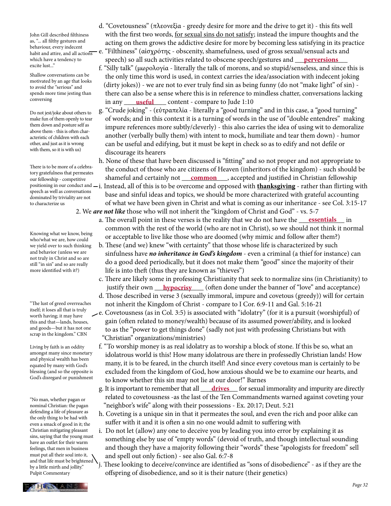John Gill described filthiness as, "... all filthy gestures and behaviour, every indecent habit and attire, and all actions which have a tendency to excite lust..."

Shallow conversations can be motivated by an age that looks to avoid the "serious" and spends more time jesting than conversing

Do not jest/joke about others to make fun of them openly to tear them down and posture self as above them - this is often characteristic of children with each other, and just as it is wrong with them, so it is with us)

There is to be more of a celebratory gratefulness that permeates our fellowship - competitive speech as well as conversations dominated by triviality are not to characterize us

Knowing what we know, being who/what we are, how could we yield over to such thinking and behavior (unless we are not truly in Christ and so are still "in sin" and so are really more identified with it?)

"The lust of greed overreaches itself; it loses all that is truly worth having; it may have this and that—lands, houses, and goods—but it has not one scrap in the kingdom." CBN

Living by faith is an oddity amongst many since monetary and physical wealth has been equated by many with God's blessing (and so the opposite is God's disregard or punishment

"No man, whether pagan or nominal Christian: the pagan defending a life of pleasure as the only thing to be had with even a smack of good in it; the Christian mitigating pleasant sins, saying that the young must have an outlet for their warm feelings, that men in business must put all their soul into it, and that life must be brightened by a little mirth and jollity." Pulpit Commentary

- d. "Covetousness" (πλεονεξία greedy desire for more and the drive to get it) this fits well with the first two words, for sexual sins do not satisfy; instead the impure thoughts and the acting on them grows the addictive desire for more by becoming less satisfying in its practice e. "Filthiness" (αἰσχρότης - obscenity, shamefulness, used of gross sexual/sensual acts and
- which have a tendency to speech) so all such activities related to obscene speech/gestures and <u>perversions</u> f. "Silly talk" (μωρολογία - literally the talk of morons, and so stupid/senseless, and since this is the only time this word is used, in context carries the idea/association with indecent joking (dirty jokes)) - we are not to ever truly find sin as being funny (do not "make light" of sin) there can also be a sense where this is in reference to mindless chatter, conversations lacking conversing **in any <u>useful</u>** content - compare to Jude 1:10
	- g. "Crude joking" (εὐτραπελία literally a "good turning" and in this case, a "good turning" of words; and in this context it is a turning of words in the use of "double entendres" making impure references more subtly/cleverly) - this also carries the idea of using wit to demoralize another (verbally bully them) with intent to mock, humiliate and tear them down) - humor can be useful and edifying, but it must be kept in check so as to edify and not defile or discourage its hearers
- h. None of these that have been discussed is "fitting" and so not proper and not appropriate to the conduct of those who are citizens of Heaven (inheritors of the kingdom) - such should be our fellowship - competitive shameful and certainly not <u>common</u>, accepted and justified in Christian fellowship
- positioning in our conduct and i. Instead, all of this is to be overcome and opposed with <u>thanksgivin</u>g rather than flirting with base and sinful ideas and topics, we should be more characterized with grateful accounting of what we have been given in Christ and what is coming as our inheritance - see Col. 3:15-17 2. We *are not like* those who will not inherit the "kingdom of Christ and God" - vs. 5-7
- a. The overall point in these verses is the reality that we do not have the <u>sesentials</u> in common with the rest of the world (who are not in Christ), so we should not think it normal or acceptable to live like those who are doomed (why mimic and follow after them?)
	- b. These (and we) knew "with certainty" that those whose life is characterized by such sinfulness have *no inheritance in God's kingdom* - even a criminal (a thief for instance) can do a good deed periodically, but it does not make them "good" since the majority of their life is into theft (thus they are known as "thieves")
- c. There are likely some in professing Christianity that seek to normalize sins (in Christianity) to justify their own <u>hypocrisy</u> (often done under the banner of "love" and acceptance)
	- d. Those described in verse 3 (sexually immoral, impure and covetous (greedy)) will for certain not inherit the Kingdom of Christ - compare to I Cor. 6:9-11 and Gal. 5:16-21
	- e. Covetousness (as in Col. 3:5) is associated with "idolatry" (for it is a pursuit (worshipful) of gain (often related to money/wealth) because of its assumed power/ability, and is looked to as the "power to get things done" (sadly not just with professing Christians but with "Christian" organizations/ministries)
		- f. "To worship money is as real idolatry as to worship a block of stone. If this be so, what an idolatrous world is this! How many idolatrous are there in professedly Christian lands! How many, it is to be feared, in the church itself! And since every covetous man is certainly to be excluded from the kingdom of God, how anxious should we be to examine our hearts, and to know whether this sin may not lie at our door!" Barnes
- g. It is important to remember that all <u>drives</u> for sexual immorality and impurity are directly related to covetousness -as the last of the Ten Commandments warned against coveting your "neighbor's wife" along with their possessions - Ex. 20:17; Deut. 5:21
	- h. Coveting is a unique sin in that it permeates the soul, and even the rich and poor alike can suffer with it and it is often a sin no one would admit to suffering with
	- i. Do not let (allow) any one to deceive you by leading you into error by explaining it as something else by use of "empty words" (devoid of truth, and though intellectual sounding and though they have a majority following their "words" these "apologists for freedom" sell and spell out only fiction) - see also Gal. 6:7-8
	- j. These looking to deceive/convince are identified as "sons of disobedience" as if they are the offspring of disobedience, and so it is their nature (their genetics)

PHESIANS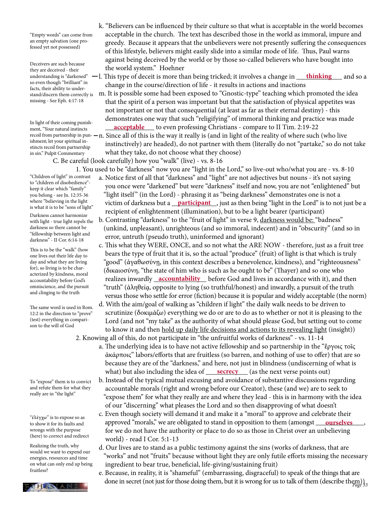"Empty words" can come from an empty salvation (one professed yet not possessed)

Deceivers are such because they are deceived - their so even though "brilliant" in facts, their ability to understand/discern them correctly is missing - See Eph. 4:17-18

In light of their coming punishment, "Your natural instincts ishment; let your spiritual instincts recoil from partnership in sin." Pulpit Commentary

"Children of light" in contrast to "children of disobedience" keep it clear which "family" you belong - see Jn. 12:35-36

Darkness cannot harmonize with light - true light repels the darkness so there cannot be "fellowship between light and darkness" - II Cor. 6:14-18

This is to be the "walk" (how one lives out their life day to day and what they are living for), so living is to be characterized by kindness, moral accountability before God's omniscience, and the pursuit and clinging to the truth

The same word is used in Rom. 12:2 in the direction to "prove" (test) everything in comparison to the will of God

To "expose" them is to convict and refute them for what they really are in "the light"

"ἐλέγχω" is to expose so as to show it for its faults and wrongs with the purpose (here) to correct and redirect

Realizing the truth, why would we want to expend our energies, resources and time on what can only end up being fruitless?



 k. "Believers can be influenced by their culture so that what is acceptable in the world becomes acceptable in the church. The text has described those in the world as immoral, impure and greedy. Because it appears that the unbelievers were not presently suffering the consequences of this lifestyle, believers might easily slide into a similar mode of life. Thus, Paul warns against being deceived by the world or by those so-called believers who have bought into the world system." Hoehner

understanding is "darkened" —l. This type of deceit is more than being tricked; it involves a change in <u>\_\_\_**thinking** \_\_\_</u> and so a change in the course/direction of life - it results in actions and inactions

 m. It is possible some had been exposed to "Gnostic-type" teaching which promoted the idea that the spirit of a person was important but that the satisfaction of physical appetites was not important or not that consequential (at least as far as their eternal destiny) - this demonstrates one way that such "religifying" of immoral thinking and practice was made ment, "Your natural instincts" **acceptable** to even professing Christians - compare to II Tim. 2:19-22

recoil from partnership in pun- $-$ n. Since all of this is the way it really is (and in light of the reality of where such (who live instinctively) are headed), do not partner with them (literally do not "partake," so do not take what they take, do not choose what they choose)

C. Be careful (look carefully) how you "walk" (live) - vs. 8-16

 1. You used to be "darkness" now you are "light in the Lord," so live-out who/what you are - vs. 8-10 a. Notice first of all that "darkness" and "light" are not adjectives but nouns - it's not saying

- you once were "darkened" but were "darkness" itself and now, you are not "enlightened" but "light itself" (in the Lord) - phrasing it as "being darkness" demonstrates one is not a where "believing in the light victim of darkness but a **\_\_<u>participant</u>**, just as then being "light in the Lord" is to not just be a light in the Lord a recipient of enlightenment (illumination), but to be a light bearer (participant)
	- b. Contrasting "darkness" to the "fruit of light" in verse 9, darkness would be: "badness" (unkind, unpleasant), unrighteous (and so immoral, indecent) and in "obscurity" (and so in error, untruth (pseudo truth), uninformed and ignorant)
- c. This what they WERE, ONCE, and so not what the ARE NOW therefore, just as a fruit tree bears the type of fruit that it is, so the actual "produce" (fruit) of light is that which is truly "good" (ἀγαθωσύνῃ, in this context describes a benevolence, kindness), and "righteousness" (δικαιοσύνη, "the state of him who is such as he ought to be" (Thayer) and so one who accountability before God's realizes inwardly **accountability** before God and lives in accordance with it), and then "truth" (ἀληθείᾳ, opposite to lying (so truthful/honest) and inwardly, a pursuit of the truth versus those who settle for error (fiction) because it is popular and widely acceptable (the norm)
	- d. With the aim/goal of walking as "children if light" the daily walk needs to be driven to scrutinize (δοκιμάζω) everything we do or are to do as to whether or not it is pleasing to the Lord (and not "my take" as the authority of what should please God, but setting out to come to know it and then hold up daily life decisions and actions to its revealing light (insight))
- 2. Knowing all of this, do not participate in "the unfruitful works of darkness" vs. 11-14 a. The underlying idea is to have not active fellowship and so partnership in the "ἔργοις τοῖς ἀκάρποις" labors/efforts that are fruitless (so barren, and nothing of use to offer) that are so because they are of the "darkness," and here, not just in blindness (undiscerning of what is what) but also including the idea of <u>secrecy</u> (as the next verse points out)
	- b. Instead of the typical mutual excusing and avoidance of substantive discussions regarding accountable morals (right and wrong before our Creator), these (and we) are to seek to "expose them" for what they really are and where they lead - this is in harmony with the idea of our "discerning" what pleases the Lord and so then disapproving of what doesn't
- c. Even though society will demand it and make it a "moral" to approve and celebrate their to show it for its faults and **approved "morals,"** we are obligated to stand in opposition to them (amongst **ourselves**, for we do not have the authority or place to do so as those in Christ over an unbelieving world) - read I Cor. 5:1-13
	- d. Our lives are to stand as a public testimony against the sins (works of darkness, that are "works" and not "fruits" because without light they are only futile efforts missing the necessary ingredient to bear true, beneficial, life-giving/sustaining fruit)
- **PART STANS** done in secret (not just for those doing them, but it is wrong for us to talk of them (describe them)) e. Because, in reality, it is "shameful" (embarrassing, disgraceful) to speak of the things that are

where "believing in the light is what it is to be "sons of light"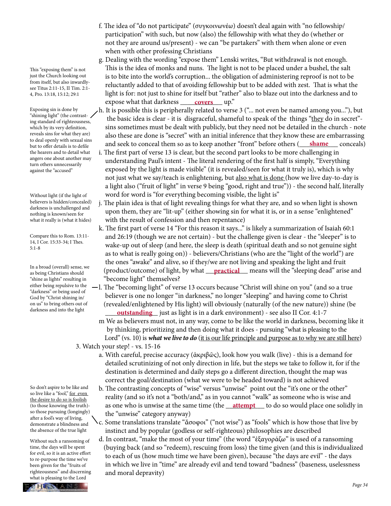This "exposing them" is not just the Church looking out from itself, but also inwardlysee Titus 2:11-15, II Tim. 2:1- 4, Pro. 13:18, 15:12; 29:1

Exposing sin is done by "shining light" (the contrasting standard of righteousness, which by its very definition, reveals sins for what they are) to deal openly with sexual sins but to offer details is to defile the hearers and to detail what angers one about another may turn others unnecessarily against the "accused"

Without light (if the light of believers is hidden/concealed) darkness is unchallenged and nothing is known/seen for what it really is (what it hides)

Compare this to Rom. 13:11- 14, I Cor. 15:33-34; I Thes. 5:1-8

In a broad (overall) sense, we as being Christians should "shine as lights" resulting in either being repulsive to the "darkness" or being used of God by "Christ shining in/ on us" to bring others out of darkness and into the light

So don't aspire to be like and so live like a "fool," for even the desire to do so is foolish (to those knowing the truth) so those pursuing (longingly) after a fool's way of living, demonstrate a blindness and the absence of the true light

Without such a ransoming of time, the days will be spent for evil, so it is an active effort to re-purpose the time we've been given for the "fruits of righteousness" and discerning what is pleasing to the Lord

- f. The idea of "do not participate" (συγκοινωνέω) doesn't deal again with "no fellowship/ participation" with such, but now (also) the fellowship with what they do (whether or not they are around us/present) - we can "be partakers" with them when alone or even when with other professing Christians
- g. Dealing with the wording "expose them" Lenski writes, "But withdrawal is not enough. This is the idea of monks and nuns. The light is not to be placed under a bushel, the salt is to bite into the world's corruption... the obligation of administering reproof is not to be reluctantly added to that of avoiding fellowship but to be added with zest. That is what the light is for: not just to shine for itself but "rather" also to blaze out into the darkness and to expose what that darkness <u>covers</u> up."
- h. It is possible this is peripherally related to verse 3 ("... not even be named among you..."), but the basic idea is clear - it is disgraceful, shameful to speak of the things "they do in secret" sins sometimes must be dealt with publicly, but they need not be detailed in the church - note also these are done is "secret" with an initial inference that they know these are embarrassing and seek to conceal them so as to keep another "front" before others (\_\_\_\_\_\_\_\_\_\_\_ conceals) **shame**
	- i. The first part of verse 13 is clear, but the second part looks to be more challenging in understanding Paul's intent - The literal rendering of the first half is simply, "Everything exposed by the light is made visible" (it is revealed/seen for what it truly is), which is why not just what we say/teach is enlightening, but also what is done (how we live day-to-day is a light also ("fruit of light" in verse 9 being "good, right and true")) - the second half, literally word for word is "for everything becoming visible, the light is"
	- j. The plain idea is that of light revealing things for what they are, and so when light is shown upon them, they are "lit-up" (either showing sin for what it is, or in a sense "enlightened" with the result of confession and then repentance)
- k. The first part of verse 14 "For this reason it says..." is likely a summarization of Isaiah 60:1 and 26:19 (though we are not certain) - but the challenge given is clear - the "sleeper" is to wake-up out of sleep (and here, the sleep is death (spiritual death and so not genuine sight as to what is really going on)) - believers/Christians (who are the "light of the world") are the ones "awake" and alive, so if they/we are not living and speaking the light and fruit as being Christians should (Droduct/outcome) of light, by what <u>practical</u> means will the "sleeping dead" arise and "become light" themselves?
- l. The "becoming light" of verse 13 occurs because "Christ will shine on you" (and so a true believer is one no longer "in darkness," no longer "sleeping" and having come to Christ (revealed/enlightened by His light) will obviously (naturally (of the new nature)) shine (be aarkness and into the light **content of the set of the set of the set of set of the set of the set of the set of the set of the set of the set of the set of the set of the set of the set of the set of the set of the set of** 
	- m We as believers must not, in any way, come to be like the world in darkness, becoming like it by thinking, prioritizing and then doing what it does - pursuing "what is pleasing to the Lord" (vs. 10) is *what we live to do* (it is our life principle and purpose as to why we are still here)
	- 3. Watch your step! vs. 15-16
		- a. With careful, precise accuracy (ἀκριβῶς), look how you walk (live) this is a demand for detailed scrutinizing of not only direction in life, but the steps we take to follow it, for if the destination is determined and daily steps go a different direction, thought the map was correct the goal/destination (what we were to be headed toward) is not achieved
- b. The contrasting concepts of "wise" versus "unwise" point out the "it's one or the other" reality (and so it's not a "both/and," as in you cannot "walk" as someone who is wise and (to those knowing the truth)- as one who is unwise at the same time (the <u>attempt</u> to do so would place one solidly in the "unwise" category anyway)
	- c. Some translations translate "ἄσοφοι" ("not wise") as "fools" which is how those that live by instinct and by popular (godless or self-righteous) philosophies are described
	- d. In contrast, "make the most of your time" (the word "ἐξαγοράζω" is used of a ransoming (buying back (and so "redeem), rescuing from loss) the time given (and this is individualized to each of us (how much time we have been given), because "the days are evil" - the days in which we live in "time" are already evil and tend toward "badness" (baseness, uselessness and moral depravity)

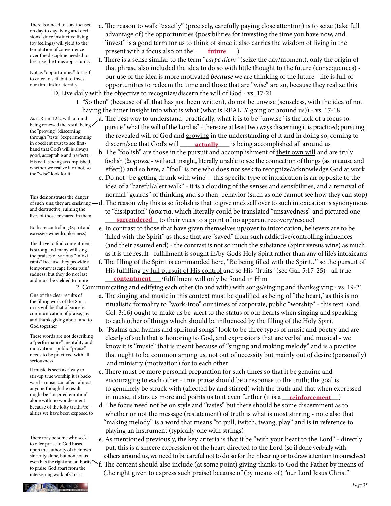temptation of convenience *present* with a focus also on the <u>future</u> (*future* ) There is a need to stay focused on day to day living and decisions, since instinctive living (by feelings) will yield to the temptation of convenience over the discipline needed to best use the time/opportunity

Not as "opportunities" for self to cater to self, but to invest our time in/for eternity

D. Live daily with the objective to recognize/discern the will of God - vs. 17-21

- 1. "So then" (because of all that has just been written), do not be unwise (senseless, with the idea of not having the inner insight into what is what (what is REALLY going on around us)) - vs. 17-18 a. The best way to understand, practically, what it is to be "unwise" is the lack of a focus to pursue "what the will of the Lord is" - there are at least two ways discerning it is practiced; pursuing As is Rom. 12:2, with a mind
- the revealed will of God and growing in the understanding of it and in doing so, coming to in obedient trust to see first-**change is a complement of the set of the set of the God's** will <u>consider a complished all around us</u>

 e. The reason to walk "exactly" (precisely, carefully paying close attention) is to seize (take full advantage of) the opportunities (possibilities for investing the time you have now, and "invest" is a good term for us to think of since it also carries the wisdom of living in the

 f. There is a sense similar to the term "*carpe diem*" (seize the day/moment), only the origin of that phrase also included the idea to do so with little thought to the future (consequences) our use of the idea is more motivated *because* we are thinking of the future - life is full of opportunities to redeem the time and those that are "wise" are so, because they realize this

- b. The "foolish" are those in the pursuit and accomplishment of their own will and are truly foolish (ἄφρονες - without insight, literally unable to see the connection of things (as in cause and effect)) and so here, a "fool" is one who does not seek to recognize/acknowledge God at work
- c. Do not "be getting drunk with wine" this specific type of intoxication is an opposite to the idea of a "careful/alert walk" - it is a clouding of the senses and sensibilities, and a removal of normal "guards" of thinking and so then, behavior (such as one cannot see how they can stop)
- d. The reason why this is so foolish is that to give one's self over to such intoxication is synonymous to "dissipation" (ἀσωτία, which literally could be translated "unsavedness" and pictured one **surrendered** to their vices to a point of no apparent recovery/rescue)
	- e. In contrast to those that have given themselves up/over to intoxication, believers are to be "filled with the Spirit" as those that are "saved" from such addictive/controlling influences (and their assured end) - the contrast is not so much the substance (Spirit versus wine) as much as it is the result - fulfillment is sought in/by God's Holy Spirit rather than any of life's intoxicants
- f. The filling of the Spirit is commanded here, "Be being filled with the Spirit..." so the pursuit of His fulfilling by full pursuit of His control and so His "fruits" (see Gal. 5:17-25) - all true and must be yielded to more **contentment** /fulfillment will only be found in Him

2. Communicating and edifying each other (to and with) with songs/singing and thanksgiving - vs. 19-21

- a. The singing and music in this context must be qualified as being of "the heart," as this is no ritualistic formality to "work-into" our times of corporate, public "worship" - this text (and Col. 3:16) ought to make us be alert to the status of our hearts when singing and speaking to each other of things which should be influenced by the filling of the Holy Spirit
- b. "Psalms and hymns and spiritual songs" look to be three types of music and poetry and are clearly of such that is honoring to God, and expressions that are verbal and musical - we know it is "music" that is meant because of "singing and making melody" and is a practice that ought to be common among us, not out of necessity but mainly out of desire (personally) and ministry (motivation) for to each other
- c. There must be more personal preparation for such times so that it be genuine and encouraging to each other - true praise should be a response to the truth; the goal is to genuinely be struck with (affected by and stirred) with the truth and that when expressed might be inspired emotion in music, it stirs us more and points us to it even further (it is a <u>\_\_**reinforcement**</u>)
	- d. The focus need not be on style and "tastes" but there should be some discernment as to whether or not the message (restatement) of truth is what is most stirring - note also that "making melody" is a word that means "to pull, twitch, twang, play" and is in reference to playing an instrument (typically one with strings)
	- e. As mentioned previously, the key criteria is that it be "with your heart to the Lord" directly put, this is a sincere expression of the heart directed to the Lord (so if done verbally with others around us, we need to be careful not to do so for their hearing or to draw attention to ourselves)
	- f. The content should also include (at some point) giving thanks to God the Father by means of (the right given to express such praise) because of (by means of) "our Lord Jesus Christ"

being renewed the result being the "proving" (discerning through "tests" (experimenting in obedient trust to see firsthand that God's will is always good, acceptable and perfect)- His will is being accomplished whether we realize it or not, so the "wise" look for it

This demonstrates the danger of such sins; they are enslaving and destructive, ruining the lives of those ensnared in them

Both are controlling (Spirit and excessive wine/drunkenness)

The drive to find contentment is strong and many will sing the praises of various "intoxicants" because they provide a temporary escape from pain/ sadness, but they do not last and must be yielded to more

One of the clear results of the filling work of the Spirit in us will be that of sincere communication of praise, joy and thanksgiving about and to God together

These words are not describing a "performance" mentality and motivation - public "praise" needs to be practiced with all seriousness

If music is seen as a way to stir-up true worship it is backward - music can affect almost anyone though the result might be "inspired emotion" alone with no wonderment because of the lofty truths/realities we have been exposed to

There may be some who seek to offer praise to God based upon the authority of their own sincerity alone, but none of us even has the right and authority to praise God apart from the intervening work of Christ

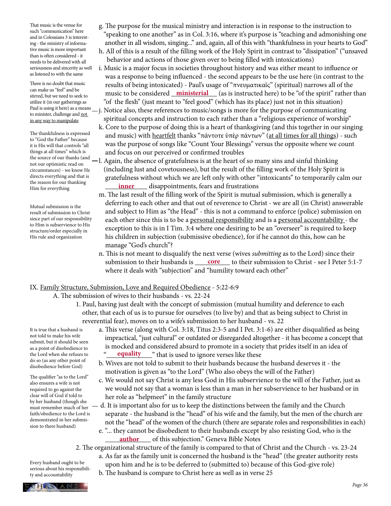That music is the venue for such "communication" here and in Colossians 3 is interesting - the ministry of informative music is more important than is often considered - it needs to be delivered with all seriousness and sincerity as well as listened to with the same

There is no doubt that music can make us "feel" and be stirred, but we need to seek to utilize it (in our gatherings as to minister, challenge and not in any way to manipulate

The thankfulness is expressed to "God the Father" because it is His will that controls "all things at all times" which is not our optimistic read on circumstances) - we know He directs everything and that is the reason for our thanking Him for everything

Mutual submission is the result of submission to Christ since part of our responsibility to Him is subservience to His structure/order especially in His rule and organization

- g. The purpose for the musical ministry and interaction is in response to the instruction to "speaking to one another" as in Col. 3:16, where it's purpose is "teaching and admonishing one another in all wisdom, singing..." and, again, all of this with "thankfulness in your hearts to God"
- h. All of this is a result of the filling work of the Holy Spirit in contrast to "dissipation" ("unsaved behavior and actions of those given over to being filled with intoxications)
- i. Music is a major focus in societies throughout history and was either meant to influence or was a response to being influenced - the second appears to be the use here (in contrast to the results of being intoxicated) - Paul's usage of "πνευματικαῖς" (spiritual) narrows all of the can liake us leer and be an and be music to be considered <u>ministerial</u> (as is instructed here) to be "of the spirit" rather than "of the flesh" (just meant to "feel good" (which has its place) just not in this situation)
- Paul is using it here) as a means  $-j$ . Notice also, these references to music/songs is more for the purpose of communicating  $t_0$  misitar dellarge and not spiritual concepts and instruction to each rather than a "religious experience of worship"
	- k. Core to the purpose of doing this is a heart of thanksgiving (and this together in our singing and music) with heartfelt thanks "πάντοτε ὑπὲρ πάντων" (at all times for all things) - such was the purpose of songs like "Count Your Blessings" versus the opposite where we count and focus on our perceived or confirmed troubles
- the source of our thanks (and  $-1$ . Again, the absence of gratefulness is at the heart of so many sins and sinful thinking (including lust and covetousness), but the result of the filling work of the Holy Spirit is gratefulness without which we are left only with other "intoxicants" to temporarily calm our Him for everything **inner** disappointments, fears and frustrations
	- m. The last result of the filling work of the Spirit is mutual submission, which is generally a deferring to each other and that out of reverence to Christ - we are all (in Christ) answerable and subject to Him as "the Head" - this is not a command to enforce (police) submission on each other since this is to be a personal responsibility and is a personal accountability - the exception to this is in I Tim. 3:4 where one desiring to be an "overseer" is required to keep his children in subjection (submissive obedience), for if he cannot do this, how can he manage "God's church"?
- n. This is not meant to disqualify the next verse (wives *submitting* as to the Lord) since their submission to their husbands is <u>core</u> to their submission to Christ - see I Peter 5:1-7 where it deals with "subjection" and "humility toward each other"

### IX. Family Structure, Submission, Love and Required Obedience - 5:22-6:9

- A. The submission of wives to their husbands vs. 22-24
	- 1. Paul, having just dealt with the concept of submission (mutual humility and deference to each other, that each of us is to pursue for ourselves (to live by) and that as being subject to Christ in reverential fear), moves on to a wife's submission to her husband - vs. 22

It is true that a husband is not told to make his wife submit, but it should be seen as a point of disobedience to the Lord when she refuses to do so (as any other point of disobedience before God)

The qualifier "as to the Lord" also ensures a wife is not required to go against the clear will of God if told to by her husband (though she must remember much of her faith/obedience to the Lord is demonstrated in her submission to there husband)

- a. This verse (along with Col. 3:18, Titus 2:3-5 and I Pet. 3:1-6) are either disqualified as being impractical, "just cultural" or outdated or disregarded altogether - it has become a concept that is mocked and considered absurd to promote in a society that prides itself in an idea of the Lord when she refuses to **equality** and that is used to ignore verses like these
	- b. Wives are not told to submit to their husbands because the husband deserves it the motivation is given as "to the Lord" (Who also obeys the will of the Father)
	- c. We would not say Christ is any less God in His subservience to the will of the Father, just as we would not say that a woman is less than a man in her subservience to her husband or in her role as "helpmeet" in the family structure
	- d. It is important also for us to keep the distinctions between the family and the Church separate - the husband is the "head" of his wife and the family, but the men of the church are not the "head" of the women of the church (there are separate roles and responsibilities in each)
- e. "... they cannot be disobedient to their husbands except by also resisting God, who is the **author** of this subjection." Geneva Bible Notes

2. The organizational structure of the family is compared to that of Christ and the Church - vs. 23-24

a. As far as the family unit is concerned the husband is the "head" (the greater authority rests

 upon him and he is to be deferred to (submitted to) because of this God-give role) b. The husband is compare to Christ here as well as in verse 25



Every husband ought to be serious about his responsibility and accountability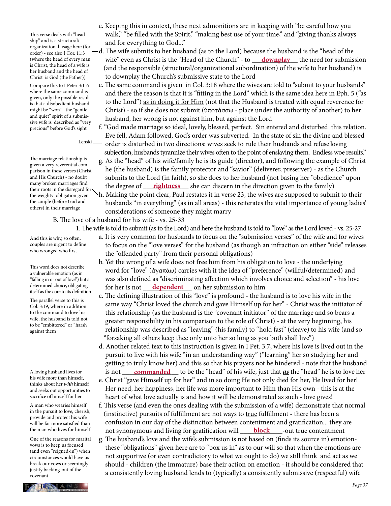This verse deals with "headship" and is a structural/ organizational usage here (for order) - see also I Cor. 11:3 (where the head of every man is Christ, the head of a wife is her husband and the head of Christ is God (the Father))

Compare this to I Peter 3:1-6 where the same command is given, only the possible result is that a disobedient husband might be "won" - the "gentle and quiet" spirit of a submissive wife is described as "very precious" before God's sight

Lenski

The marriage relationship is given a very reverential comparison in these verses (Christ and His Church) - no doubt many broken marriages find their roots in the disregard for the weighty obligation given the couple (before God and others) in their marriage

B. The love of a husband for his wife - vs. 25-33

And this is why, so often, couples are urgent to define who wronged who first

This word does not describe a vulnerable emotion (as in "falling in or out of love") but a determined choice, obligating itself as the core to its definition

The parallel verse to this is Col. 3:19, where in addition to the command to love his wife, the husband is told not to be "embittered" or "harsh" against them

A loving husband lives for his wife more than himself, thinks about her *with* himself and seeks out opportunities to sacrifice of himself for her

A man who wearies himself in the pursuit to love, cherish, provide and protect his wife will be far more satisfied than the man who lives for himself

One of the reasons for marital vows is to keep us focused (and even "reigned-in") when circumstances would have us break our vows or seemingly justify backing-out of the covenant

- c. Keeping this in context, these next admonitions are in keeping with "be careful how you walk," "be filled with the Spirit," "making best use of your time," and "giving thanks always and for everything to God..."
- d. The wife submits to her husband (as to the Lord) because the husband is the "head of the (where the head of every man wife" even as Christ is the "Head of the Church" - to <u>downplay</u> the need for submission (and the responsible (structural/organizational subordination) of the wife to her husband) is to downplay the Church's submissive state to the Lord
	- e. The same command is given in Col. 3:18 where the wives are told to "submit to your husbands" and there the reason is that it is "fitting in the Lord" which is the same idea here in Eph. 5 ("as to the Lord") as in doing it for Him (not that the Husband is treated with equal reverence for Christ) - so if she does not submit (ὑποτάσσω - place under the authority of another) to her husband, her wrong is not against him, but against the Lord
	- f. "God made marriage so ideal, lovely, blessed, perfect. Sin entered and disturbed this relation. Eve fell, Adam followed, God's order was subverted. In the state of sin the divine and blessed order is disturbed in two directions: wives seek to rule their husbands and refuse loving subjection; husbands tyrannize their wives often to the point of enslaving them. Endless woe results."
- g. As the "head" of his wife/family he is its guide (director), and following the example of Christ he (the husband) is the family protector and "savior" (deliverer, preserver) - as the Church submits to the Lord (in faith), so she does to her husband (not basing her "obedience" upon many proken marriages ling the degree of <u>rightness</u> she can discern in the direction given to the family)
	- h. Making the point clear, Paul restates it in verse 23, the wives are supposed to submit to their husbands "in everything" (as in all areas) - this reiterates the vital importance of young ladies' considerations of someone they might marry

- 1. The wife is told to submit (as to the Lord) and here the husband is told to "love" as the Lord loved vs. 25-27
	- a. It is very common for husbands to focus on the "submission verses" of the wife and for wives to focus on the "love verses" for the husband (as though an infraction on either "side" releases the "offended party" from their personal obligations)
- b. Yet the wrong of a wife does not free him from his obligation to love the underlying word for "love" (ἀγαπάω) carries with it the idea of "preference" (willful/determined) and was also defined as "discriminating affection which involves choice and selection" - his love determined choice, obligating for her is not <u>dependent</u> on her submission to him
	- c. The defining illustration of this "love" is profound the husband is to love his wife in the same way "Christ loved the church and gave Himself up for her" - Christ was the initiator of this relationship (as the husband is the "covenant initiator" of the marriage and so bears a greater responsibility in his comparison to the role of Christ) - at the very beginning, his relationship was described as "leaving" (his family) to "hold fast" (cleave) to his wife (and so "forsaking all others keep thee only unto her so long as you both shall live")
- d. Another related text to this instruction is given in I Pet. 3:7, where his love is lived out in the pursuit to live with his wife "in an understanding way" ("learning" her so studying her and getting to truly know her) and this so that his prayers not be hindered - note that the husband A loving husband lives for is not <u> **commanded** </u> to be the "head" of his wife, just that <u>**as**</u> the "head" he is to love her
	- e. Christ "gave Himself up for her" and in so doing He not only died for her, He lived for her! Her need, her happiness, her life was more important to Him than His own - this is at the heart of what love actually is and how it will be demonstrated as such - <u>love gives!</u>
- f. This verse (and even the ones dealing with the submission of a wife) demonstrate that normal (instinctive) pursuits of fulfillment are not ways to true fulfillment - there has been a confusion in our day of the distinction between contentment and gratification... they are the man who lives for himself **host synonymous and living for gratification will head of the set of true contentment** 
	- g. The husband's love and the wife's submission is not based on (finds its source in) emotion these "obligations" given here are to "box us in" as to our will so that when the emotions are not supportive (or even contradictory to what we ought to do) we still think and act as we should - children (the immature) base their action on emotion - it should be considered that a consistently loving husband lends to (typically) a consistently submissive (respectful) wife

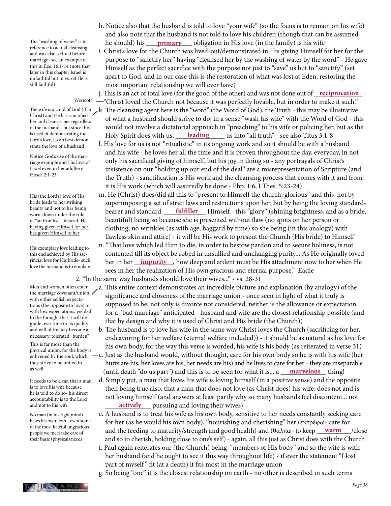The "washing of water" is in reference to actual cleansing and was also a ritual before marriage- see an example of this in Eze. 16:1-14 (note that later in this chapter Israel is unfaithful but in vs. 60 He is still faithful)

#### Westcott

Christ) and He has sanctified her and cleanses her regardless of the husband - but since this is used of demonstrating the Lord's love, it can best demonstrate the love of a husband

Notice God's use of the marriage example and His love of Israel even in her adultery - Hosea 2:1-23

His (the Lord's) love of His bride leads to her striking beauty and not to her being worn-down under the rule of "an iron fist"- instead, He having given Himself for her has given Himself to her

His exemplary love leading to this end achieved by His sacrificial love for His bride- such love the husband is to emulate

Men and women often enter the marriage covenant/union / with either selfish expectations (the opposite to love) or with low expectations, yielded to the thought that it will degrade over time in its quality and will ultimately become a necessary, tolerated "burden"

This is far more than the physical union, for the body is enlivened by the soul, which they strive to be united in as well

It needs to be clear, that a man is to love his wife because he is told to do so- his direct accountability is to the Lord and not to his wife

No man (in his right mind) hates his own flesh - even some of the most hateful ungracious people we meet take care of their basic (physical) needs

- h. Notice also that the husband is told to love "your wife" (so the focus is to remain on his wife) and also note that the husband is not told to love his children (though that can be assumed The "washing of water" is in he should) his <u>primary</u> obligation in His love (in the family) is his wife
	- i. Christ's love for the Church was lived-out/demonstrated in His giving Himself for her for the purpose to "sanctify her" having "cleansed her by the washing of water by the word" - He gave Himself as the perfect sacrifice with the purpose not just to "save" us but to "sanctify" (set apart to God, and in our case this is the restoration of what was lost at Eden, restoring the most important relationship we will ever have)

j. This is an act of total love (for the good of the other) and was not done out of <u>reciprocation</u> "Christ loved the Church not because it was perfectly lovable, but in order to make it such."

- The wife is a child of God (if in  $\lambda$ k. The cleansing agent here is the "word" (the Word of God), the Truth this may be illustrative of what a husband should strive to do; in a sense "wash his wife" with the Word of God - this would not involve a dictatorial approach in "preaching" to his wife or policing her, but as the <sup>is used of demonstrating the Holy Spirit does with us, <u>Leading</u> us into "all truth" - see also Titus 3:1-8</sup>
	- l. His love for us is not "ritualistic" in its ongoing work and so it should be with a husband and his wife - he loves her all the time and it is proven throughout the day, everyday, in not only his sacrificial giving of himself, but his joy in doing so - any portrayals of Christ's insistence on our "holding up our end of the deal" are a misrepresentation of Scripture (and the Truth) - sanctification is His work and the cleansing process that comes with it and from it is His work (which will assuredly be done - Php. 1:6, I Thes. 5:23-24)
- m. He (Christ) does/did all this to "present to Himself the church, glorious" and this, not by superimposing a set of strict laws and restrictions upon her, but by being the loving standard bearer and standard-\_\_\_\_\_\_\_\_\_\_\_\_ Himself - this "glory" (shining brightness, and as a bride, **fulfiller** beautiful) being so because she is presented without flaw (no spots on her person or clothing, no wrinkles (as with age, haggard by time) so she being (in this analogy) with flawless skin and attire) - it will be His work to present the Church (His bride) to Himself
- n. "That love which led Him to die, in order to bestow pardon and to secure holiness, is not contented till its object be robed in unsullied and unchanging purity... As He originally loved rificial love for His bride- such her in her <u>impurity</u>, how deep and ardent must be His attachment now to her when He sees in her the realization of His own gracious and eternal purpose." Eadie

2. "In the same way husbands should love their wives..." - vs. 28-31

- a. This entire context demonstrates an incredible picture and explanation (by analogy) of the significance and closeness of the marriage union - once seen in light of what it truly is supposed to be, not only is divorce not considered, neither is the allowance or expectation for a "bad marriage" anticipated - husband and wife are the closest relationship possible (and that by design and why it is used of Christ and His bride (the Church))
- b. The husband is to love his wife in the same way Christ loves the Church (sacrificing for her, endeavoring for her welfare (eternal welfare included)) - it should be as natural as his love for his own body, for the way this verse is worded, his wife is his body (as reiterated in verse 31)
- c. Just as the husband would, without thought, care for his own body so he is with his wife (her hurts are his, her loves are his, her needs are his) and he lives to care for her - they are inseparable (until death "do us part") and this is to be seen for what it is... a \_\_\_\_\_\_\_\_\_\_\_\_\_ thing! **marvelous**
- d. Simply put, a man that loves his wife is loving himself (in a positive sense) and the opposite then being true also, that a man that does not love (as Christ does) his wife, does not and is not loving himself (and answers at least partly why so many husbands feel discontent... not and not to his wife **actively** pursuing and loving their wives)
- e. A husband is to treat his wife as his own body, sensitive to her needs constantly seeking care for her (as he would his own body), "nourishing and cherishing" her (ἐκτρέφω- care for **be the filost hateful ungratious** and the feeding to maturity/strength and good health) and (θάλπω- to keep <u>\_\_\_**warm**\_</u>\_\_\_/close and so to cherish, holding close to one's self) - again, all this just as Christ does with the Church
	- f. Paul again reiterates our (the Church) being "members of His body" and so the wife is with her husband (and he ought to see it this way throughout life) - if ever the statement "I lost part of myself" fit (at a death) it fits most in the marriage union

g. So being "one" it is the closest relationship on earth - no other is described in such terms

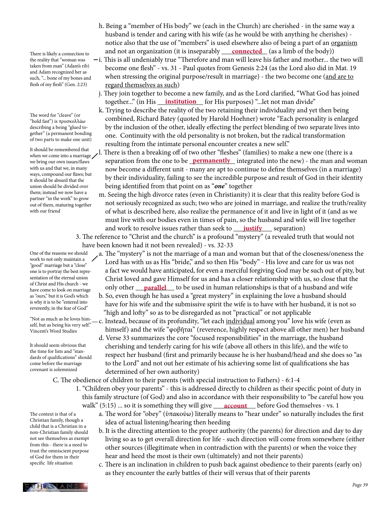There is likely a connection to the reality that "woman was taken from man" (Adam's rib) and Adam recognized her as such, "... bone of my bones and flesh of my flesh" (Gen. 2:23)

The word for "cleave" (or "hold fast") is προσκολλάω describing a being "glued together" (a permanent bonding of two parts to make one unit)

It should be remembered that when we come into a marriage we bring our own issues/flaws with us and that we, in many ways, compound our flaws; but it should be absurd that the union should be divided over them; instead we now have a partner "in the work" to grow out of them, maturing together with our friend

One of the reasons we should work to not only maintain a "good" marriage but a "close" one is to portray the best representation of the eternal union of Christ and His church - we have come to look on marriage as "ours," but it is God's which is why it is to be "entered into reverently, in the fear of God"

"Not as much as he loves himself, but as being his very self." Vincent's Word Studies

It should seem obvious that the time for lists and "standards of qualifications" should come before the marriage covenant is solemnized

The context is that of a Christian family, though a child that is a Christian in a non-Christian family should not see themselves as exempt from this - there is a need to trust the omniscient purpose of God for them in their specific life situation

C. The obedience of children to their parents (with special instruction to Fathers) - 6:1-4

 1. "Children obey your parents" - this is addressed directly to children as their specific point of duty in this family structure (of God) and also in accordance with their responsibility to "be careful how you walk" (5:15) ... so it is something they will give <u>account</u> before God themselves - vs. 1

> a. The word for "obey" (ὑπακούω) literally means to "hear under" so naturally includes the first idea of actual listening/hearing then heeding

- b. It is the directing attention to the proper authority (the parents) for direction and day to day living so as to get overall direction for life - such direction will come from somewhere (either other sources (illegitimate when in contradiction with the parents) or when the voice they hear and heed the most is their own (ultimately) and not their parents)
- c. There is an inclination in children to push back against obedience to their parents (early on) as they encounter the early battles of their will versus that of their parents
- h. Being a "member of His body" we (each in the Church) are cherished in the same way a husband is tender and caring with his wife (as he would be with anything he cherishes) notice also that the use of "members" is used elsewhere also of being a part of an organism There is likely a connection to **and not an organization** (it is inseparably <u>connected</u> (as a limb of the body))
	- i. This is all undeniably true "Therefore and man will leave his father and mother... the two will become one flesh" - vs. 31 - Paul quotes from Genesis 2:24 (as the Lord also did in Mat. 19 when stressing the original purpose/result in marriage) - the two become one (and are to regard themselves as such)
- j. They join together to become a new family, and as the Lord clarified, "What God has joined together..." (in His <u>\_\_\_**institution** \_\_</u> for His purposes) "…let not man divide"
	- k. Trying to describe the reality of the two retaining their individuality and yet then being combined, Richard Batey (quoted by Harold Hoehner) wrote "Each personality is enlarged by the inclusion of the other, ideally effecting the perfect blending of two separate lives into one. Continuity with the old personality is not broken, but the radical transformation resulting from the intimate personal encounter creates a new self."
- l. There is then a breaking off of two other "fleshes" (families) to make a new one (there is a we bring our own issues/flaws separation from the one to be **permanently** integrated into the new) - the man and woman now become a different unit - many are apt to continue to define themselves (in a marriage) by their individuality, failing to see the incredible purpose and result of God in their identity being identified from that point on as "*one*" together
- m. Seeing the high divorce rates (even in Christianity) it is clear that this reality before God is not seriously recognized as such; two who are joined in marriage, and realize the truth/reality of what is described here, also realize the permanence of it and live in light of it (and as we must live with our bodies even in times of pain, so the husband and wife will live together and work to resolve issues rather than seek to \_\_\_\_\_\_\_\_\_\_\_ separation) **justify**
	- 3. The reference to "Christ and the church" is a profound "mystery" (a revealed truth that would not have been known had it not been revealed) - vs. 32-33
- a. The "mystery" is not the marriage of a man and woman but that of the closeness/oneness the Lord has with us as His "bride," and so then His "body" - His love and care for us was not a fact we would have anticipated, for even a merciful forgiving God may be such out of pity, but Christ loved and gave Himself for us and has a closer relationship with us, so close that the have come to look on marriage only other <u>parallel</u> to be used in human relationships is that of a husband and wife
	- b. So, even though he has used a "great mystery" in explaining the love a husband should have for his wife and the submissive spirit the wife is to have with her husband, it is not so "high and lofty" so as to be disregarded as not "practical" or not applicable
	- -c. Instead, because of its profundity, "let each individual among you" love his wife (even as himself) and the wife "φοβῆται" (reverence, highly respect above all other men) her husband
	- d. Verse 33 summarizes the core "focused responsibilities" in the marriage, the husband cherishing and tenderly caring for his wife (above all others in this life), and the wife to respect her husband (first and primarily because he is her husband/head and she does so "as to the Lord" and not out her estimate of his achieving some list of qualifications she has determined of her own authority)

HESTANS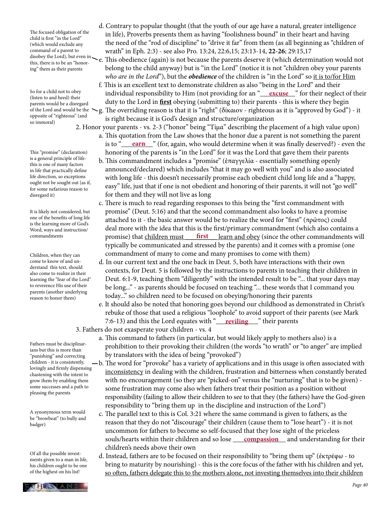The focused obligation of the child is first "in the Lord" (which would exclude any command of a parent to this, there is to be an "honoring" them as their parents

So for a child not to obey (listen to and heed) their parents would be a disregard of the Lord and would be the opposite of "righteous" (and so immoral)

This "promise" (declaration) is a general principle of lifethis is one of many factors in life that practically define life direction, so exceptions ought not be sought out (as if, for some nefarious reason to disregard it)

It is likely not considered, but one of the benefits of long life is the learning more of God's Word, ways and instruction/ commandments

Children, when they can come to know of and understand this text, should also come to realize in their learning the "fear of the Lord" to reverence His use of their parents (another underlying reason to honor them)

Fathers must be disciplinarians but this is more than "punishing" and correcting children - it is consistently, lovingly and firmly dispensing chastening with the intent to grow them by enabling them some successes and a path to pleasing the parents

A synonymous term would be "browbeat" (to bully and badger)

Of all the possible investments given to a man in life, his children ought to be one of the highest on his list!

disobey the Lord), but even in  $\sim$  e. This obedience (again) is not because the parents deserve it (which determination would not belong to the child anyway) but is "in the Lord" (notice it is not "children obey your parents *who are in the Lord*"), but the *obedience* of the children is "in the Lord" so it is to/for Him

 f. This is an excellent text to demonstrate children as also "being in the Lord" and their So for a child not to obey **him individual responsibility to Him** (not providing for an "<u>\_\_\_**excuse**\_\_</u>" for their neglect of their duty to the Lord in **first** obeying (submitting to) their parents - this is where they begin g. The overriding reason is that it is "right" (δίκαιον - righteous as it is "approved by God") - it is right because it is God's design and structure/organization

- 2. Honor your parents vs. 2-3 ("honor" being "Τίμα" describing the placement of a high value upon) a. This quotation from the Law shows that the honor due a parent is not something the parent is to "<u>earner</u>" (for, again, who would determine when it was finally deserved?) - even the honoring of the parents is "in the Lord" for it was the Lord that gave them their parents
	- b. This commandment includes a "promise" (ἐπαγγελία essentially something openly announced/declared) which includes "that it may go well with you" and is also associated with long life - this doesn't necessarily promise each obedient child long life and a "happy, easy" life, just that if one is not obedient and honoring of their parents, it will not "go well" for them and they will not live as long
- c. There is much to read regarding responses to this being the "first commandment with promise" (Deut. 5:16) and that the second commandment also looks to have a promise attached to it - the basic answer would be to realize the word for "first" (πρῶτος) could deal more with the idea that this is the first/primary commandment (which also contains a commandments **promise**) that children must **first** learn and obey (since the other commandments will typically be communicated and stressed by the parents) and it comes with a promise (one commandment of many to come and many promises to come with them)
	- d. In our current text and the one back in Deut. 5, both have interactions with their own contexts, for Deut. 5 is followed by the instructions to parents in teaching their children in Deut. 6:1-9, teaching them "diligently" with the intended result to be "... that your days may be long..." - as parents should be focused on teaching "... these words that I command you today..." so children need to be focused on obeying/honoring their parents
- e. It should also be noted that honoring goes beyond our childhood as demonstrated in Christ's rebuke of those that used a religious "loophole" to avoid support of their parents (see Mark 7:6-13) and this the Lord equates with "**\_\_\_\_\_\_\_\_\_\_\_\_\_**" their parents 3. Fathers do not exasperate your children - vs. 4
	- a. This command to fathers (in particular, but would likely apply to mothers also) is a prohibition to their provoking their children (the words "to wrath" or "to anger" are implied by translators with the idea of being "provoked")
	- b. The word for "provoke" has a variety of applications and in this usage is often associated with inconsistency in dealing with the children, frustration and bitterness when constantly berated with no encouragement (so they are "picked-on" versus the "nurturing" that is to be given) some frustration may come also when fathers treat their position as a position without responsibility (failing to allow their children to see to that they (the fathers) have the God-given responsibility to "bring them up in the discipline and instruction of the Lord")
- c. The parallel text to this is Col. 3:21 where the same command is given to fathers, as the reason that they do not "discourage" their children (cause them to "lose heart") - it is not uncommon for fathers to become so self-focused that they lose sight of the priceless souls/hearts within their children and so lose <u>compassion</u> and understanding for their children's needs above their own
	- d. Instead, fathers are to be focused on their responsibility to "bring them up" (ἐκτρέφω to bring to maturity by nourishing) - this is the core focus of the father with his children and yet, so often, fathers delegate this to the mothers alone, not investing themselves into their children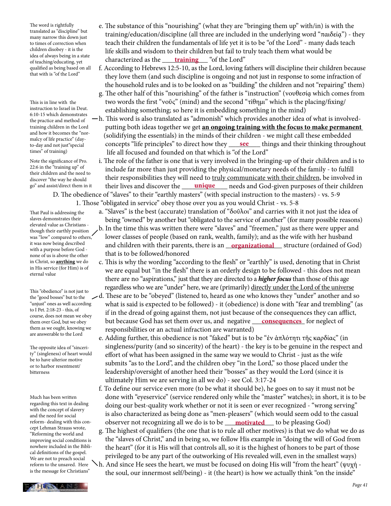The word is rightfully translated as "discipline" but many narrow this down just to times of correction when children disobey - it is the idea of always being in a state of teaching/educating, yet qualified as being based on all that with is "of the Lord"

This is in line with the instruction to Israel in Deut. 6:10-15 which demonstrates the practice and method of training children in the Lord and how it becomes the "normalcy of life practice" (dayto-day and not just"special times" of training)

Note the significance of Pro. 22:6 in the "training up" of their children and the need to discover "the way he should go" and assist/direct them in it

That Paul is addressing the slaves demonstrates their elevated value as Christians though their earthly position was "low" compared to others, it was now being described with a purpose before God none of us is above the other in Christ, so **anything** we do in His service (for Him) is of eternal value

This "obedience" is not just to the "good bosses" but to the "unjust" ones as well according to I Pet. 2:18-23 - this, of course, does not mean we obey them over God, but we obey them as we ought, knowing we are answerable to the Lord

The opposite idea of "sincerity" (singleness) of heart would be to have ulterior motive or to harbor resentment/ bitterness

Much has been written regarding this text in dealing with the concept of slavery and the need for social reform- dealing with this concept Lehman Strauss wrote, "Reforming the world and improving social conditions is nowhere included in the Biblical definitions of the gospel. We are not to preach social reform to the unsaved. Here is the message for Christians"

- e. The substance of this "nourishing" (what they are "bringing them up" with/in) is with the training/education/discipline (all three are included in the underlying word "παιδείᾳ") - they teach their children the fundamentals of life yet it is to be "of the Lord" - many dads teach life skills and wisdom to their children but fail to truly teach them what would be of teaching/educating, vet characterized as the <u>training</u> "of the Lord"
	- f. According to Hebrews 12:5-10, as the Lord, loving fathers will discipline their children because they love them (and such discipline is ongoing and not just in response to some infraction of the household rules and is to be looked on as "building" the children and not "repairing" them)
	- g. The other half of this "nourishing" of the father is "instruction" (νουθεσίᾳ which comes from two words the first "νοῦς" (mind) and the second "τίθημι" which is the placing/fixing/ establishing something; so here it is embedding something in the mind)
- h. This word is also translated as "admonish" which provides another idea of what is involved putting both ideas together we get **an ongoing training with the focus to make permanent**  (solidifying the essentials) in the minds of their children - we might call these embedded to-day and not just "special concepts "life principles" to direct how they <u>see</u> things and their thinking throughout life all focused and founded on that which is "of the Lord"
- i. The role of the father is one that is very involved in the bringing-up of their children and is to include far more than just providing the physical/monetary needs of the family - to fulfill their responsibilities they will need to truly communicate with their children, be involved in go" and assist/direct them in it their lives and discover the <u>unique</u> needs and God-given purposes of their children D. The obedience of "slaves" to their "earthly masters" (with special instruction to the masters) - vs. 5-9
	- 1. Those "obligated in service" obey those over you as you would Christ vs. 5-8
		- a. "Slaves" is the best (accurate) translation of "δοῦλοι" and carries with it not just the idea of being "owned" by another but "obligated to the service of another" (for many possible reasons)
- b. In the time this was written there were "slaves" and "freemen," just as there were upper and lower classes of people (based on rank, wealth, family); and as the wife with her husband it was now being described and children with their parents, there is an <u>organizational</u> structure (ordained of God) that is to be followed/honored
	- c. This is why the wording "according to the flesh" or "earthly" is used, denoting that in Christ we are equal but "in the flesh" there is an orderly design to be followed - this does not mean there are no "aspirations," just that they are directed to a *higher focus* than those of this age regardless who we are "under" here, we are (primarily) directly under the Lord of the universe
- d. These are to be "obeyed" (listened to, heard as one who knows they "under" another and so what is said is expected to be followed) - it (obedience) is done with "fear and trembling" (as if in the dread of going against them, not just because of the consequences they can afflict, them over God, but we obey ' but because God has set them over us, and negative <u>consequences</u> for neglect of responsibilities or an actual infraction are warranted)
	- e. Adding further, this obedience is not "faked" but is to be "ἐν ἁπλότητι τῆς καρδίας" (in singleness/purity (and so sincerity) of the heart) - the key is to be genuine in the respect and effort of what has been assigned in the same way we would to Christ - just as the wife submits "as to the Lord", and the children obey "in the Lord," so those placed under the leadership/oversight of another heed their "bosses" as they would the Lord (since it is ultimately Him we are serving in all we do) - see Col. 3:17-24
- f. To define our service even more (to be what it should be), he goes on to say it must not be done with "eyeservice" (service rendered only while the "master" watches); in short, it is to be doing our best-quality work whether or not it is seen or ever recognized - "wrong serving" is also characterized as being done as "men-pleasers" (which would seem odd to the casual reform-dealing with this con-cobserver not recognizing all we do is to be <u>\_\_\_**motivated**\_\_\_</u> to be pleasing God)
	- g. The highest of qualifiers (the one that is to rule all other motives) is that we do what we do as the "slaves of Christ," and in being so, we follow His example in "doing the will of God from the heart" (for it is His will that controls all, so it is the highest of honors to be part of those privileged to be any part of the outworking of His revealed will, even in the smallest ways)
	- h. And since He sees the heart, we must be focused on doing His will "from the heart" (ψυχή the soul, our innermost self/being) - it (the heart) is how we actually think "on the inside"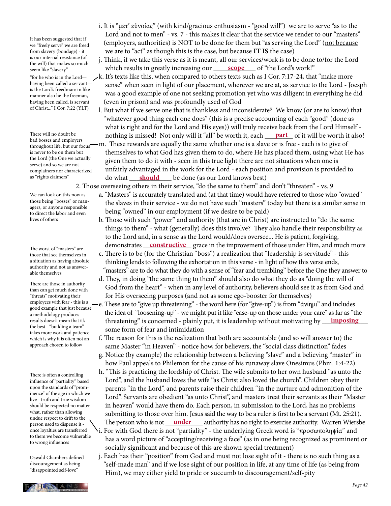It has been suggested that if we "freely serve" we are freed from slavery (bondage) - it is our internal resistance (of the will) that makes so much seem like "slavery"

"for he who is in the Lord having been called a servant is the Lord's freedman: in like manner also he the freeman, having been called, is servant of Christ..." I Cor. 7:22 (YLT)

There will no doubt be bad bosses and employers throughout life, but our focus is never to be on them but the Lord (the One we actually serve) and so we are not complainers nor characterized as "rights claimers"

We can look on this now as those being "bosses" or managers, or anyone responsible to direct the labor and even lives of others

The worst of "masters" are those that see themselves in a situation as having absolute authority and not as answerable themselves

There are those in authority than can get much done with "threats" motivating their employees with fear - this is a good example that just because a methodology produces results doesn't mean that it's the best - "building a team" takes more work and patience which is why it is often not an approach chosen to follow

There is often a controlling influence of "partiality" based upon the standards of "prominence" of the age in which we live - truth and true wisdom should be respected no matter what, rather than allowing undue respect to drift to the person used to dispense it once loyalties are transferred to them we become vulnerable to wrong influences

Oswald Chambers defined discouragement as being "disappointed self-love"

- i. It is "μετ' εὐνοίας" (with kind/gracious enthusiasm "good will") we are to serve "as to the Lord and not to men" - vs. 7 - this makes it clear that the service we render to our "masters" (employers, authorities) is NOT to be done for them but "as serving the Lord" (not because we are to "act" as though this is the case, but because **IT IS** the case)
- j. Think, if we take this verse as it is meant, all our services/work is to be done to/for the Lord seem like "slavery" **and Thurse Science 1.1 Second Wend The Value 1.1 Second Science 1.1 Second Science 1.1 Second Science 1.1 Second Science 1.1 Second Science 1.1 Second Science 1.1 Second Science 1.1 Second Science 1.1** 
	- k. It's texts like this, when compared to others texts such as I Cor. 7:17-24, that "make more sense" when seen in light of our placement, wherever we are at, as service to the Lord - Joesph was a good example of one not seeking promotion yet who was diligent in everything he did (even in prison) and was profoundly used of God
- l. But what if we serve one that is thankless and inconsiderate? We know (or are to know) that "whatever good thing each one does" (this is a precise accounting of each "good" (done as what is right and for the Lord and His eyes)) will truly receive back from the Lord Himself - There will no doubt be **part part** of it will be worth it also!
- m. These rewards are equally the same whether one is a slave or is free each is to give of themselves to what God has given them to do, where He has placed them, using what He has given them to do it with - seen in this true light there are not situations when one is unfairly advantaged in the work for the Lord - each position and provision is provided to as "rights claimers" do what <u>should</u> be done (as our Lord knows best)
	- 2. Those overseeing others in their service, "do the same to them" and don't "threaten" vs. 9
		- a. "Masters" is accurately translated and (at that time) would have referred to those who "owned" the slaves in their service - we do not have such "masters" today but there is a similar sense in being "owned" in our employment (if we desire to be paid)
- b. Those with such "power" and authority (that are in Christ) are instructed to "do the same things to them" - what (generally) does this involve? They also handle their responsibility as to the Lord and, in a sense as the Lord would/does oversee... He is patient, forgiving, The worst of "masters" are demonstrates **constructive** grace in the improvement of those under Him, and much more
	- c. There is to be (for the Christian "boss") a realization that "leadership is servitude" this thinking lends to following the exhortation in this verse - in light of how this verse ends, "masters" are to do what they do with a sense of "fear and trembling" before the One they answer to
	- d. They, in doing "the same thing to them" should also do what they do as "doing the will of God from the heart" - when in any level of authority, believers should see it as from God and for His overseeing purposes (and not as some ego-booster for themselves)
- e. These are to "give up threatening" the word here (for "give-up") is from "ἀνίημι" and includes the idea of "loosening-up" - we might put it like "ease-up on those under your care" as far as "the results doesn't mean that it's **threatening**" is concerned - plainly put, it is leadership without motivating by **imposing**  some form of fear and intimidation
	- f. The reason for this is the realization that both are accountable (and so will answer to) the same Master "in Heaven" - notice how, for believers, the "social class distinction" fades
	- g. Notice (by example) the relationship between a believing "slave" and a believing "master" in how Paul appeals to Philemon for the cause of his runaway slave Onesimus (Phm. 1:4-22)
- h. "This is practicing the lordship of Christ. The wife submits to her own husband "as unto the Lord", and the husband loves the wife "as Christ also loved the church". Children obey their parents "in the Lord", and parents raise their children "in the nurture and admonition of the Lord". Servants are obedient "as unto Christ", and masters treat their servants as their "Master in heaven" would have them do. Each person, in submission to the Lord, has no problems submitting to those over him. Jesus said the way to be a ruler is first to be a servant (Mt. 25:21). person used to dispense it - \ The person who is not <u>under</u> authority has no right to exercise authority. Warren Wiersbe i. For with God there is not "partiality" - the underlying Greek word is "προσωποληψία" and
	- has a word picture of "accepting/receiving a face" (as in one being recognized as prominent or socially significant and because of this are shown special treatment)
	- j. Each has their "position" from God and must not lose sight of it there is no such thing as a "self-made man" and if we lose sight of our position in life, at any time of life (as being from Him), we may either yield to pride or succumb to discouragement/self-pity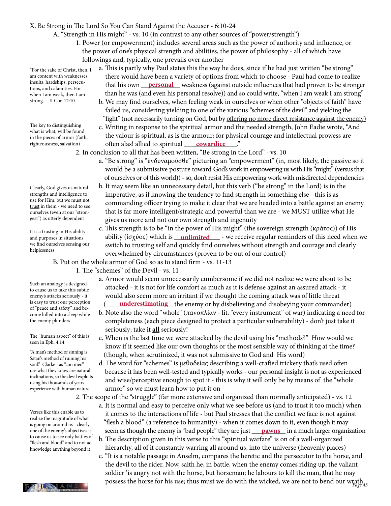#### X. Be Strong in The Lord So You Can Stand Against the Accuser - 6:10-24

- A. "Strength in His might" vs. 10 (in contrast to any other sources of "power/strength")
	- 1. Power (or empowerment) includes several areas such as the power of authority and influence, or the power of one's physical strength and abilities, the power of philosophy - all of which have followings and, typically, one prevails over another

"For the sake of Christ, then, I am content with weaknesses, insults, hardships, persecutions, and calamities. For when I am weak, then I am strong. - II Cor. 12:10

The key to distinguishing what is what, will be found in the pieces of armor (faith, righteousness, salvation)

Clearly, God gives us natural strengths and intelligence to use for Him, but we must not trust in them - we need to see ourselves (even at our "strongest") as utterly dependent

It is a trusting in His ability and purposes in situations we find ourselves sensing our helplessness

Such an analogy is designed to cause us to take this subtle enemy's attacks seriously - it is easy to trust our perception of "peace and safety" and become lulled into a sleep while the enemy plunders

The "human aspect" of this is seen in Eph. 4:14

"A man's method of sinning is Satan's method of ruining his soul." Clarke - as "con men" use what they know are natural inclinations, so the devil exploits using his thousands of years experience with human nature

Verses like this enable us to realize the magnitude of what is going on around us - clearly one of the enemy's objectives is to cause us to see only battles of "flesh and blood" and to not acknowledge anything beyond it

- a. This is partly why Paul states this the way he does, since if he had just written "be strong" there would have been a variety of options from which to choose - Paul had come to realize Insults, hardships, persecu-<br>tions and calamities. For **that his own** <u>personal</u> weakness (against outside influences that had proven to be stronger than he was (and even his personal resolve)) and so could write, "when I am weak I am strong"
	- b. We may find ourselves, when feeling weak in ourselves or when other "objects of faith" have failed us, considering yielding to one of the various "schemes of the devil" and yielding the "fight" (not necessarily turning on God, but by offering no more direct resistance against the enemy)
- c. Writing in response to the spiritual armor and the needed strength, John Eadie wrote, "And the valour is spiritual, as is the armour; for physical courage and intellectual prowess are righteousness, salvation) often alas! allied to spiritual <u>cowardice</u> ..."
	- 2. In conclusion to all that has been written, "Be strong in the Lord" vs. 10
		- a. "Be strong" is "ἐνδυναμοῦσθε" picturing an "empowerment" (in, most likely, the passive so it would be a submissive posture toward God's work in empowering us with His "might" (versus that of ourselves or of this world)) - so, don't resist His empowering work with misdirected dependencies
		- b. It may seem like an unnecessary detail, but this verb ("be strong" in the Lord) is in the imperative, as if knowing the tendency to find strength in something else - this is as commanding officer trying to make it clear that we are headed into a battle against an enemy that is far more intelligent/strategic and powerful than we are - we MUST utilize what He gives us more and not our own strength and ingenuity
- c. This strength is to be "in the power of His might" (the sovereign strength (κράτος)) of His and purposes in situations **hotability (ἰσχύος) which is <u>\_\_<b>unlimited** \_\_</u> - we receive regular reminders of this need when we switch to trusting self and quickly find ourselves without strength and courage and clearly overwhelmed by circumstances (proven to be out of our control)

B. Put on the whole armor of God so as to stand firm - vs. 11-13

- 1. The "schemes" of the Devil vs. 11
- a. Armor would seem unnecessarily cumbersome if we did not realize we were about to be attacked - it is not for life comfort as much as it is defense against an assured attack - it would also seem more an irritant if we thought the coming attack was of little threat is easy to trust our perception (**<u>underestimating</u>** the enemy or by disbelieving and disobeying your commander)
	- b. Note also the word "whole" (πανοπλίαν lit. "every instrument" of war) indicating a need for completeness (each piece designed to protect a particular vulnerability) - don't just take it seriously; take it **all** seriously!
	- c. When is the last time we were attacked by the devil using his "methods?" How would we know if it seemed like our own thoughts or the most sensible way of thinking at the time? (though, when scrutinized, it was not submissive to God and His word)
	- d. The word for "schemes" is μεθοδείας describing a well-crafted trickery that's used often because it has been well-tested and typically works - our personal insight is not as experienced and wise/perceptive enough to spot it - this is why it will only be by means of the "whole armor" so we must learn how to put it on

2. The scope of the "struggle" (far more extensive and organized than normally anticipated) - vs. 12

- a. It is normal and easy to perceive only what we see before us (and to trust it too much) when it comes to the interactions of life - but Paul stresses that the conflict we face is not against "flesh a blood" (a reference to humanity) - when it comes down to it, even though it may one of the enemy's objectives is seem as though the enemy is "bad people" they are just <u>pawns</u> in a much larger organization
	- b. The description given in this verse to this "spiritual warfare" is on of a well-organized hierarchy, all of it constantly warring all around us, into the universe (heavenly places)
- **PALLES LANS** possess the horse for his use; thus must we do with the wicked, we are not to bend our wrath  $P_{age\ 43}$  c. "It is a notable passage in Anselm, compares the heretic and the persecutor to the horse, and the devil to the rider. Now, saith he, in battle, when the enemy comes riding up, the valiant soldier 'is angry not with the horse, but horseman; he labours to kill the man, that he may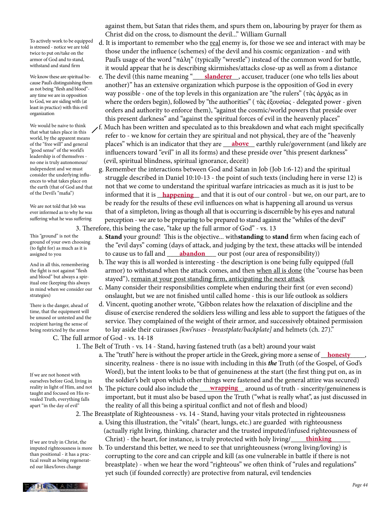To actively work to be equipped is stressed - notice we are told twice to put on/take on the armor of God and to stand, withstand and stand firm

We know these are spiritual because Paul's distinguishing them as not being "flesh and blood" any time we are in opposition to God, we are siding with (at least in practice) with this evil organization

We would be naive to think that what takes place in this world, by the apparent means of the "free will" and general "good sense" of the world's leadership is of themselves no one is truly autonomous/ independent and we must consider the underlying influences to what takes place on the earth (that of God and that of the Devil's "mafia")

We are not told that Job was ever informed as to why he was suffering what he was suffering

This "ground" is not the ground of your own choosing (to fight for) as much as it is assigned to you

And in all this, remembering the fight is not against "flesh and blood" but always a spiritual one (keeping this always in mind when we consider our strategies)

There is the danger, ahead of time, that the equipment will be unused or untested and the recipient having the sense of being restricted by the armor

C. The full armor of God - vs. 14-18

If we are not honest with ourselves before God, living in reality in light of Him, and not taught and focused on His revealed Truth, everything falls apart "in the day of evil"

If we are truly in Christ, the imputed righteousness is more than positional - it has a practical result as being regenerated our likes/loves change

 against them, but Satan that rides them, and spurs them on, labouring by prayer for them as Christ did on the cross, to dismount the devil..." William Gurnall

- d. It is important to remember who the real enemy is, for those we see and interact with may be those under the influence (schemes) of the devil and his cosmic organization - and with Paul's usage of the word "πάλη" (typically "wrestle") instead of the common word for battle, it would appear that he is describing skirmishes/attacks close-up as well as from a distance
- We know these are spiritual be- e. The devil (this name meaning "<u>Slanderer</u> , accuser, traducer (one who tells lies about another)" has an extensive organization which purpose is the opposition of God in every way possible - one of the top levels in this organization are "the rulers" (τὰς ἀρχάς as in where the orders begin), followed by "the authorities" ( τὰς ἐξουσίας - delegated power - given orders and authority to enforce them), "against the cosmic/world powers that preside over this present darkness" and "against the spiritual forces of evil in the heavenly places"
- $f$ . Much has been written and speculated as to this breakdown and what each might specifically refer to - we know for certain they are spiritual and not physical, they are of the "heavenly of the "free will" and general places" which is an indicator that they are **higher earthly rule/government** (and likely are influencers toward "evil" in all its forms) and these preside over "this present darkness" (evil, spiritual blindness, spiritual ignorance, deceit)
- g. Remember the interactions between God and Satan in Job (Job 1:6-12) and the spiritual struggle described in Daniel 10:10-13 - the point of such texts (including here in verse 12) is not that we come to understand the spiritual warfare intricacies as much as it is just to be of the Devil's "mafia") **come informed that it is <u>happening</u>** and that it is out of our control - but we, on our part, are to be ready for the results of these evil influences on what is happening all around us versus that of a simpleton, living as though all that is occurring is discernible by his eyes and natural perception - we are to be preparing to be prepared to stand against the "whiles of the devil" 3. Therefore, this being the case, "take up the full armor of God" - vs. 13
- a. **Stand** your ground! This is the objective... with**standing** to **stand** firm when facing each of the "evil days" coming (days of attack, and judging by the text, these attacks will be intended to cause us to fall and \_\_\_\_\_\_\_\_\_\_\_\_\_\_ our post (our area of responsibility)) **abandon**
	- b. The way this is all worded is interesting the description is one being fully equipped (full armor) to withstand when the attack comes, and then when all is done (the "course has been stayed"), remain at your post standing firm, anticipating the next attack
	- c. Many consider their responsibilities complete when enduring their first (or even second) onslaught, but we are not finished until called home - this is our life outlook as soldiers
	- d. Vincent, quoting another wrote, "Gibbon relates how the relaxation of discipline and the disuse of exercise rendered the soldiers less willing and less able to support the fatigues of the service. They complained of the weight of their armor, and successively obtained permission to lay aside their cuirasses *[kwi'rases - breastplate/backplate]* and helmets (ch. 27)."

1. The Belt of Truth - vs. 14 - Stand, having fastened truth (as a belt) around your waist

- a. The "truth" here is without the proper article in the Greek, giving more a sense of <u>Aonesty</u>, sincerity, realness - there is no issue with including in this *the* Truth (of the Gospel, of God's Word), but the intent looks to be that of genuineness at the start (the first thing put on, as in the soldier's belt upon which other things were fastened and the general attire was secured)
- reality in light of Him, and not b. The picture could also include the <u>wrapping</u> around us of truth sincerity/genuineness is important, but it must also be based upon the Truth ("what is really what", as just discussed in the reality of all this being a spiritual conflict and not of flesh and blood)
	- 2. The Breastplate of Righteousness vs. 14 Stand, having your vitals protected in righteousness
		- a. Using this illustration, the "vitals" (heart, lungs, etc.) are guarded with righteousness (actually right living, thinking, character and the trusted imputed/infused righteousness of Christ) - the heart, for instance, is truly protected with holy living/ **thinking**
		- b. To understand this better, we need to see that unrighteousness (wrong living/loving) is corrupting to the core and can cripple and kill (as one vulnerable in battle if there is not breastplate) - when we hear the word "righteous" we often think of "rules and regulations" yet such (if founded correctly) are protective from natural, evil tendencies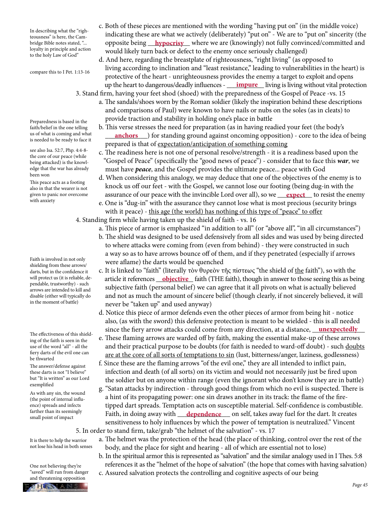In describing what the "righteousness" is here, the Cambridge Bible notes stated, "... loyalty in principle and action to the holy Law of God"

compare this to I Pet. 1:13-16

Preparedness is based in the faith/belief in the one telling us of what is coming and what is needed to be ready to face it

see also Isa. 52:7, Php. 4:4-8 the core of our peace (while being attacked) is the knowledge that the war has already been won

This peace acts as a footing also in that the wearer is not given to panic nor overcome with anxiety

Faith is involved in not only shielding from these arrows/ darts, but in the confidence it will protect us (it is reliable, dependable, trustworthy) - such arrows are intended to kill and disable (either will typically do in the moment of battle)

The effectiveness of this shielding of the faith is seen in the use of the word "all" - all the fiery darts of the evil one can be thwarted

The answer/defense against these darts is not "I believe" but "It is written" as our Lord exemplified

As with any sin, the wound (the point of internal influence) spreads and infects farther than its seemingly small point of impact

It is there to help the warrior not lose his head in both senses

One not believing they're "saved" will run from danger and threatening opposition



- c. Both of these pieces are mentioned with the wording "having put on" (in the middle voice) indicating these are what we actively (deliberately) "put on" - We are to "put on" sincerity (the bridge Bible notes stated, "… opposite being <u>\_\_**hypocrisy** \_</u>\_ where we are (knowingly) not fully convinced/committed and would likely turn back or defect to the enemy once seriously challenged)
- d. And here, regarding the breastplate of righteousness, "right living" (as opposed to living according to inclination and "least resistance," leading to vulnerabilities in the heart) is protective of the heart - unrighteousness provides the enemy a target to exploit and opens up the heart to dangerous/deadly influences - <u>\_\_\_\_**impure**</u> living is living without vital protection
	- 3. Stand firm, having your feet shod (shoed) with the preparedness of the Gospel of Peace -vs. 15 a. The sandals/shoes worn by the Roman soldier (likely the inspiration behind these descriptions and comparisons of Paul) were known to have nails or nubs on the soles (as in cleats) to provide traction and stability in holding one's place in battle
- b. This verse stresses the need for preparation (as in having readied your feet (the body's us of what is coming and what *anchors* (or standing ground against oncoming opposition) - core to the idea of being in anchors prepared is that of expectation/anticipation of something coming
	- c. The readiness here is not one of personal resolve/strength it is a readiness based upon the "Gospel of Peace" (specifically the "good news of peace") - consider that to face this *war*, we must have *peace*, and the Gospel provides the ultimate peace... peace with God
- d. When considering this analogy, we may deduce that one of the objectives of the enemy is to knock us off our feet - with the Gospel, we cannot lose our footing (being dug-in with the given to panic nor overcome assurance of our peace with the invincible Lord over all), so we <u>expect</u> to resist the enemy
	- e. One is "dug-in" with the assurance they cannot lose what is most precious (security brings with it peace) - this age (the world) has nothing of this type of "peace" to offer
	- 4. Standing firm while having taken up the shield of faith vs. 16
		- a. This piece of armor is emphasized "in addition to all" (or "above all", "in all circumstances")
		- b. The shield was designed to be used defensively from all sides and was used by being directed to where attacks were coming from (even from behind) - they were constructed in such a way so as to have arrows bounce off of them, and if they penetrated (especially if arrows were aflame) the darts would be quenched
- c. It is linked to "faith" (literally τὸν θυρεὸν τῆς πίστεως "the shield of the faith"), so with the will protect us (it is reliable, de-**ndepticle it references** <u>**objective**</u> faith (THE faith), though in answer to those seeing this as being in answer to those seeing this as being subjective faith (personal belief) we can agree that it all pivots on what is actually believed and not as much the amount of sincere belief (though clearly, if not sincerely believed, it will never be "taken up" and used anyway)
- d. Notice this piece of armor defends even the other pieces of armor from being hit notice also, (as with the sword) this defensive protection is meant to be wielded - this is all needed since the fiery arrow attacks could come from any direction, at a distance, <u>unexpectedly</u>
	- e. These flaming arrows are warded off by faith, making the essential make-up of these arrows and their practical purpose to be doubts (for faith is needed to ward-off doubt) - such doubts are at the core of all sorts of temptations to sin (lust, bitterness/anger, laziness, godlessness)
	- f. Since these are the flaming arrows "of the evil one," they are all intended to inflict pain, infection and death (of all sorts) on its victim and would not necessarily just be fired upon the soldier but on anyone within range (even the ignorant who don't know they are in battle)
- g. "Satan attacks by indirection through good things from which no evil is suspected. There is a hint of its propagating power: one sin draws another in its track: the flame of the fire tipped dart spreads. Temptation acts on susceptible material. Self-confidence is combustible. rarmer man us seemingly **Faith, in doing away with** <u>dependence</u> on self, takes away fuel for the dart. It creates and point of impact sensitiveness to holy influences by which the power of temptation is neutralized." Vincent
	- 5. In order to stand firm, take/grab "the helmet of the salvation" vs. 17
		- a. The helmet was the protection of the head (the place of thinking, control over the rest of the body, and the place for sight and hearing - all of which are essential not to lose)
		- b. In the spiritual armor this is represented as "salvation" and the similar analogy used in I Thes. 5:8 references it as the "helmet of the hope of salvation" (the hope that comes with having salvation) c. Assured salvation protects the controlling and cognitive aspects of our being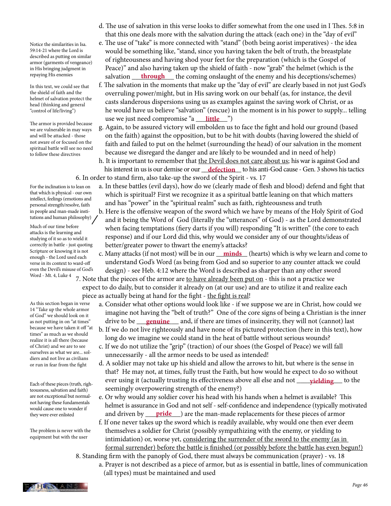Notice the similarities in Isa. 59:14-21 where the Lord is described as putting on similar armor (garments of vengeance) in His bringing judgment in repaying His enemies

In this text, we could see that the shield of faith and the helmet of salvation protect the head (thinking and general "control of life/living")

The armor is provided because we are vulnerable in may ways and will be attacked - those not aware of or focused on the spiritual battle will see no need to follow these directives

For the inclination is to lean on that which is physical - our own intellect, feelings (emotions and personal strength/resolve, faith in people and man-made institutions and human philosophy)

Much of our time before attacks is the learning and studying of it so as to wield it correctly in battle - just quoting Scripture or knowing it is not enough - the Lord used each verse in its context to ward-off even the Devil's misuse of God's Word - Mt. 4, Luke 4

As this section began in verse 14 "Take up the whole armor of God" we should look on it as not putting in on "at times" because we have taken it off "at times" as much as we should realize it is all there (because of Christ) and we are to see ourselves as what we are... soldiers and not live as civilians or run in fear from the fight

Each of these pieces (truth, righteousness, salvation and faith) are not exceptional but normalnot having these fundamentals would cause one to wonder if they were ever enlisted

The problem is never with the equipment but with the user

- d. The use of salvation in this verse looks to differ somewhat from the one used in I Thes. 5:8 in that this one deals more with the salvation during the attack (each one) in the "day of evil"
- e. The use of "take" is more connected with "stand" (both being aorist imperatives) the idea would be something like, "stand, since you having taken the belt of truth, the breastplate of righteousness and having shod your feet for the preparation (which is the Gospel of Peace)" and also having taken up the shield of faith - now "grab" the helmet (which is the repaying His enemies salvation <u>through</u> the coming onslaught of the enemy and his deceptions/schemes)
- f. The salvation in the moments that make up the "day of evil" are clearly based in not just God's overruling power/might, but in His saving work on our behalf (as, for instance, the devil casts slanderous dispersions using us as examples against the saving work of Christ, or as he would have us believe "salvation" (rescue) in the moment is in his power to supply... telling use we just need compromise "a <u>little</u>")
	- g. Again, to be assured victory will embolden us to face the fight and hold our ground (based on the faith) against the opposition, but to be hit with doubts (having lowered the shield of faith and failed to put on the helmet (surrounding the head) of our salvation in the moment because we disregard the danger and are likely to be wounded and in need of help)
- h. It is important to remember that the Devil does not care about us; his war is against God and his interest in us is our demise or our <u>defection</u> to his anti-God cause - Gen. 3 shows his tactics 6. In order to stand firm, also take-up the sword of the Spirit - vs. 17
	- a. In these battles (evil days), how do we (clearly made of flesh and blood) defend and fight that which is spiritual? First we recognize it as a spiritual battle leaning on that which matters and has "power" in the "spiritual realm" such as faith, righteousness and truth
	- b. Here is the offensive weapon of the sword which we have by means of the Holy Spirit of God and it being the Word of God (literally the "utterances" of God) - as the Lord demonstrated when facing temptations (fiery darts if you will) responding "It is written" (the core to each response) and if our Lord did this, why would we consider any of our thoughts/ideas of better/greater power to thwart the enemy's attacks?
- scripture or knowing it is not c. Many attacks (if not most) will be in our <u>minds</u> (hearts) which is why we learn and come to understand God's Word (as being from God and so superior to any counter attack we could design) - see Heb. 4:12 where the Word is described as sharper than any other sword
	- 7. Note that the pieces of the armor are to have already been put on this is not a practice we expect to do daily, but to consider it already on (at our use) and are to utilize it and realize each piece as actually being at hand for the fight - the fight is real!
- a. Consider what other options would look like if we suppose we are in Christ, how could we imagine not having the "belt of truth?" One of the core signs of being a Christian is the inner as not putting in on "at times" larive to be <u>genuine a</u>nd, if there are times of insincerity, they will not (cannot) last
	- b. If we do not live righteously and have none of its pictured protection (here in this text), how long do we imagine we could stand in the heat of battle without serious wounds?
	- c. If we do not utilize the "grip" (traction) of our shoes (the Gospel of Peace) we will fall unnecessarily - all the armor needs to be used as intended!
- d. A soldier may not take up his shield and allow the arrows to hit, but where is the sense in that? He may not, at times, fully trust the Faith, but how would he expect to do so without Each of these pieces (truth righ. ever using it (actually trusting its effectiveness above all else and not <u>pielding</u> to the seemingly overpowering strength of the enemy?)
- e. Or why would any soldier cover his head with his hands when a helmet is available? This helmet is assurance in God and not self - self-confidence and independence (typically motivated they were ever enlisted **and driven by <u>pride</u>** are the man-made replacements for these pieces of armor
	- f. If one never takes up the sword which is readily available, why would one then ever deem themselves a soldier for Christ (possibly sympathizing with the enemy, or yielding to intimidation) or, worse yet, considering the surrender of the sword to the enemy (as in formal surrender) before the battle is finished (or possibly before the battle has even begun!)

 8. Standing firm with the panoply of God, there must always be communication (prayer) - vs. 18 a. Prayer is not described as a piece of armor, but as is essential in battle, lines of communication

(all types) must be maintained and used

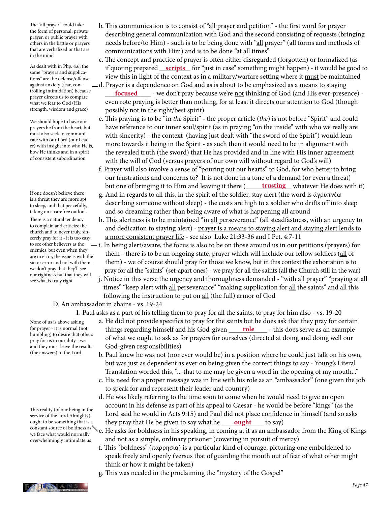The "all prayer" could take the form of personal, private prayer, or public prayer with others in the battle or prayers that are verbalized or that are in the mind

As dealt with in Php. 4:6, the same "prayers and supplications" are the defense/offense against anxiety (fear, controlling intimidation) because prayer directs us to compare what we fear to God (His strength, wisdom and grace)

We should hope to have our prayers be from the heart, but must also seek to communicate with our Lord (our Leader) with insight into who He is, how He thinks and in a spirit of consistent subordination

If one doesn't believe there is a threat they are more apt to sleep, and that peacefully, taking on a carefree outlook

There is a natural tendency to complain and criticize the church and to never truly, sincerely pray for it - it is too easy to see other believers as the enemies, but even when they are in error, the issue is with the sin or error and not with themwe don't pray that they'll see our rightness but that they will see what is truly right

None of us is above asking for prayer - it is normal (not humbling) to desire that others pray for us in our duty - we and they must leave the results

(the answers) to the Lord

This reality (of our being in the service of the Lord Almighty) ought to be something that is a constant source of boldness as we face what would normally overwhelmingly intimidate us

- b. This communication is to consist of "all prayer and petition" the first word for prayer describing general communication with God and the second consisting of requests (bringing needs before/to Him) - such is to be being done with "all prayer" (all forms and methods of communications with Him) and is to be done "at all times"
- c. The concept and practice of prayer is often either disregarded (forgotten) or formalized (as As dealt with in Php. 4:6, the **inducting prepared** <u>**scripts**</u> for "just in case" something might happen) - it would be good to view this in light of the context as in a military/warfare setting where it must be maintained d. Prayer is a dependence on God and as is about to be emphasized as a means to staying
- trolling intimidation) because **<u>focused</u>** we don't pray because we're <u>not</u> thinking of God (and His ever-presence) even rote praying is better than nothing, for at least it directs our attention to God (though possibly not in the right/best spirit)
	- e. This praying is to be "in *the* Spirit" the proper article (*the*) is not before "Spirit" and could have reference to our inner soul/spirit (as in praying "on the inside" with who we really are with sincerity) - the context (having just dealt with "the sword of the Spirit") would lean more towards it being in the Spirit - as such then it would need to be in alignment with the revealed truth (the sword) that He has provided and in line with His inner agreement with the will of God (versus prayers of our own will without regard to God's will)
	- f. Prayer will also involve a sense of "pouring out our hearts" to God, for who better to bring our frustrations and concerns to? It is not done in a tone of a demand (or even a threat) but one of bringing it to Him and leaving it there ( **trusting** whatever He does with it)
	- g. And in regards to all this, in the spirit of the soldier, stay alert (the word is ἀγρυπνέω describing someone without sleep) - the costs are high to a soldier who drifts off into sleep and so dreaming rather than being aware of what is happening all around
	- h. This alertness is to be maintained "in all perseverance" (all steadfastness, with an urgency to and dedication to staying alert) - prayer is a means to staying alert and staying alert lends to a more consistent prayer life - see also Luke 21:33-36 and I Pet. 4:7-11
	- $\frac{1}{\sqrt{1}}$ . In being alert/aware, the focus is also to be on those around us in our petitions (prayers) for them - there is to be an ongoing state, prayer which will include our fellow soldiers (all of them) - we of course should pray for those we know, but in this context the exhortation is to pray for all the "saints" (set-apart ones) - we pray for all the saints (all the Church still in the war)
		- j. Notice in this verse the urgency and thoroughness demanded "with all prayer" "praying at all times" "keep alert with all perseverance" "making supplication for all the saints" and all this following the instruction to put on all (the full) armor of God

## D. An ambassador in chains - vs. 19-24

- 1. Paul asks as a part of his telling them to pray for all the saints, to pray for him also vs. 19-20
- a. He did not provide specifics to pray for the saints but he does ask that they pray for certain for prayer - it is normal (not **things regarding himself and his God-given <u>role</u>** - this does serve as an example of what we ought to ask as for prayers for ourselves (directed at doing and doing well our God-given responsibilities)
	- b. Paul knew he was not (nor ever would be) in a position where he could just talk on his own, but was just as dependent as ever on being given the correct things to say - Young's Literal Translation worded this, "... that to me may be given a word in the opening of my mouth..."
	- c. His need for a proper message was in line with his role as an "ambassador" (one given the job to speak for and represent their leader and country)
- d. He was likely referring to the time soon to come when he would need to give an open account in his defense as part of his appeal to Caesar - he would be before "kings" (as the Lord said he would in Acts 9:15) and Paul did not place confidence in himself (and so asks ought to be something that is a they pray that He be given to say what he <u>ought</u> to say)
	- e. He asks for boldness in his speaking, in coming at it as an ambassador from the King of Kings and not as a simple, ordinary prisoner (cowering in pursuit of mercy)
	- f. This "boldness" (παρρησία) is a particular kind of courage, picturing one emboldened to speak freely and openly (versus that of guarding the mouth out of fear of what other might think or how it might be taken)
	- g. This was needed in the proclaiming the "mystery of the Gospel"